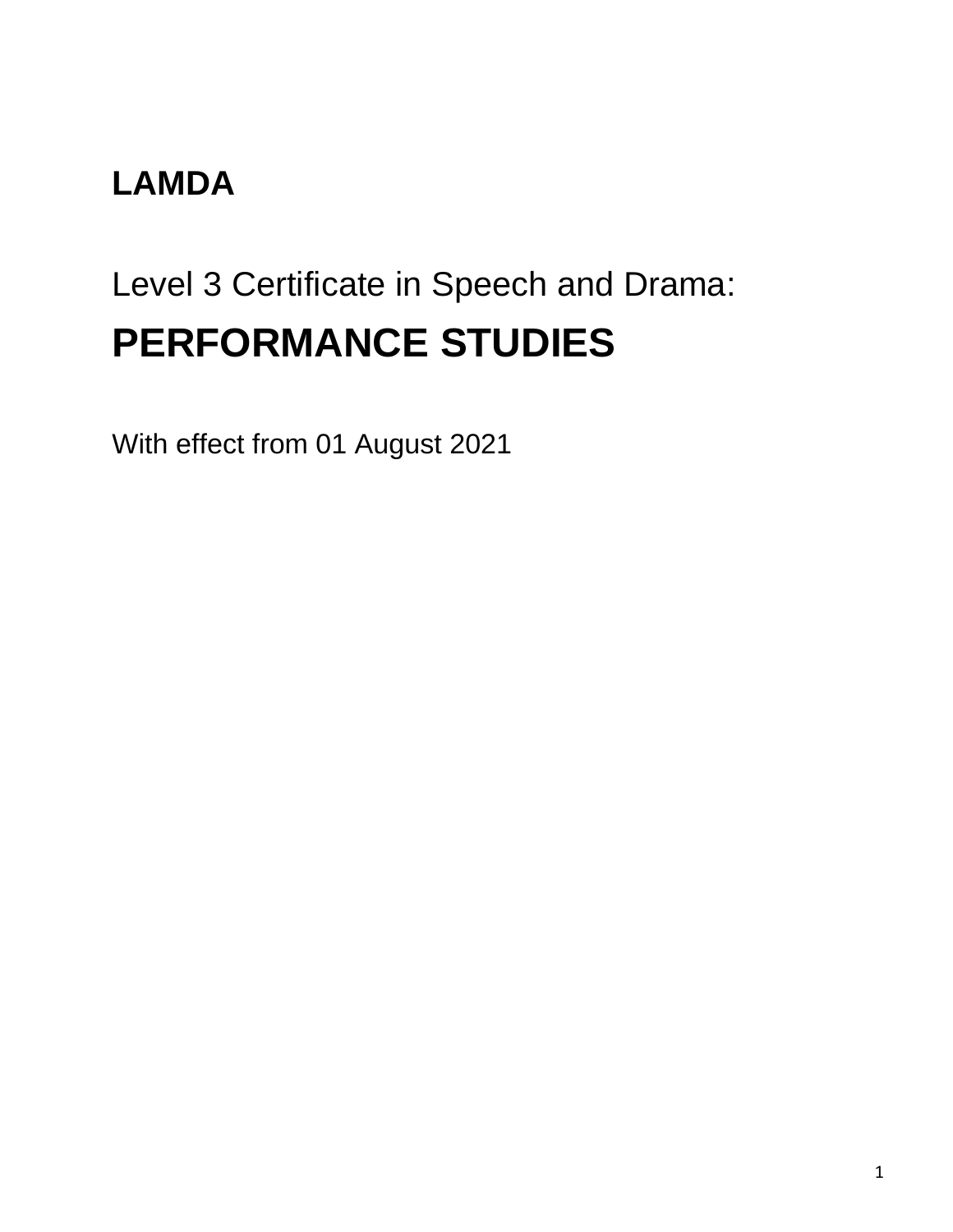#### **LAMDA**

# Level 3 Certificate in Speech and Drama: **PERFORMANCE STUDIES**

With effect from 01 August 2021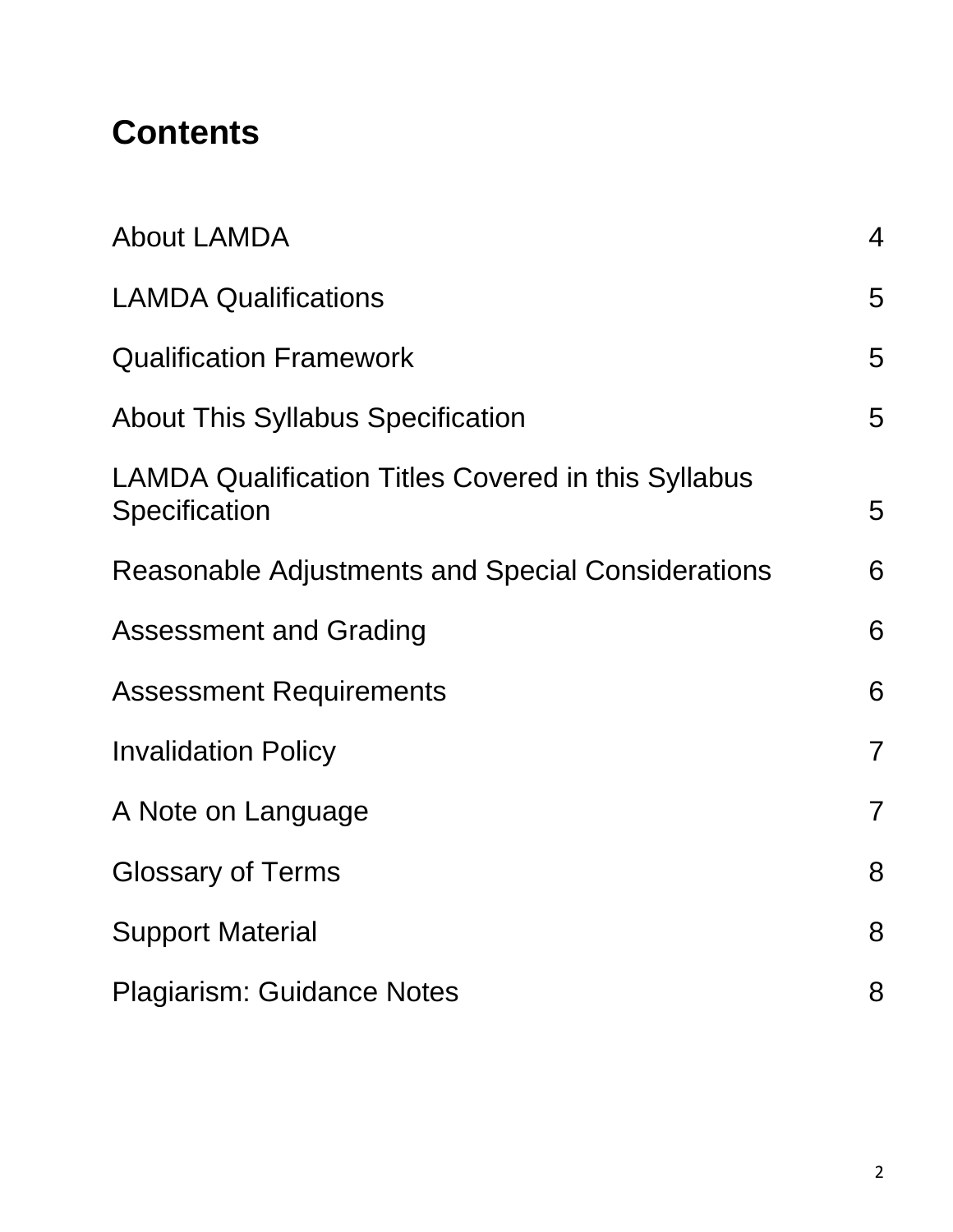### **Contents**

| <b>About LAMDA</b>                                                          | $\overline{4}$ |
|-----------------------------------------------------------------------------|----------------|
| <b>LAMDA Qualifications</b>                                                 | 5              |
| <b>Qualification Framework</b>                                              | 5              |
| <b>About This Syllabus Specification</b>                                    | 5              |
| <b>LAMDA Qualification Titles Covered in this Syllabus</b><br>Specification | 5              |
| <b>Reasonable Adjustments and Special Considerations</b>                    | 6              |
| <b>Assessment and Grading</b>                                               | 6              |
| <b>Assessment Requirements</b>                                              | 6              |
| <b>Invalidation Policy</b>                                                  | $\overline{7}$ |
| A Note on Language                                                          | $\overline{7}$ |
| <b>Glossary of Terms</b>                                                    | 8              |
| <b>Support Material</b>                                                     | 8              |
| <b>Plagiarism: Guidance Notes</b>                                           | 8              |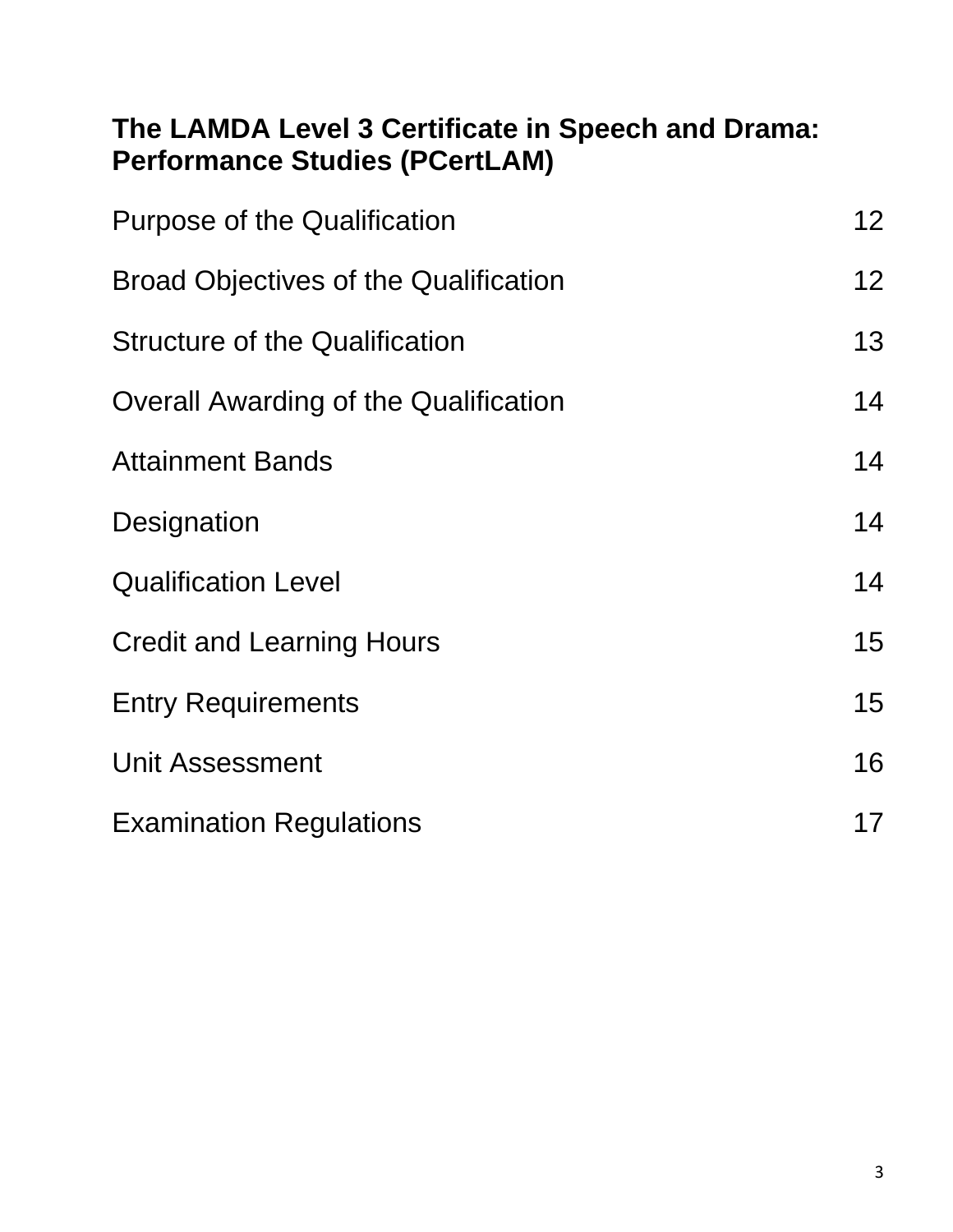#### **The LAMDA Level 3 Certificate in Speech and Drama: Performance Studies (PCertLAM)**

| <b>Purpose of the Qualification</b>          | 12 |
|----------------------------------------------|----|
| <b>Broad Objectives of the Qualification</b> | 12 |
| <b>Structure of the Qualification</b>        | 13 |
| <b>Overall Awarding of the Qualification</b> | 14 |
| <b>Attainment Bands</b>                      | 14 |
| Designation                                  | 14 |
| <b>Qualification Level</b>                   | 14 |
| <b>Credit and Learning Hours</b>             | 15 |
| <b>Entry Requirements</b>                    | 15 |
| <b>Unit Assessment</b>                       | 16 |
| <b>Examination Regulations</b>               | 17 |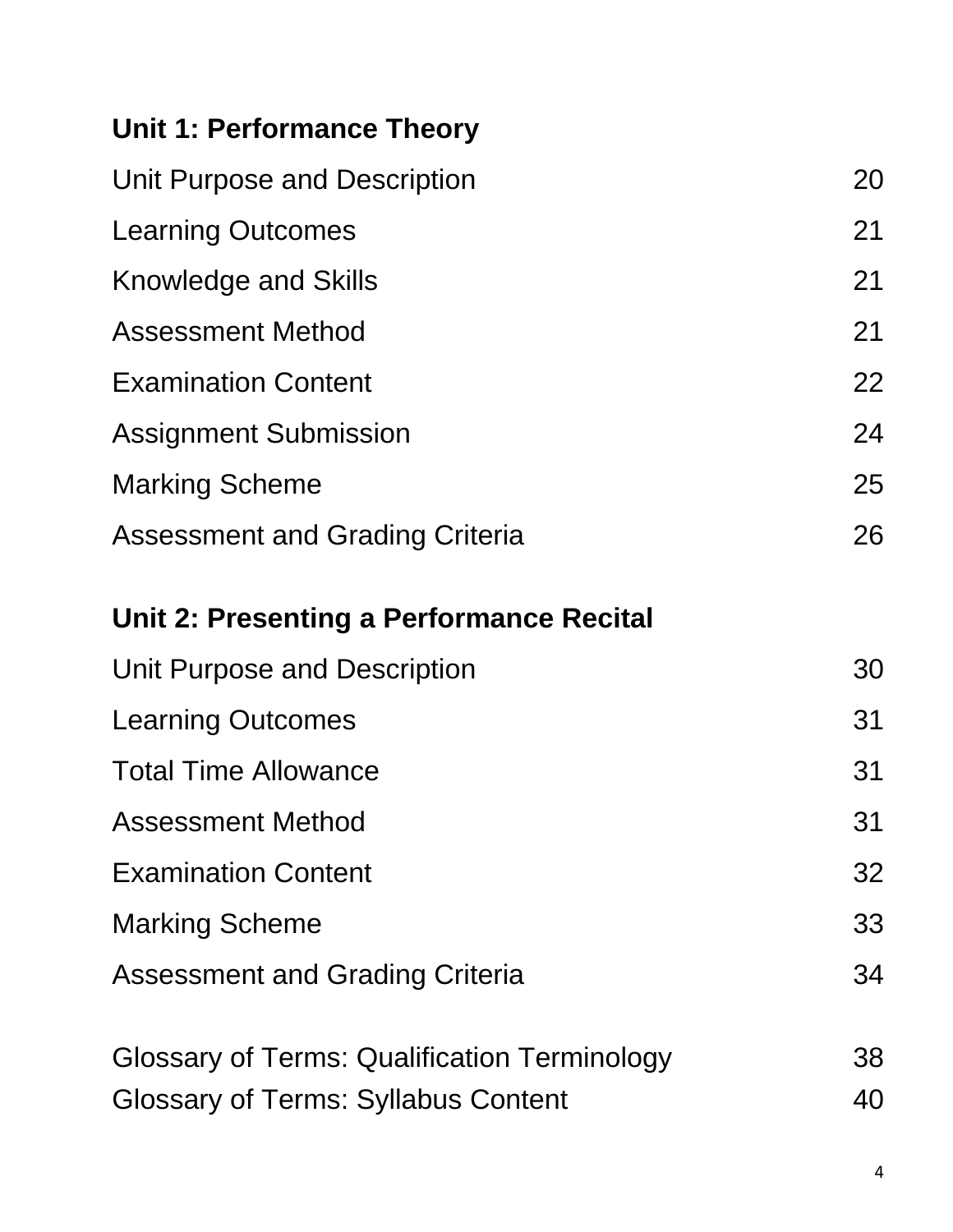#### **Unit 1: Performance Theory**

| Unit Purpose and Description           | 20 |
|----------------------------------------|----|
| <b>Learning Outcomes</b>               | 21 |
| <b>Knowledge and Skills</b>            | 21 |
| <b>Assessment Method</b>               | 21 |
| <b>Examination Content</b>             | 22 |
| <b>Assignment Submission</b>           | 24 |
| <b>Marking Scheme</b>                  | 25 |
| <b>Assessment and Grading Criteria</b> | 26 |
|                                        |    |

#### **Unit 2: Presenting a Performance Recital**

| Unit Purpose and Description                        | 30 |
|-----------------------------------------------------|----|
| <b>Learning Outcomes</b>                            | 31 |
| <b>Total Time Allowance</b>                         | 31 |
| <b>Assessment Method</b>                            | 31 |
| <b>Examination Content</b>                          | 32 |
| <b>Marking Scheme</b>                               | 33 |
| <b>Assessment and Grading Criteria</b>              | 34 |
| <b>Glossary of Terms: Qualification Terminology</b> | 38 |
| <b>Glossary of Terms: Syllabus Content</b>          | 40 |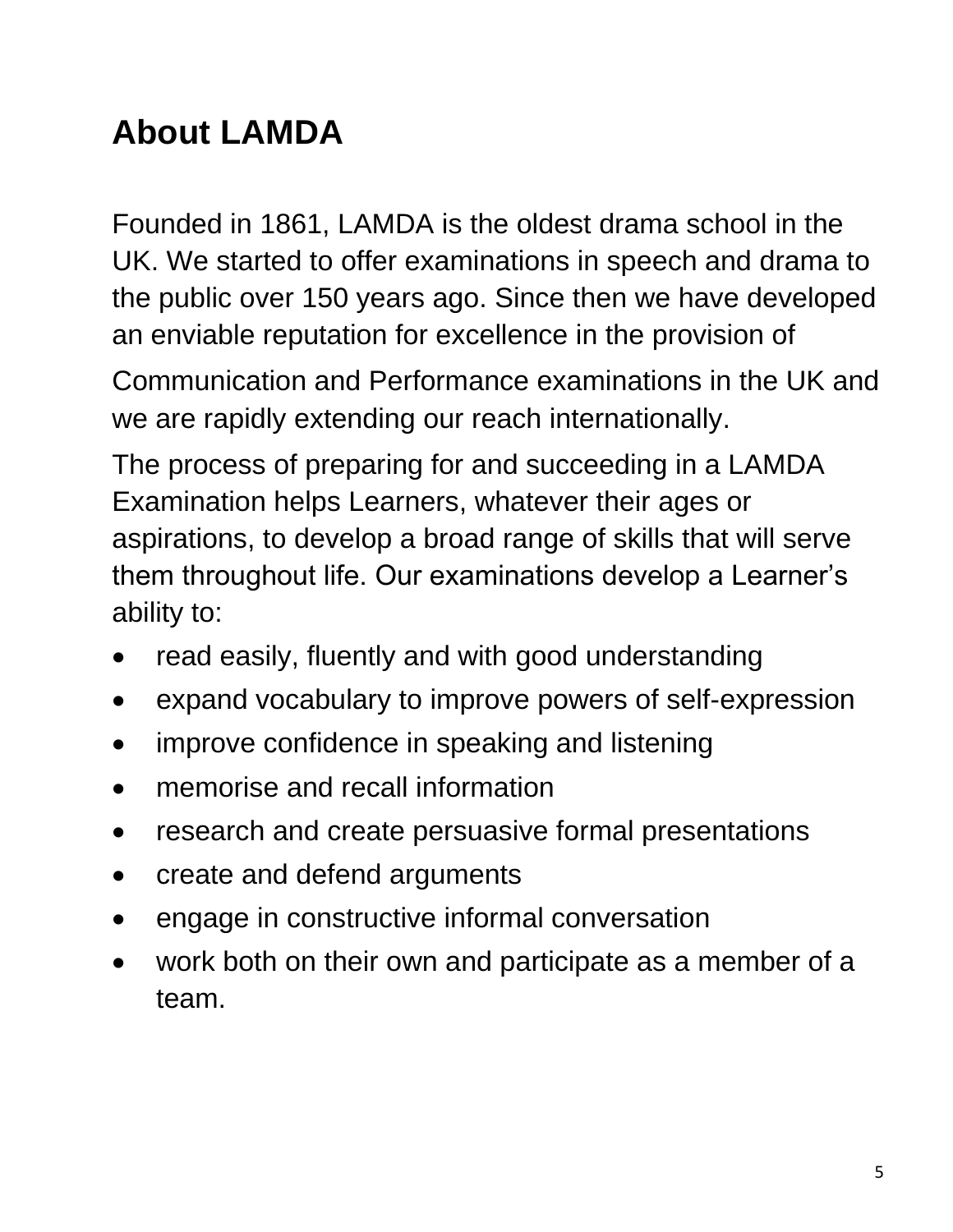## **About LAMDA**

Founded in 1861, LAMDA is the oldest drama school in the UK. We started to offer examinations in speech and drama to the public over 150 years ago. Since then we have developed an enviable reputation for excellence in the provision of

Communication and Performance examinations in the UK and we are rapidly extending our reach internationally.

The process of preparing for and succeeding in a LAMDA Examination helps Learners, whatever their ages or aspirations, to develop a broad range of skills that will serve them throughout life. Our examinations develop a Learner's ability to:

- read easily, fluently and with good understanding
- expand vocabulary to improve powers of self-expression
- improve confidence in speaking and listening
- memorise and recall information
- research and create persuasive formal presentations
- create and defend arguments
- engage in constructive informal conversation
- work both on their own and participate as a member of a team.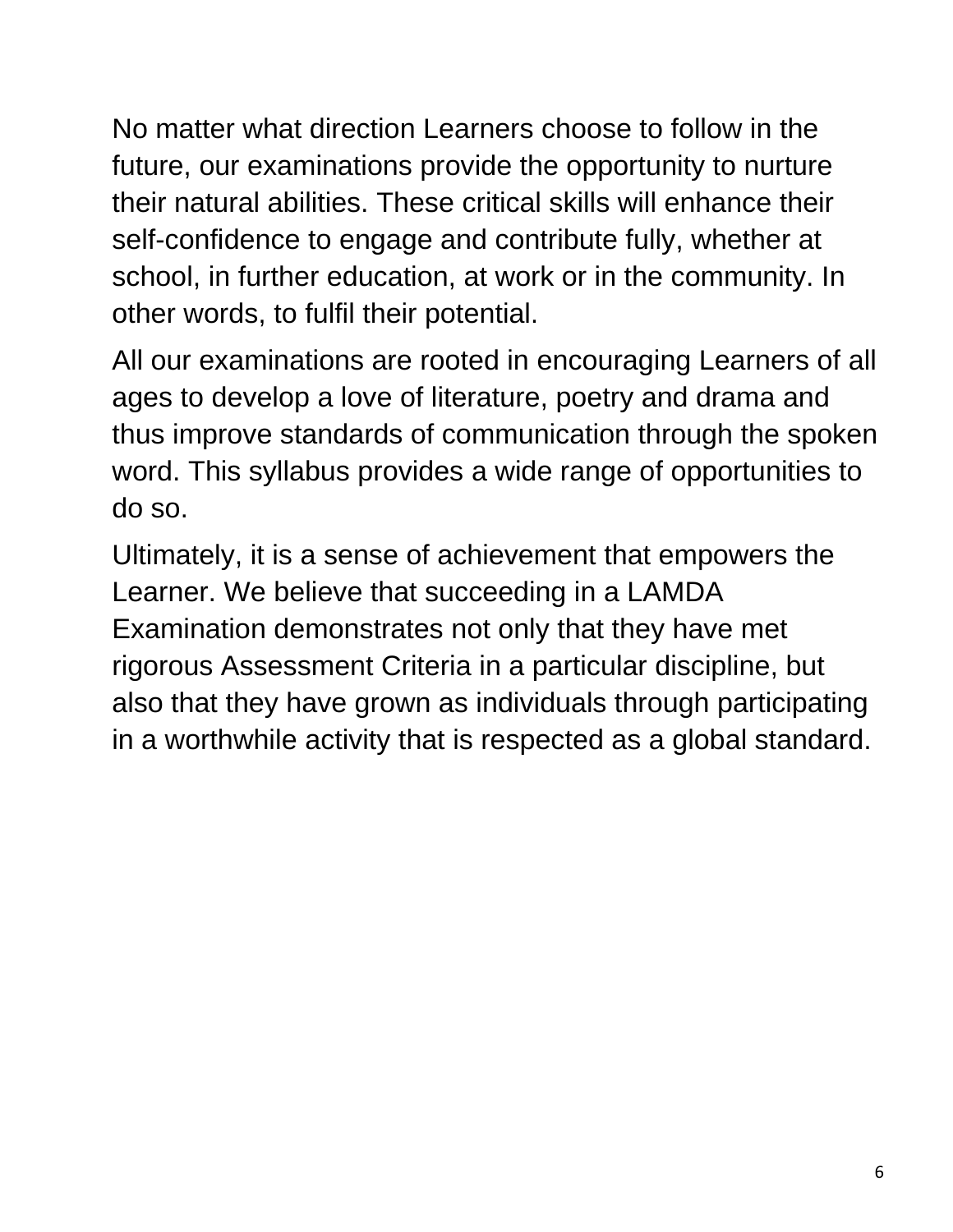No matter what direction Learners choose to follow in the future, our examinations provide the opportunity to nurture their natural abilities. These critical skills will enhance their self-confidence to engage and contribute fully, whether at school, in further education, at work or in the community. In other words, to fulfil their potential.

All our examinations are rooted in encouraging Learners of all ages to develop a love of literature, poetry and drama and thus improve standards of communication through the spoken word. This syllabus provides a wide range of opportunities to do so.

Ultimately, it is a sense of achievement that empowers the Learner. We believe that succeeding in a LAMDA Examination demonstrates not only that they have met rigorous Assessment Criteria in a particular discipline, but also that they have grown as individuals through participating in a worthwhile activity that is respected as a global standard.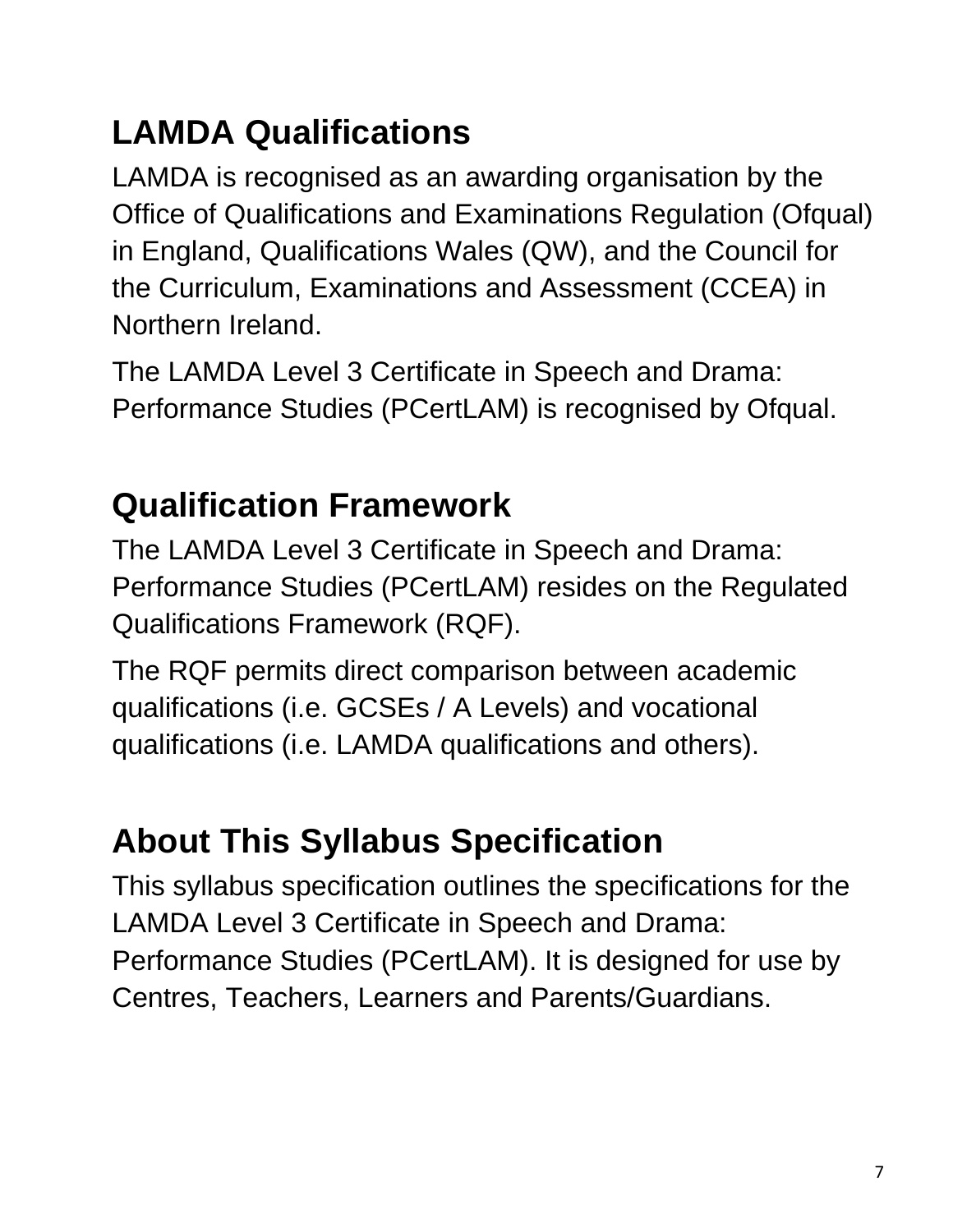# **LAMDA Qualifications**

LAMDA is recognised as an awarding organisation by the Office of Qualifications and Examinations Regulation (Ofqual) in England, Qualifications Wales (QW), and the Council for the Curriculum, Examinations and Assessment (CCEA) in Northern Ireland.

The LAMDA Level 3 Certificate in Speech and Drama: Performance Studies (PCertLAM) is recognised by Ofqual.

## **Qualification Framework**

The LAMDA Level 3 Certificate in Speech and Drama: Performance Studies (PCertLAM) resides on the Regulated Qualifications Framework (RQF).

The RQF permits direct comparison between academic qualifications (i.e. GCSEs / A Levels) and vocational qualifications (i.e. LAMDA qualifications and others).

# **About This Syllabus Specification**

This syllabus specification outlines the specifications for the LAMDA Level 3 Certificate in Speech and Drama: Performance Studies (PCertLAM). It is designed for use by Centres, Teachers, Learners and Parents/Guardians.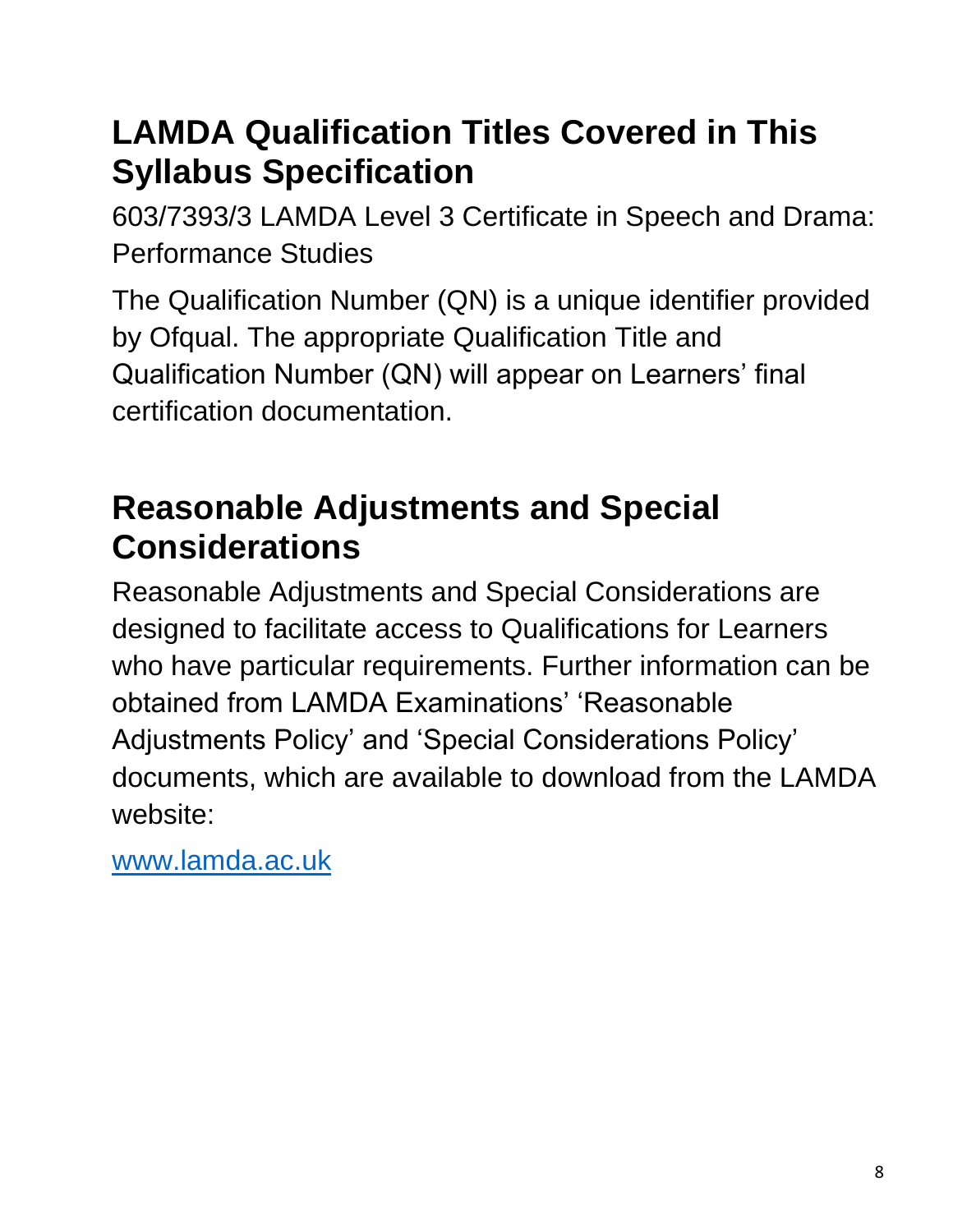### **LAMDA Qualification Titles Covered in This Syllabus Specification**

603/7393/3 LAMDA Level 3 Certificate in Speech and Drama: Performance Studies

The Qualification Number (QN) is a unique identifier provided by Ofqual. The appropriate Qualification Title and Qualification Number (QN) will appear on Learners' final certification documentation.

## **Reasonable Adjustments and Special Considerations**

Reasonable Adjustments and Special Considerations are designed to facilitate access to Qualifications for Learners who have particular requirements. Further information can be obtained from LAMDA Examinations' 'Reasonable Adjustments Policy' and 'Special Considerations Policy' documents, which are available to download from the LAMDA website:

[www.lamda.ac.uk](http://www.lamda.ac.uk/)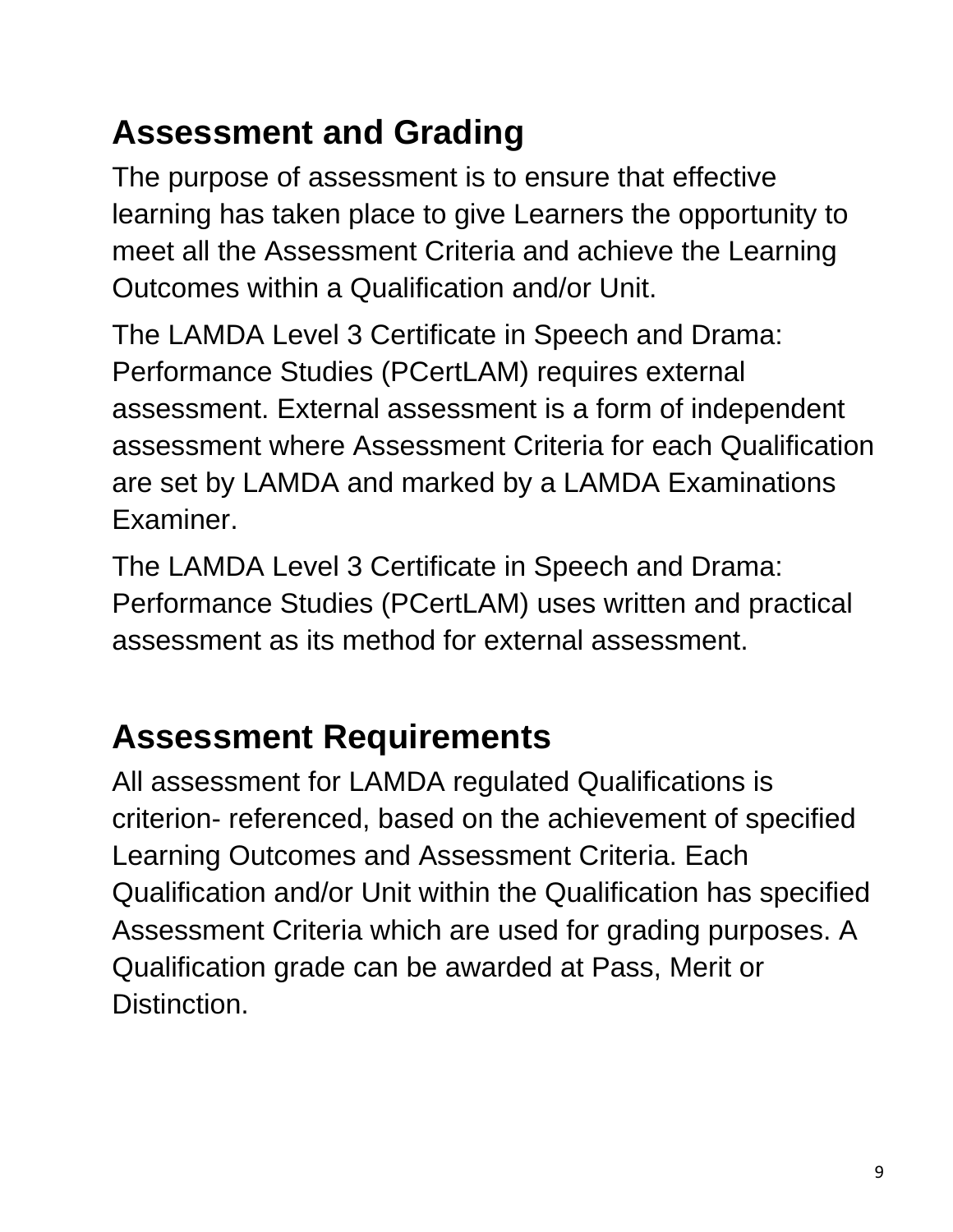## **Assessment and Grading**

The purpose of assessment is to ensure that effective learning has taken place to give Learners the opportunity to meet all the Assessment Criteria and achieve the Learning Outcomes within a Qualification and/or Unit.

The LAMDA Level 3 Certificate in Speech and Drama: Performance Studies (PCertLAM) requires external assessment. External assessment is a form of independent assessment where Assessment Criteria for each Qualification are set by LAMDA and marked by a LAMDA Examinations Examiner.

The LAMDA Level 3 Certificate in Speech and Drama: Performance Studies (PCertLAM) uses written and practical assessment as its method for external assessment.

### **Assessment Requirements**

All assessment for LAMDA regulated Qualifications is criterion- referenced, based on the achievement of specified Learning Outcomes and Assessment Criteria. Each Qualification and/or Unit within the Qualification has specified Assessment Criteria which are used for grading purposes. A Qualification grade can be awarded at Pass, Merit or Distinction.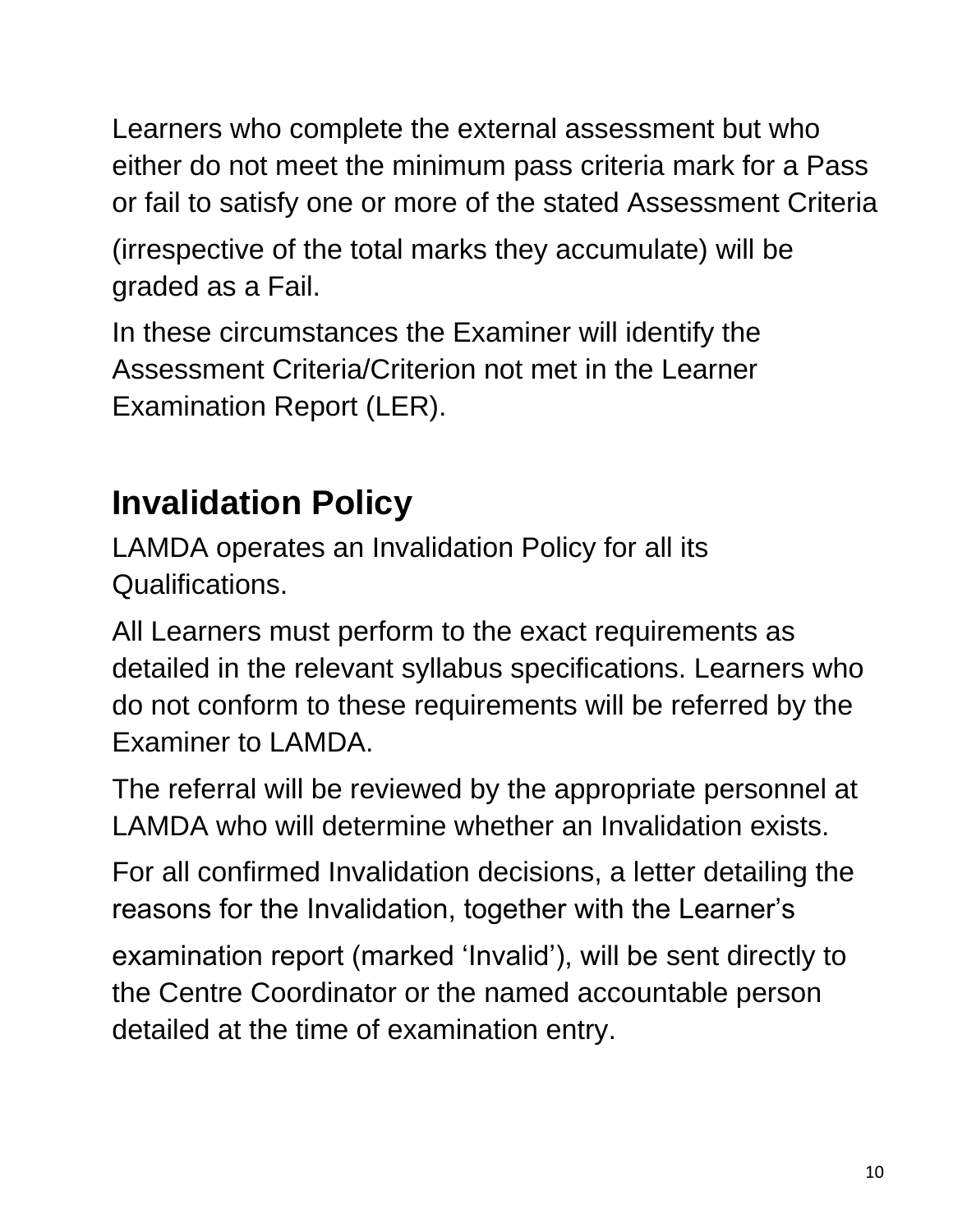Learners who complete the external assessment but who either do not meet the minimum pass criteria mark for a Pass or fail to satisfy one or more of the stated Assessment Criteria

(irrespective of the total marks they accumulate) will be graded as a Fail.

In these circumstances the Examiner will identify the Assessment Criteria/Criterion not met in the Learner Examination Report (LER).

# **Invalidation Policy**

LAMDA operates an Invalidation Policy for all its Qualifications.

All Learners must perform to the exact requirements as detailed in the relevant syllabus specifications. Learners who do not conform to these requirements will be referred by the Examiner to LAMDA.

The referral will be reviewed by the appropriate personnel at LAMDA who will determine whether an Invalidation exists.

For all confirmed Invalidation decisions, a letter detailing the reasons for the Invalidation, together with the Learner's

examination report (marked 'Invalid'), will be sent directly to the Centre Coordinator or the named accountable person detailed at the time of examination entry.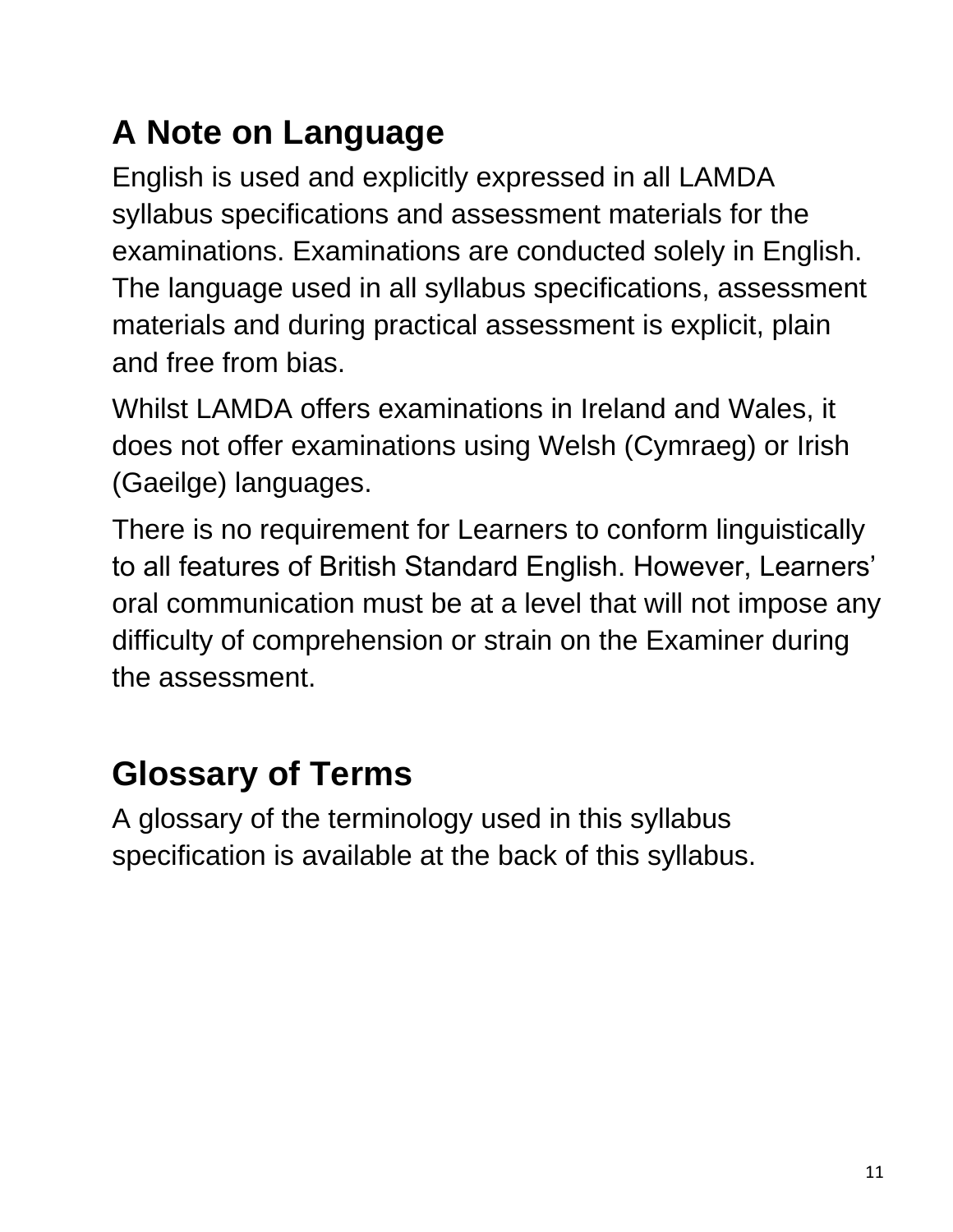# **A Note on Language**

English is used and explicitly expressed in all LAMDA syllabus specifications and assessment materials for the examinations. Examinations are conducted solely in English. The language used in all syllabus specifications, assessment materials and during practical assessment is explicit, plain and free from bias.

Whilst LAMDA offers examinations in Ireland and Wales, it does not offer examinations using Welsh (Cymraeg) or Irish (Gaeilge) languages.

There is no requirement for Learners to conform linguistically to all features of British Standard English. However, Learners' oral communication must be at a level that will not impose any difficulty of comprehension or strain on the Examiner during the assessment.

### **Glossary of Terms**

A glossary of the terminology used in this syllabus specification is available at the back of this syllabus.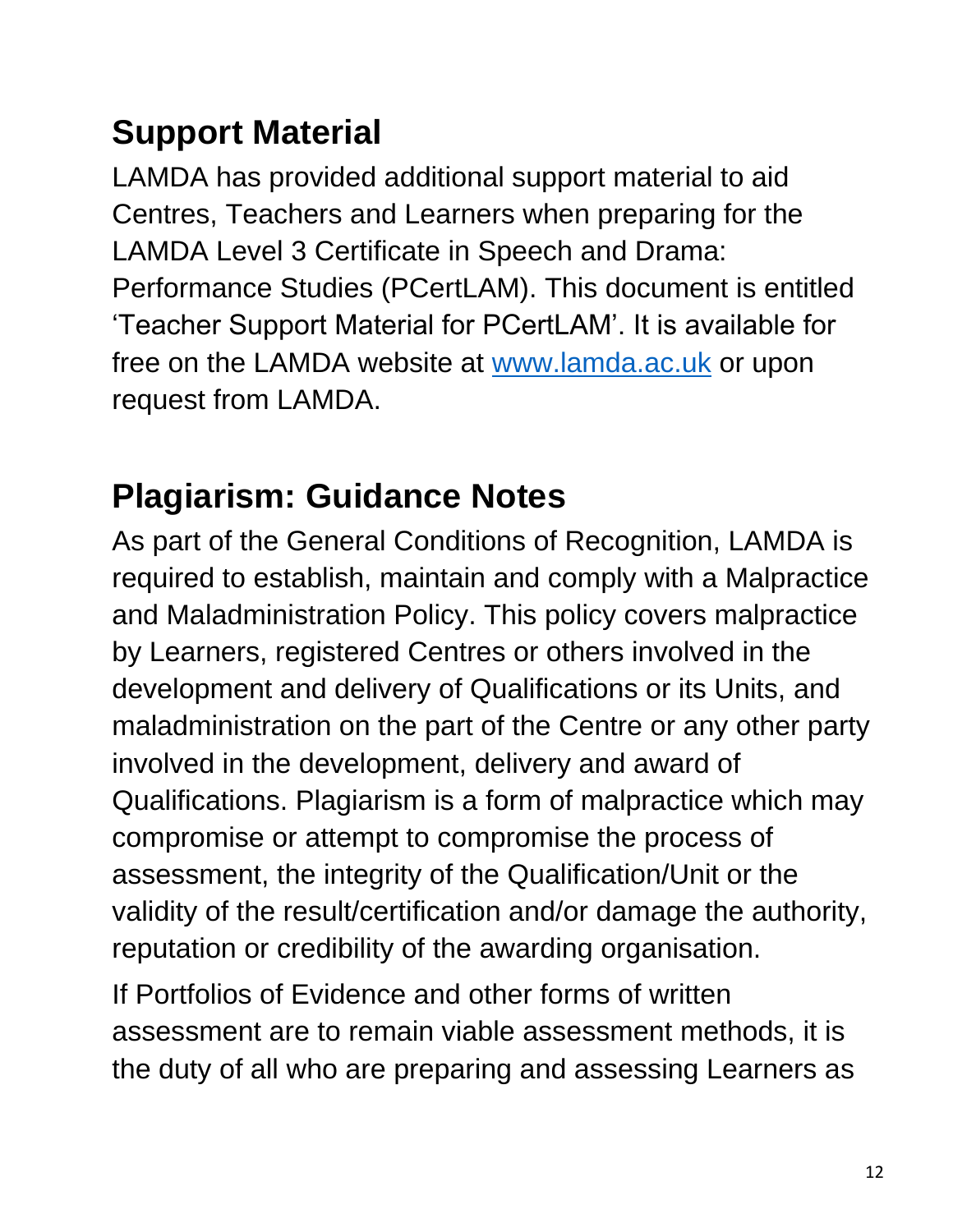## **Support Material**

LAMDA has provided additional support material to aid Centres, Teachers and Learners when preparing for the LAMDA Level 3 Certificate in Speech and Drama: Performance Studies (PCertLAM). This document is entitled 'Teacher Support Material for PCertLAM'. It is available for free on the LAMDA website at [www.lamda.ac.uk](http://www.lamda.ac.uk/) or upon request from LAMDA.

## **Plagiarism: Guidance Notes**

As part of the General Conditions of Recognition, LAMDA is required to establish, maintain and comply with a Malpractice and Maladministration Policy. This policy covers malpractice by Learners, registered Centres or others involved in the development and delivery of Qualifications or its Units, and maladministration on the part of the Centre or any other party involved in the development, delivery and award of Qualifications. Plagiarism is a form of malpractice which may compromise or attempt to compromise the process of assessment, the integrity of the Qualification/Unit or the validity of the result/certification and/or damage the authority, reputation or credibility of the awarding organisation.

If Portfolios of Evidence and other forms of written assessment are to remain viable assessment methods, it is the duty of all who are preparing and assessing Learners as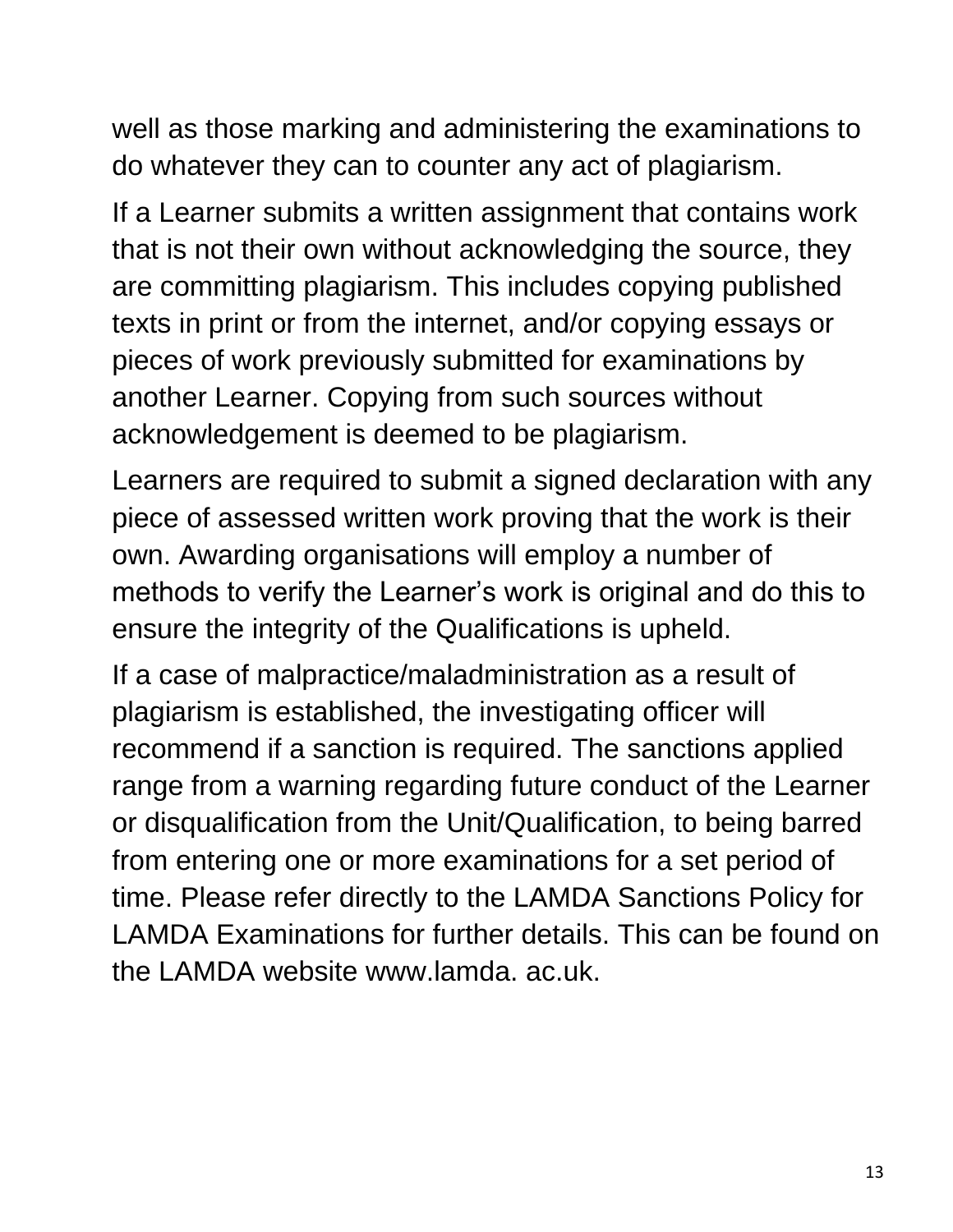well as those marking and administering the examinations to do whatever they can to counter any act of plagiarism.

If a Learner submits a written assignment that contains work that is not their own without acknowledging the source, they are committing plagiarism. This includes copying published texts in print or from the internet, and/or copying essays or pieces of work previously submitted for examinations by another Learner. Copying from such sources without acknowledgement is deemed to be plagiarism.

Learners are required to submit a signed declaration with any piece of assessed written work proving that the work is their own. Awarding organisations will employ a number of methods to verify the Learner's work is original and do this to ensure the integrity of the Qualifications is upheld.

If a case of malpractice/maladministration as a result of plagiarism is established, the investigating officer will recommend if a sanction is required. The sanctions applied range from a warning regarding future conduct of the Learner or disqualification from the Unit/Qualification, to being barred from entering one or more examinations for a set period of time. Please refer directly to the LAMDA Sanctions Policy for LAMDA Examinations for further details. This can be found on the LAMDA website www.lamda. ac.uk.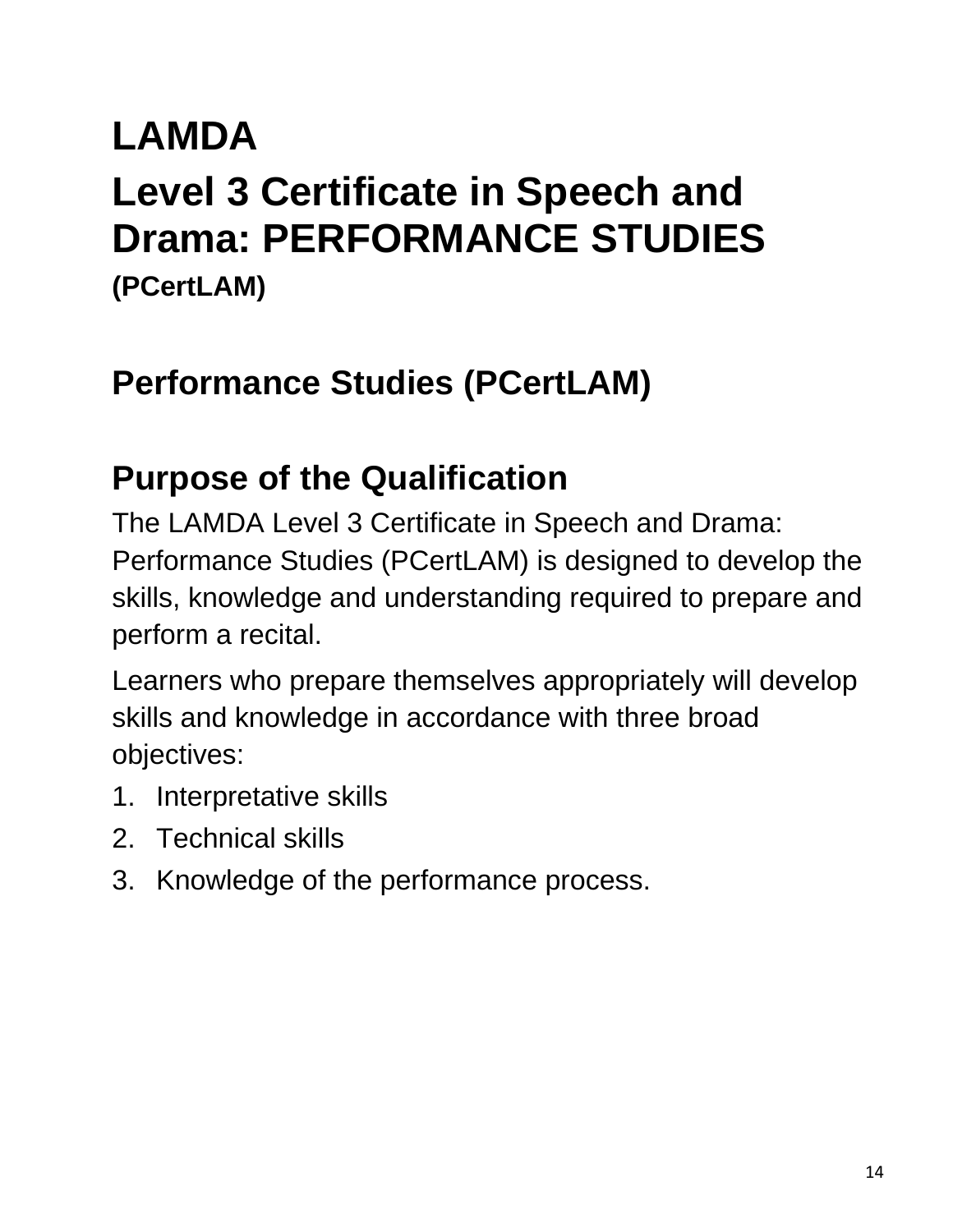# **LAMDA**

# **Level 3 Certificate in Speech and Drama: PERFORMANCE STUDIES**

**(PCertLAM)**

## **Performance Studies (PCertLAM)**

## **Purpose of the Qualification**

The LAMDA Level 3 Certificate in Speech and Drama: Performance Studies (PCertLAM) is designed to develop the skills, knowledge and understanding required to prepare and perform a recital.

Learners who prepare themselves appropriately will develop skills and knowledge in accordance with three broad objectives:

- 1. Interpretative skills
- 2. Technical skills
- 3. Knowledge of the performance process.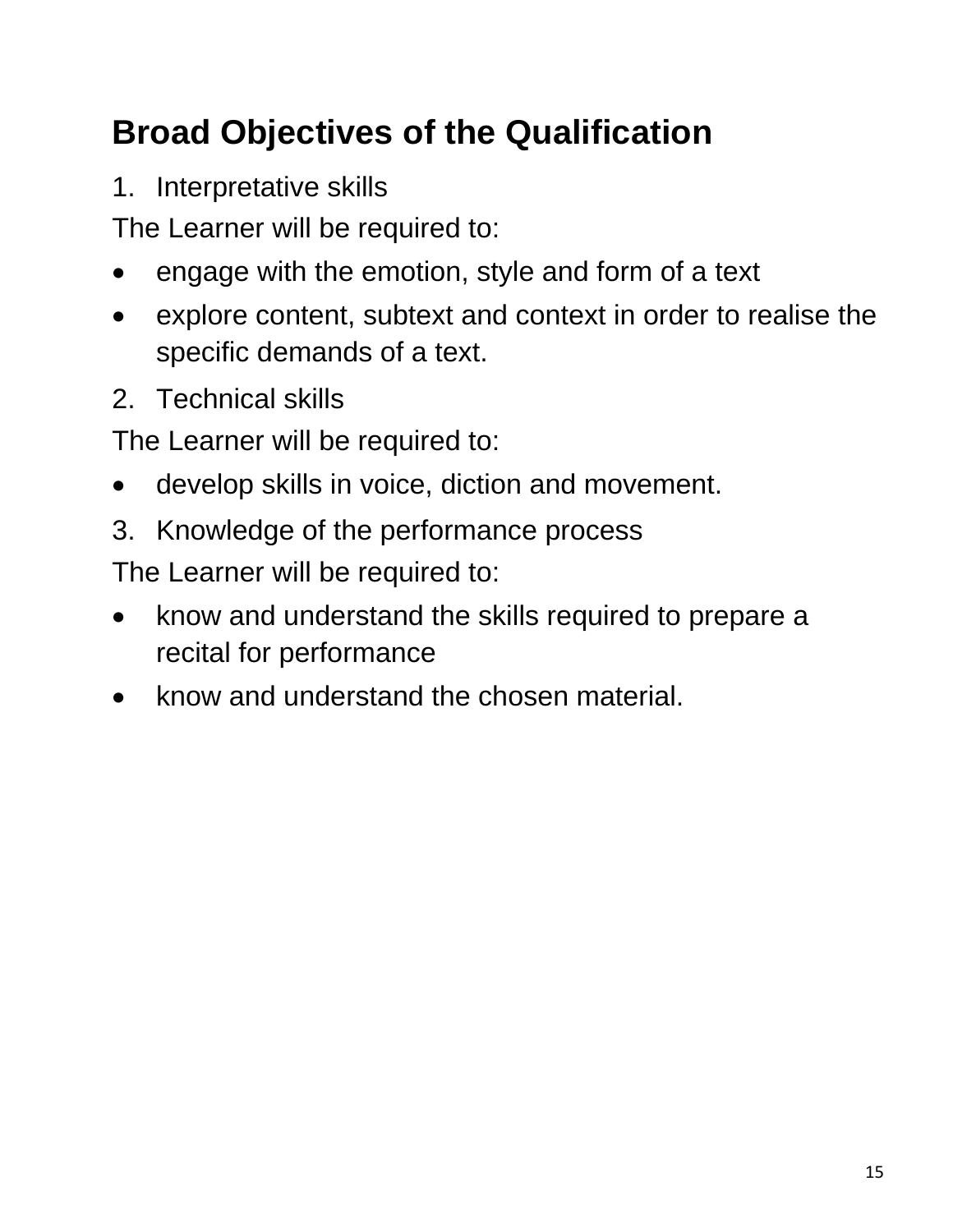# **Broad Objectives of the Qualification**

1. Interpretative skills

The Learner will be required to:

- engage with the emotion, style and form of a text
- explore content, subtext and context in order to realise the specific demands of a text.
- 2. Technical skills

The Learner will be required to:

- develop skills in voice, diction and movement.
- 3. Knowledge of the performance process

The Learner will be required to:

- know and understand the skills required to prepare a recital for performance
- know and understand the chosen material.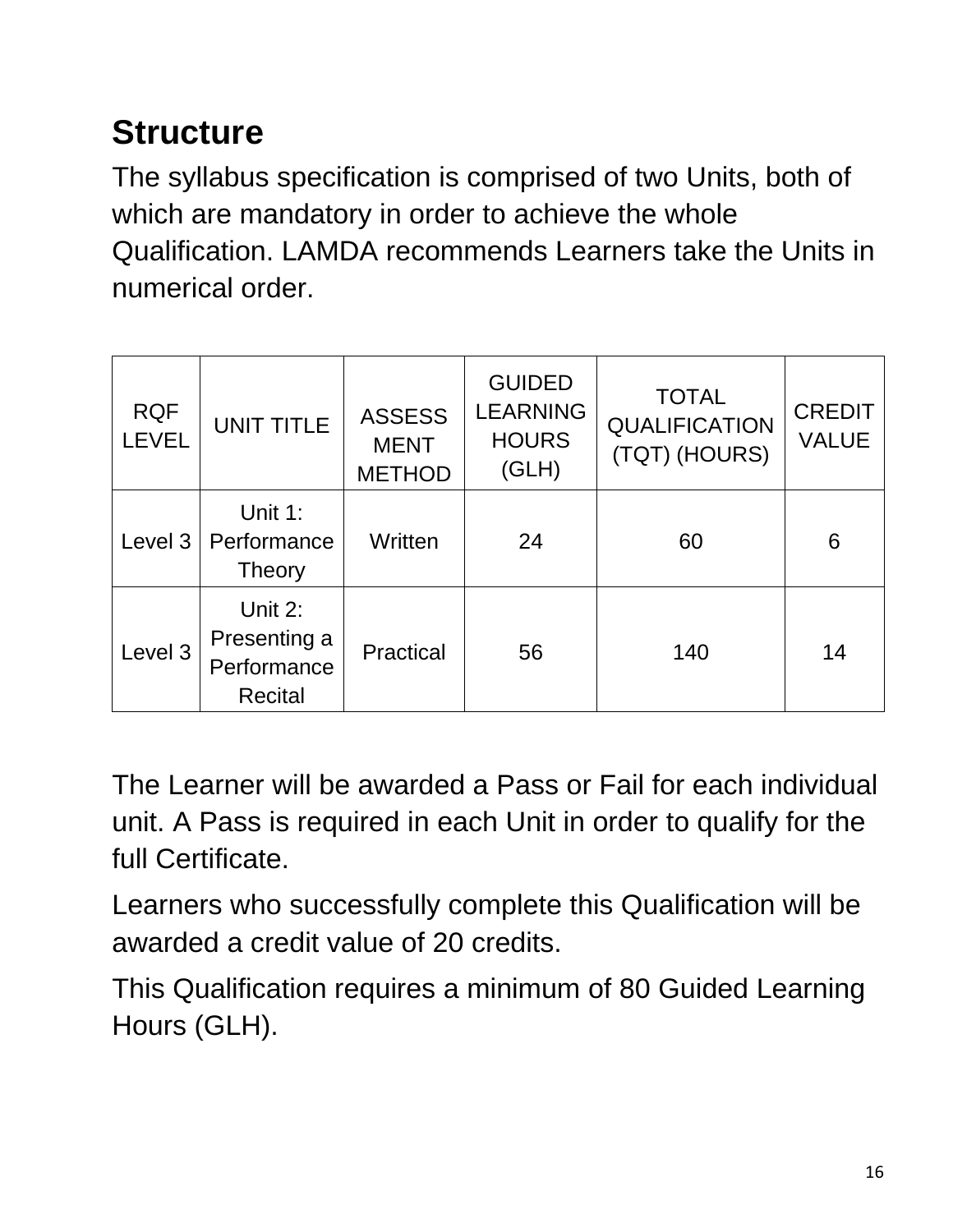# **Structure**

The syllabus specification is comprised of two Units, both of which are mandatory in order to achieve the whole Qualification. LAMDA recommends Learners take the Units in numerical order.

| <b>RQF</b><br><b>LEVEL</b> | <b>UNIT TITLE</b>                                        | <b>ASSESS</b><br><b>MENT</b><br><b>METHOD</b> | <b>GUIDED</b><br><b>LEARNING</b><br><b>HOURS</b><br>(GLH) | <b>TOTAL</b><br><b>QUALIFICATION</b><br>(TQT) (HOURS) | <b>CREDIT</b><br><b>VALUE</b> |
|----------------------------|----------------------------------------------------------|-----------------------------------------------|-----------------------------------------------------------|-------------------------------------------------------|-------------------------------|
| Level 3                    | Unit 1:<br>Performance<br>Theory                         | Written                                       | 24                                                        | 60                                                    | 6                             |
| Level 3                    | Unit 2:<br>Presenting a<br>Performance<br><b>Recital</b> | Practical                                     | 56                                                        | 140                                                   | 14                            |

The Learner will be awarded a Pass or Fail for each individual unit. A Pass is required in each Unit in order to qualify for the full Certificate.

Learners who successfully complete this Qualification will be awarded a credit value of 20 credits.

This Qualification requires a minimum of 80 Guided Learning Hours (GLH).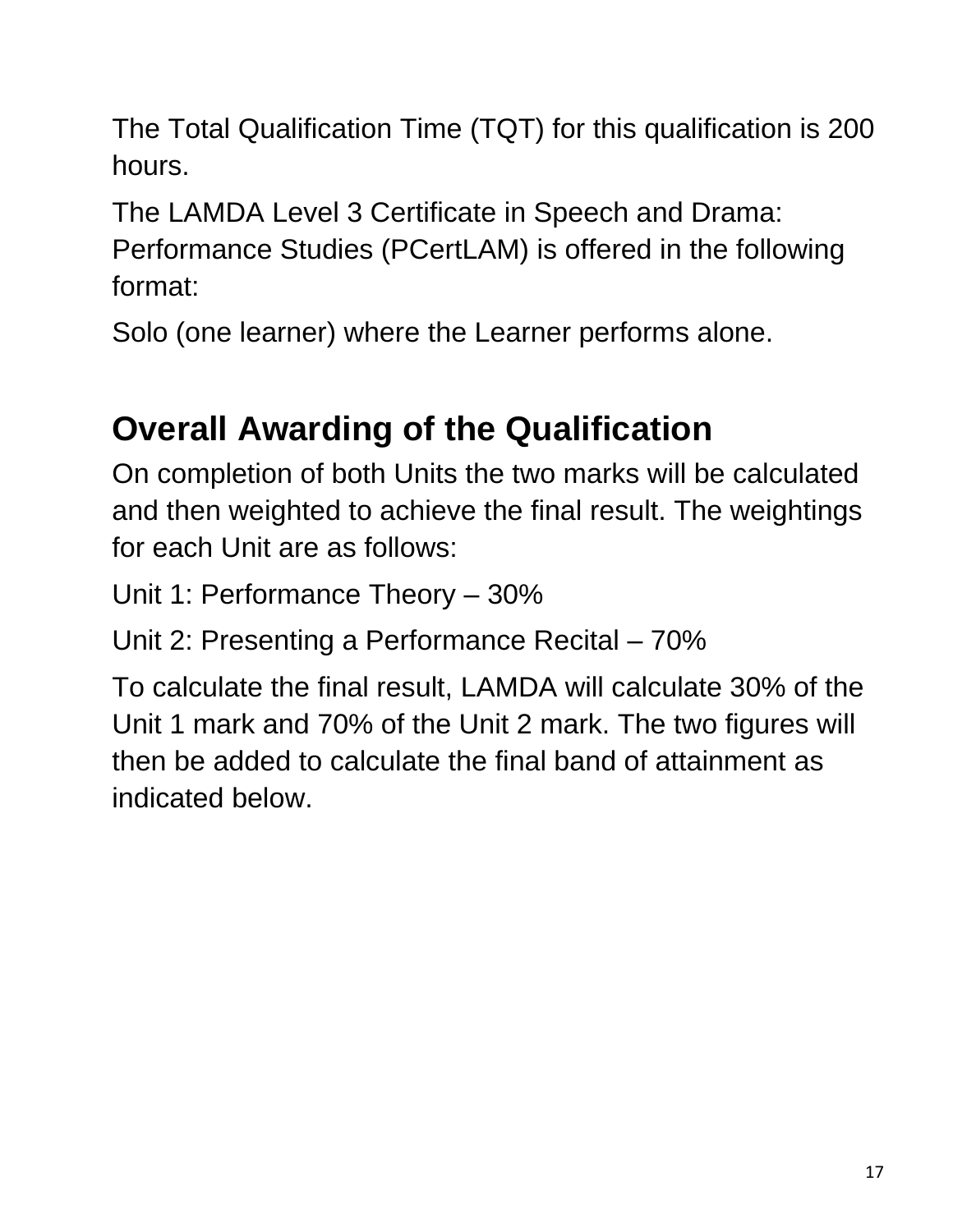The Total Qualification Time (TQT) for this qualification is 200 hours.

The LAMDA Level 3 Certificate in Speech and Drama: Performance Studies (PCertLAM) is offered in the following format:

Solo (one learner) where the Learner performs alone.

# **Overall Awarding of the Qualification**

On completion of both Units the two marks will be calculated and then weighted to achieve the final result. The weightings for each Unit are as follows:

Unit 1: Performance Theory – 30%

Unit 2: Presenting a Performance Recital – 70%

To calculate the final result, LAMDA will calculate 30% of the Unit 1 mark and 70% of the Unit 2 mark. The two figures will then be added to calculate the final band of attainment as indicated below.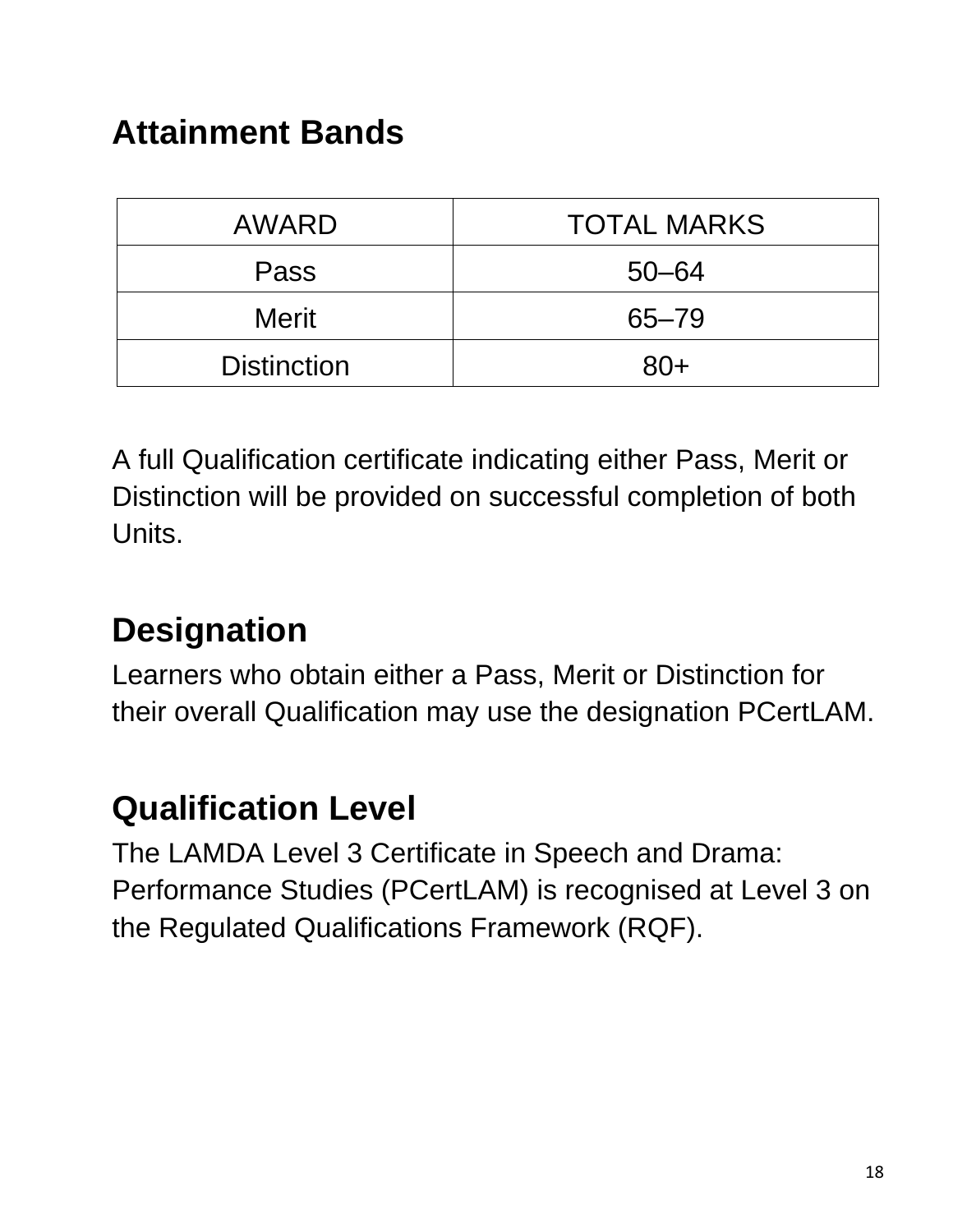### **Attainment Bands**

| AWARD              | <b>TOTAL MARKS</b> |  |
|--------------------|--------------------|--|
| Pass               | $50 - 64$          |  |
| <b>Merit</b>       | $65 - 79$          |  |
| <b>Distinction</b> | $80+$              |  |

A full Qualification certificate indicating either Pass, Merit or Distinction will be provided on successful completion of both Units.

## **Designation**

Learners who obtain either a Pass, Merit or Distinction for their overall Qualification may use the designation PCertLAM.

#### **Qualification Level**

The LAMDA Level 3 Certificate in Speech and Drama: Performance Studies (PCertLAM) is recognised at Level 3 on the Regulated Qualifications Framework (RQF).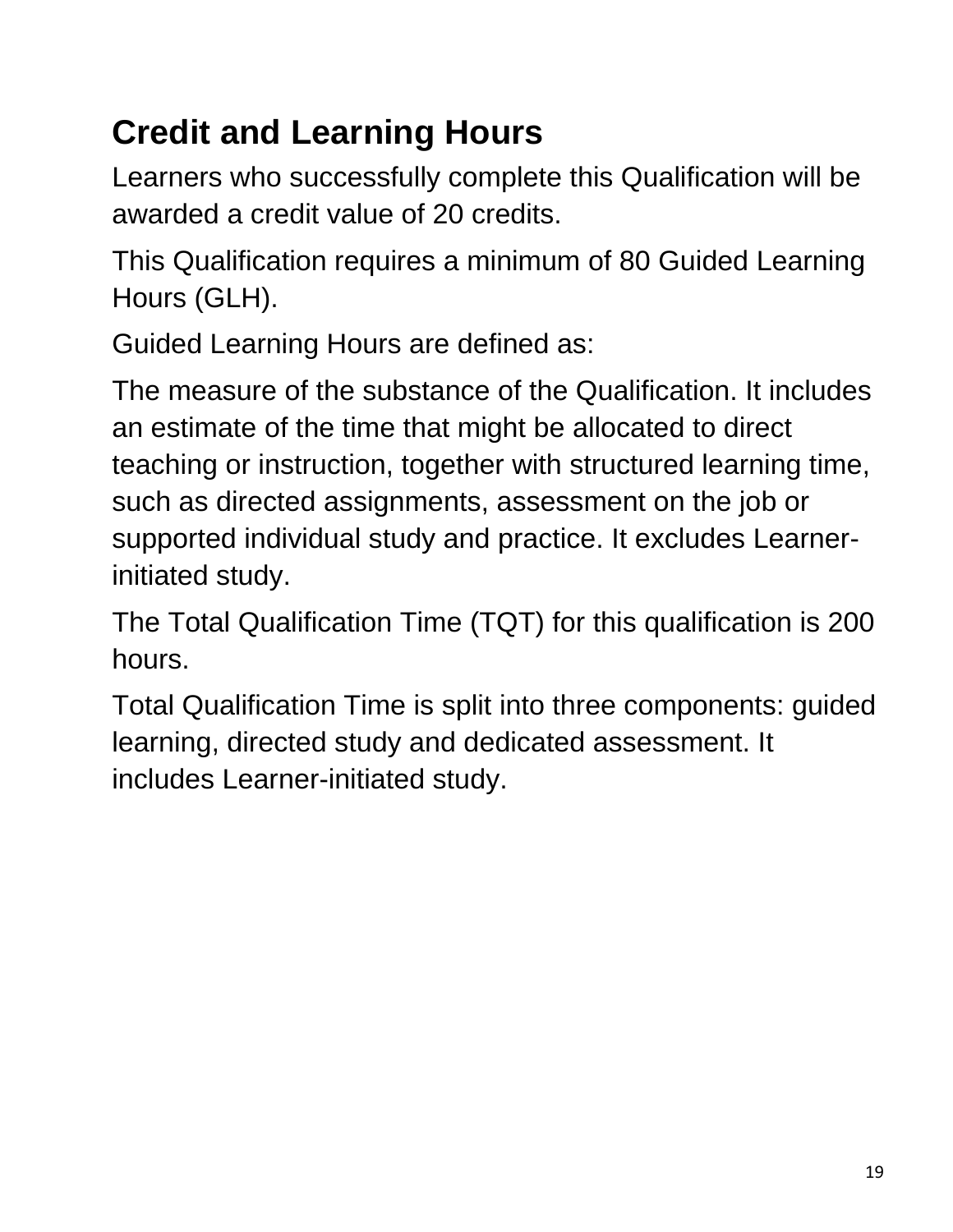# **Credit and Learning Hours**

Learners who successfully complete this Qualification will be awarded a credit value of 20 credits.

This Qualification requires a minimum of 80 Guided Learning Hours (GLH).

Guided Learning Hours are defined as:

The measure of the substance of the Qualification. It includes an estimate of the time that might be allocated to direct teaching or instruction, together with structured learning time, such as directed assignments, assessment on the job or supported individual study and practice. It excludes Learnerinitiated study.

The Total Qualification Time (TQT) for this qualification is 200 hours.

Total Qualification Time is split into three components: guided learning, directed study and dedicated assessment. It includes Learner-initiated study.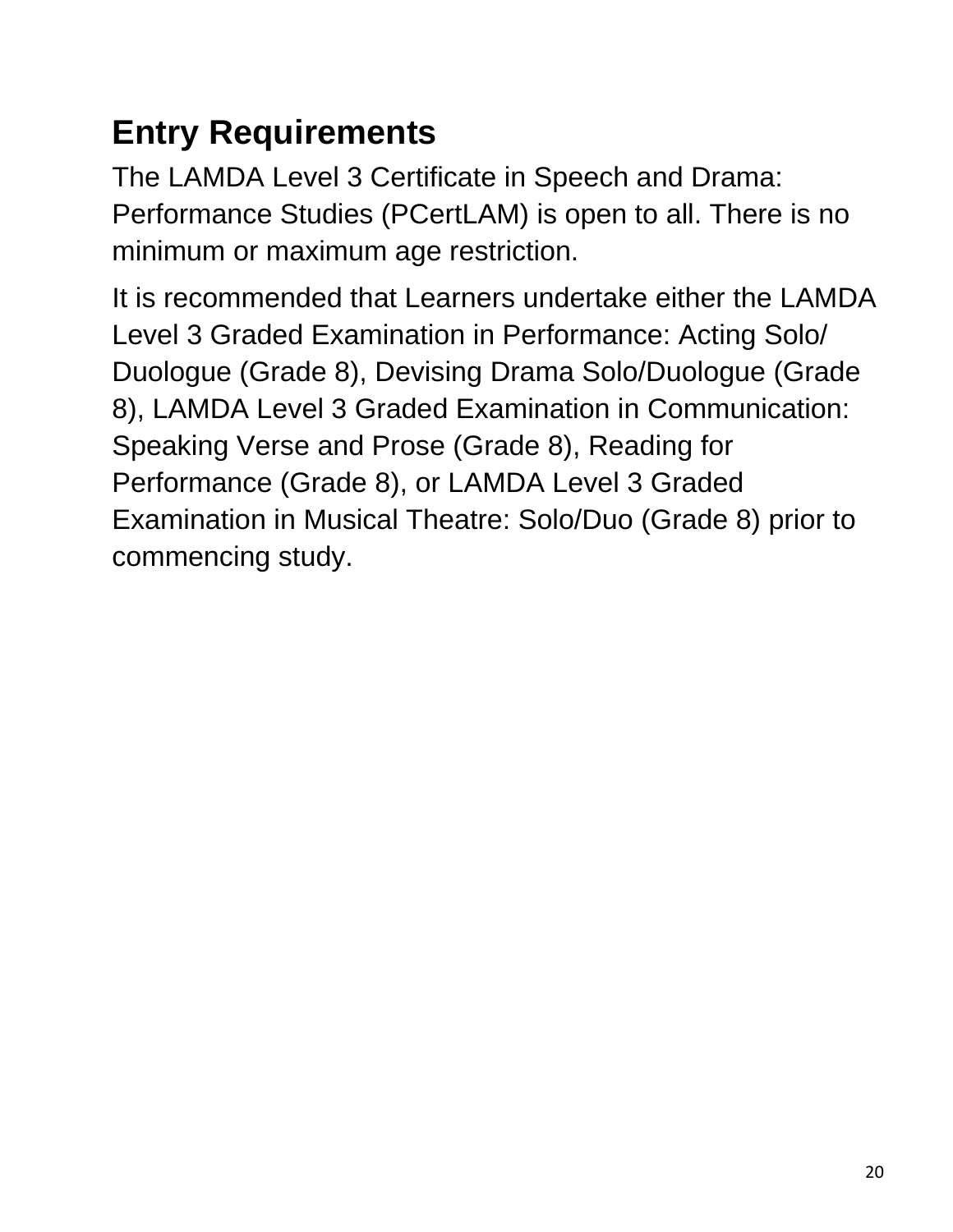# **Entry Requirements**

The LAMDA Level 3 Certificate in Speech and Drama: Performance Studies (PCertLAM) is open to all. There is no minimum or maximum age restriction.

It is recommended that Learners undertake either the LAMDA Level 3 Graded Examination in Performance: Acting Solo/ Duologue (Grade 8), Devising Drama Solo/Duologue (Grade 8), LAMDA Level 3 Graded Examination in Communication: Speaking Verse and Prose (Grade 8), Reading for Performance (Grade 8), or LAMDA Level 3 Graded Examination in Musical Theatre: Solo/Duo (Grade 8) prior to commencing study.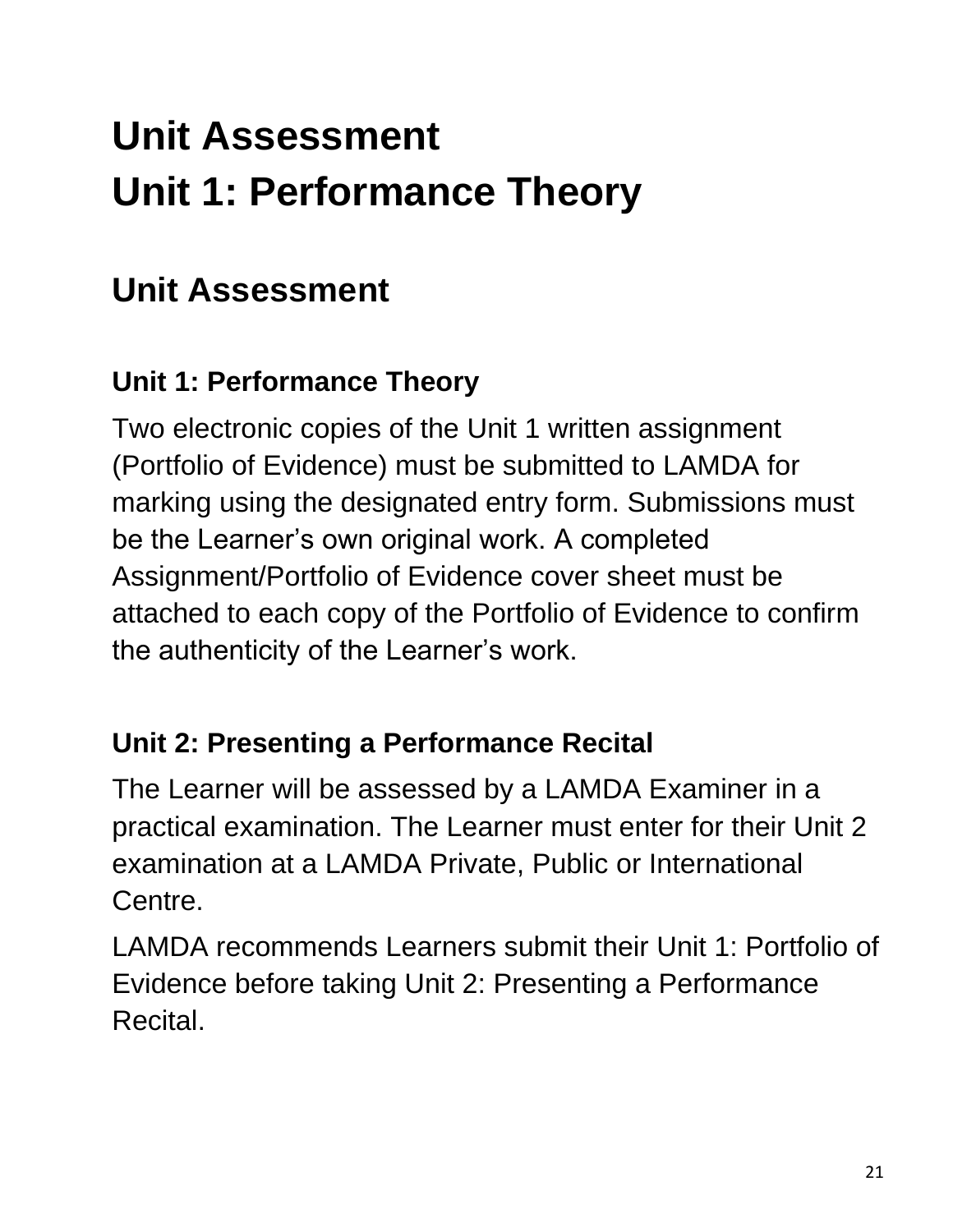# **Unit Assessment Unit 1: Performance Theory**

## **Unit Assessment**

#### **Unit 1: Performance Theory**

Two electronic copies of the Unit 1 written assignment (Portfolio of Evidence) must be submitted to LAMDA for marking using the designated entry form. Submissions must be the Learner's own original work. A completed Assignment/Portfolio of Evidence cover sheet must be attached to each copy of the Portfolio of Evidence to confirm the authenticity of the Learner's work.

#### **Unit 2: Presenting a Performance Recital**

The Learner will be assessed by a LAMDA Examiner in a practical examination. The Learner must enter for their Unit 2 examination at a LAMDA Private, Public or International Centre.

LAMDA recommends Learners submit their Unit 1: Portfolio of Evidence before taking Unit 2: Presenting a Performance Recital.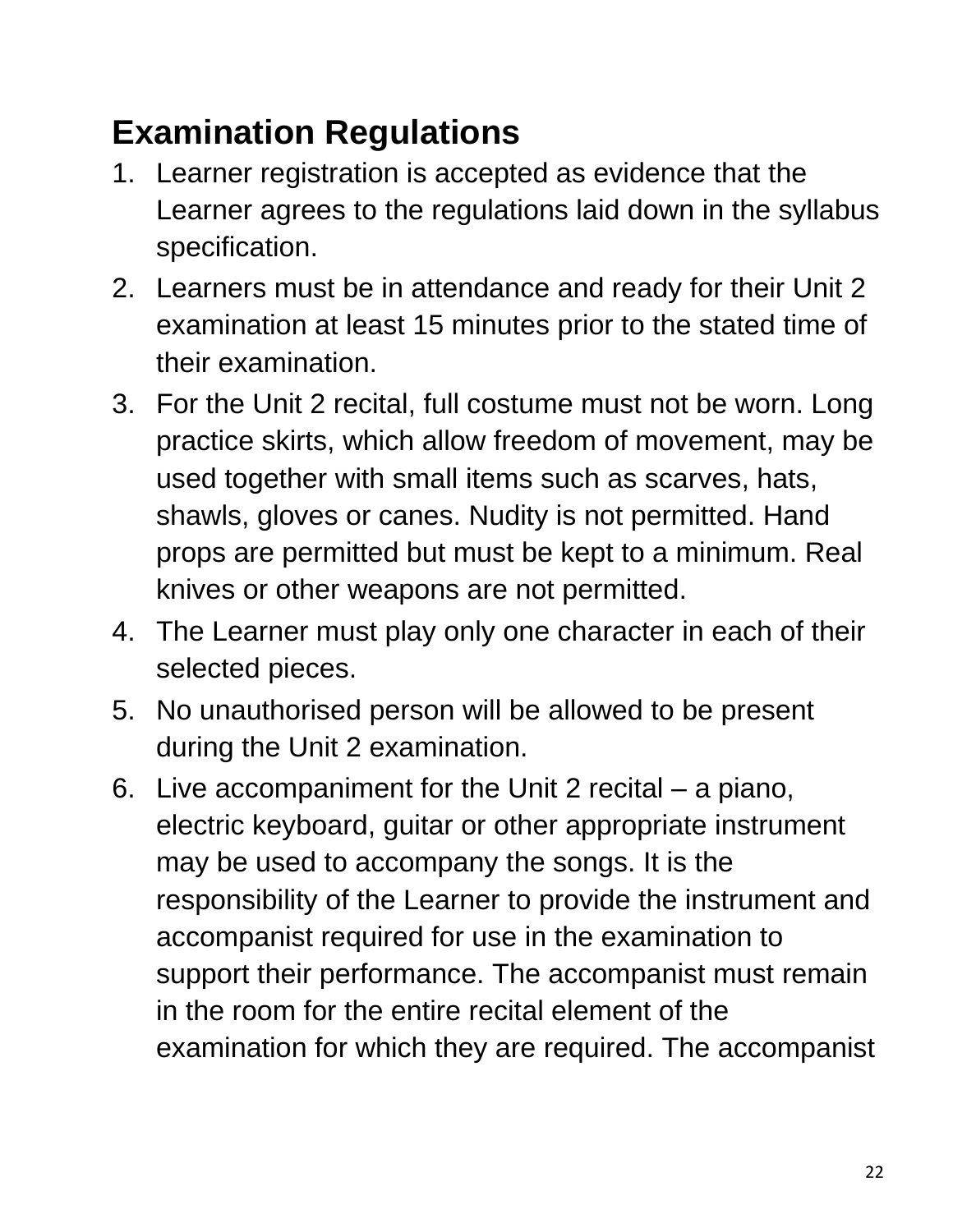# **Examination Regulations**

- 1. Learner registration is accepted as evidence that the Learner agrees to the regulations laid down in the syllabus specification.
- 2. Learners must be in attendance and ready for their Unit 2 examination at least 15 minutes prior to the stated time of their examination.
- 3. For the Unit 2 recital, full costume must not be worn. Long practice skirts, which allow freedom of movement, may be used together with small items such as scarves, hats, shawls, gloves or canes. Nudity is not permitted. Hand props are permitted but must be kept to a minimum. Real knives or other weapons are not permitted.
- 4. The Learner must play only one character in each of their selected pieces.
- 5. No unauthorised person will be allowed to be present during the Unit 2 examination.
- 6. Live accompaniment for the Unit 2 recital a piano, electric keyboard, guitar or other appropriate instrument may be used to accompany the songs. It is the responsibility of the Learner to provide the instrument and accompanist required for use in the examination to support their performance. The accompanist must remain in the room for the entire recital element of the examination for which they are required. The accompanist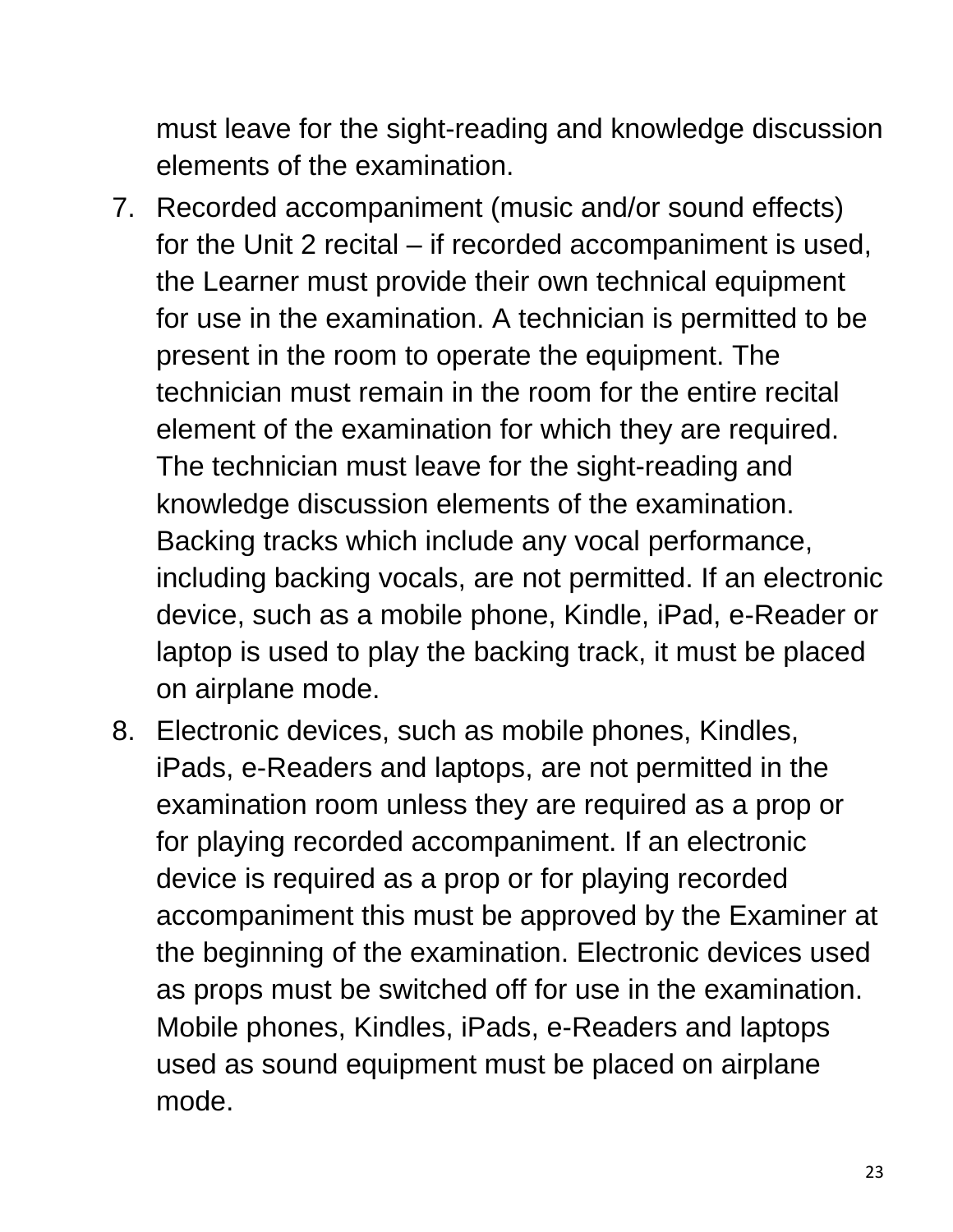must leave for the sight-reading and knowledge discussion elements of the examination.

- 7. Recorded accompaniment (music and/or sound effects) for the Unit 2 recital – if recorded accompaniment is used, the Learner must provide their own technical equipment for use in the examination. A technician is permitted to be present in the room to operate the equipment. The technician must remain in the room for the entire recital element of the examination for which they are required. The technician must leave for the sight-reading and knowledge discussion elements of the examination. Backing tracks which include any vocal performance, including backing vocals, are not permitted. If an electronic device, such as a mobile phone, Kindle, iPad, e-Reader or laptop is used to play the backing track, it must be placed on airplane mode.
- 8. Electronic devices, such as mobile phones, Kindles, iPads, e-Readers and laptops, are not permitted in the examination room unless they are required as a prop or for playing recorded accompaniment. If an electronic device is required as a prop or for playing recorded accompaniment this must be approved by the Examiner at the beginning of the examination. Electronic devices used as props must be switched off for use in the examination. Mobile phones, Kindles, iPads, e-Readers and laptops used as sound equipment must be placed on airplane mode.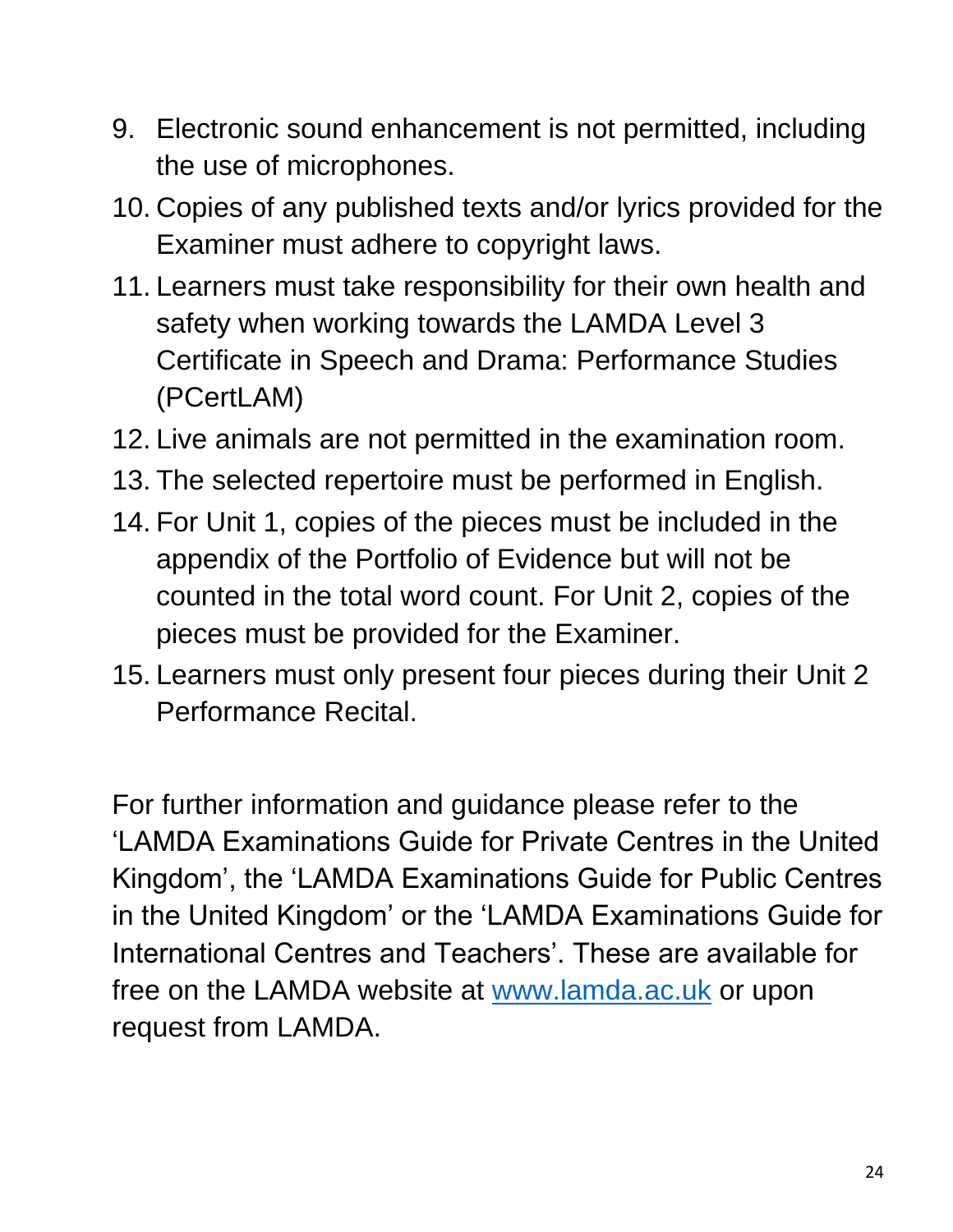- 9. Electronic sound enhancement is not permitted, including the use of microphones.
- 10. Copies of any published texts and/or lyrics provided for the Examiner must adhere to copyright laws.
- 11. Learners must take responsibility for their own health and safety when working towards the LAMDA Level 3 Certificate in Speech and Drama: Performance Studies (PCertLAM)
- 12. Live animals are not permitted in the examination room.
- 13. The selected repertoire must be performed in English.
- 14. For Unit 1, copies of the pieces must be included in the appendix of the Portfolio of Evidence but will not be counted in the total word count. For Unit 2, copies of the pieces must be provided for the Examiner.
- 15. Learners must only present four pieces during their Unit 2 Performance Recital.

For further information and guidance please refer to the 'LAMDA Examinations Guide for Private Centres in the United Kingdom', the 'LAMDA Examinations Guide for Public Centres in the United Kingdom' or the 'LAMDA Examinations Guide for International Centres and Teachers'. These are available for free on the LAMDA website at [www.lamda.ac.uk](http://www.lamda.ac.uk/) or upon request from LAMDA.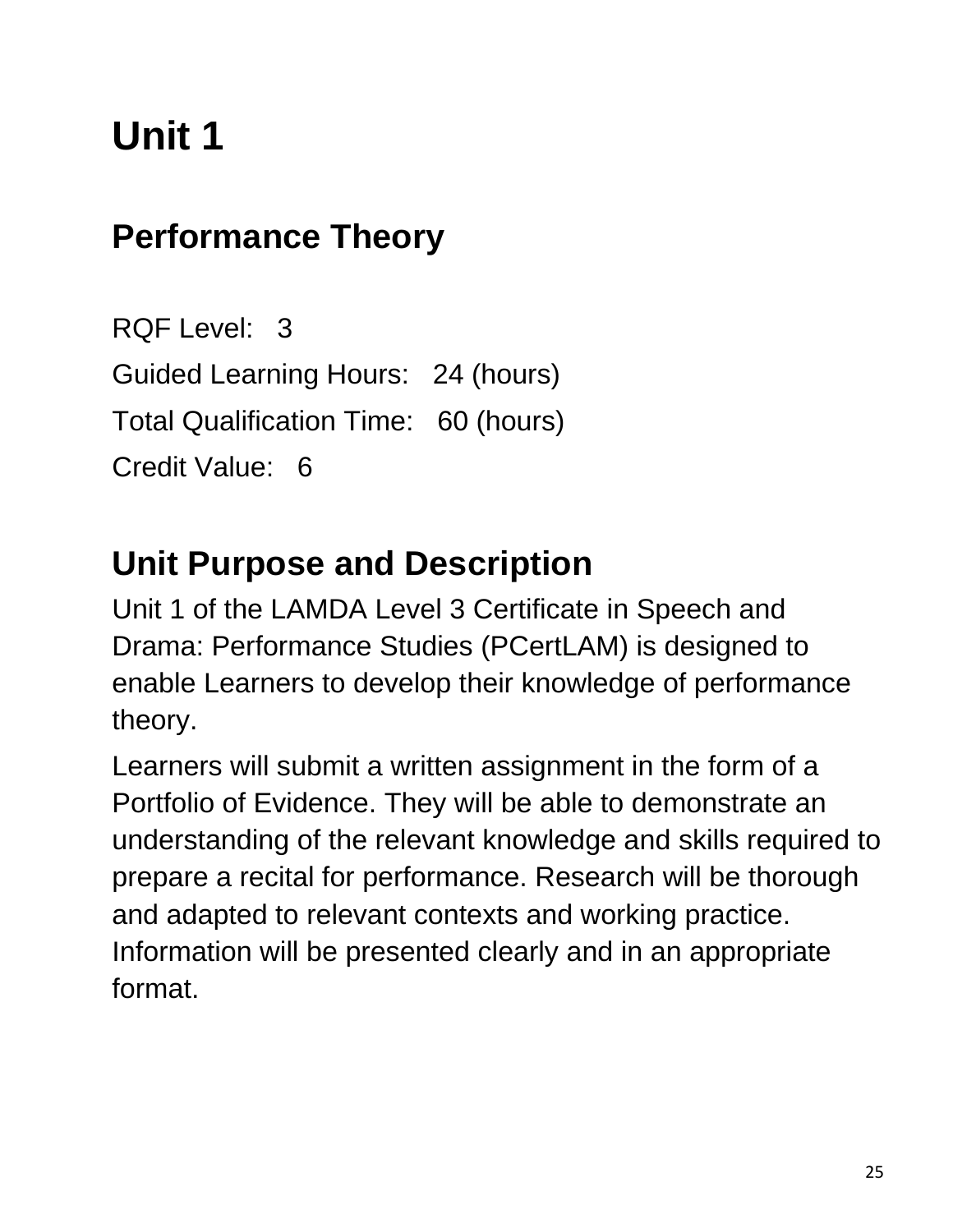# **Unit 1**

### **Performance Theory**

RQF Level: 3 Guided Learning Hours: 24 (hours) Total Qualification Time: 60 (hours) Credit Value: 6

### **Unit Purpose and Description**

Unit 1 of the LAMDA Level 3 Certificate in Speech and Drama: Performance Studies (PCertLAM) is designed to enable Learners to develop their knowledge of performance theory.

Learners will submit a written assignment in the form of a Portfolio of Evidence. They will be able to demonstrate an understanding of the relevant knowledge and skills required to prepare a recital for performance. Research will be thorough and adapted to relevant contexts and working practice. Information will be presented clearly and in an appropriate format.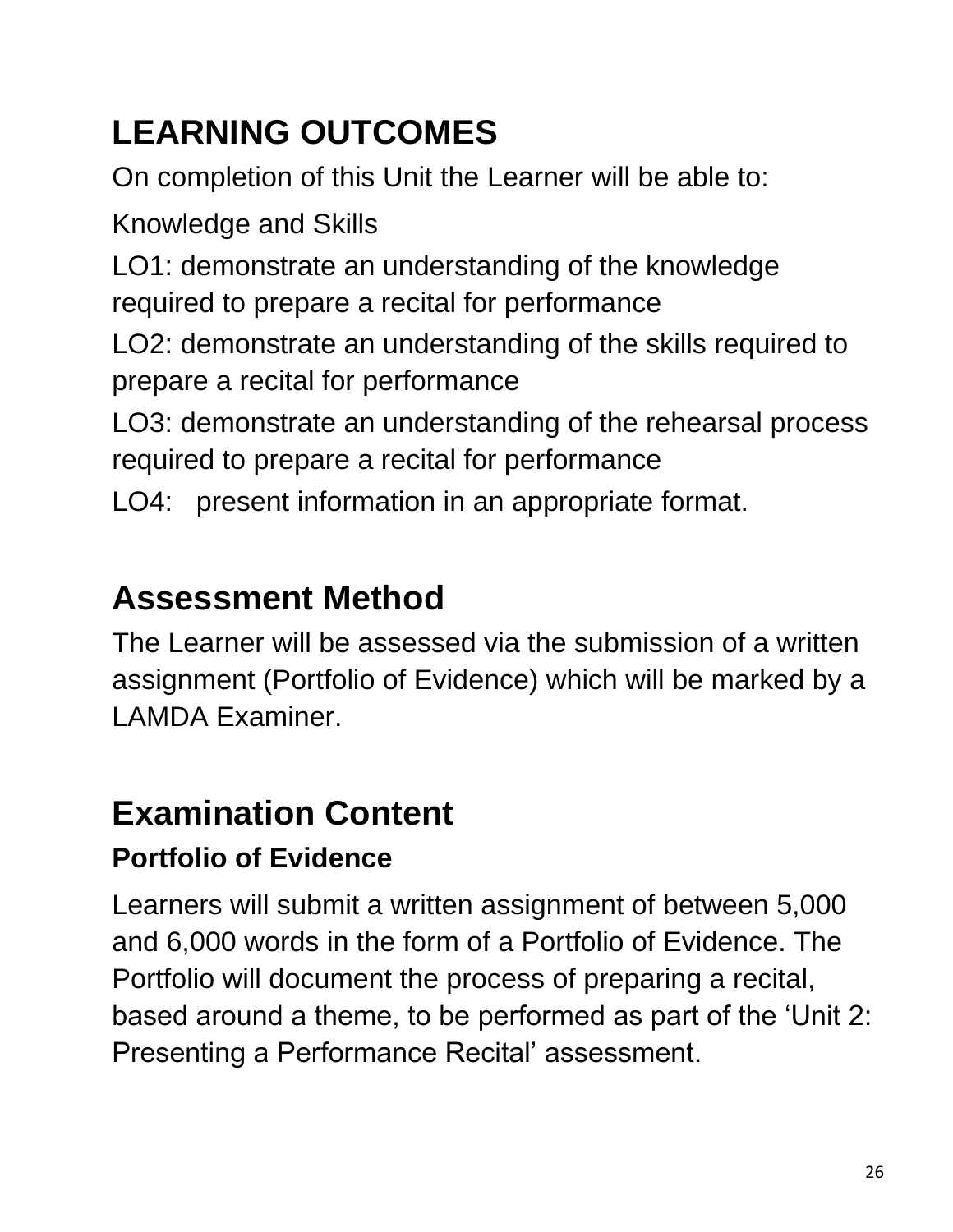# **LEARNING OUTCOMES**

On completion of this Unit the Learner will be able to:

Knowledge and Skills

LO1: demonstrate an understanding of the knowledge required to prepare a recital for performance

LO2: demonstrate an understanding of the skills required to prepare a recital for performance

LO3: demonstrate an understanding of the rehearsal process required to prepare a recital for performance

LO4: present information in an appropriate format.

# **Assessment Method**

The Learner will be assessed via the submission of a written assignment (Portfolio of Evidence) which will be marked by a LAMDA Examiner.

### **Examination Content**

#### **Portfolio of Evidence**

Learners will submit a written assignment of between 5,000 and 6,000 words in the form of a Portfolio of Evidence. The Portfolio will document the process of preparing a recital, based around a theme, to be performed as part of the 'Unit 2: Presenting a Performance Recital' assessment.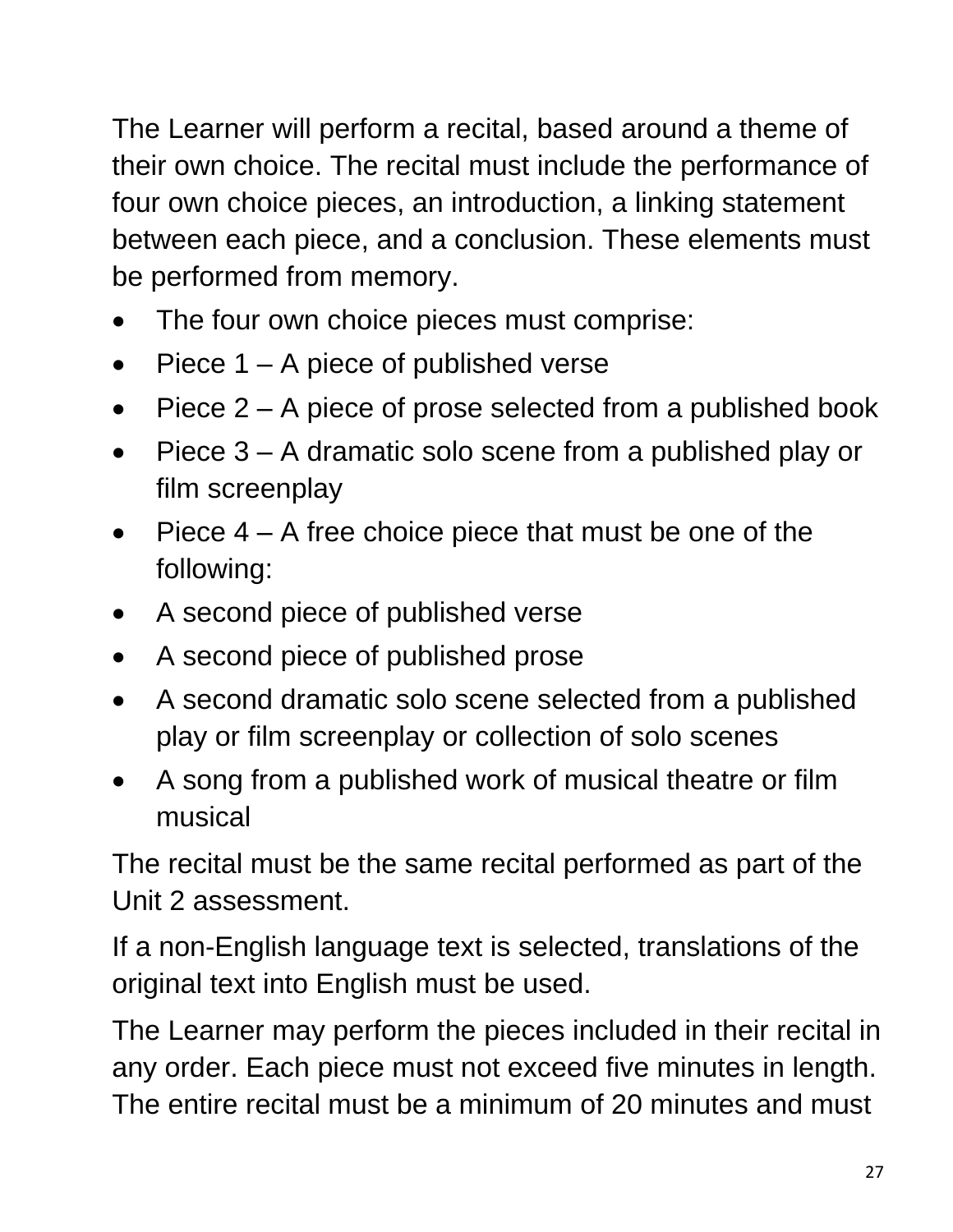The Learner will perform a recital, based around a theme of their own choice. The recital must include the performance of four own choice pieces, an introduction, a linking statement between each piece, and a conclusion. These elements must be performed from memory.

- The four own choice pieces must comprise:
- Piece  $1 A$  piece of published verse
- Piece 2 A piece of prose selected from a published book
- Piece 3 A dramatic solo scene from a published play or film screenplay
- Piece  $4 A$  free choice piece that must be one of the following:
- A second piece of published verse
- A second piece of published prose
- A second dramatic solo scene selected from a published play or film screenplay or collection of solo scenes
- A song from a published work of musical theatre or film musical

The recital must be the same recital performed as part of the Unit 2 assessment.

If a non-English language text is selected, translations of the original text into English must be used.

The Learner may perform the pieces included in their recital in any order. Each piece must not exceed five minutes in length. The entire recital must be a minimum of 20 minutes and must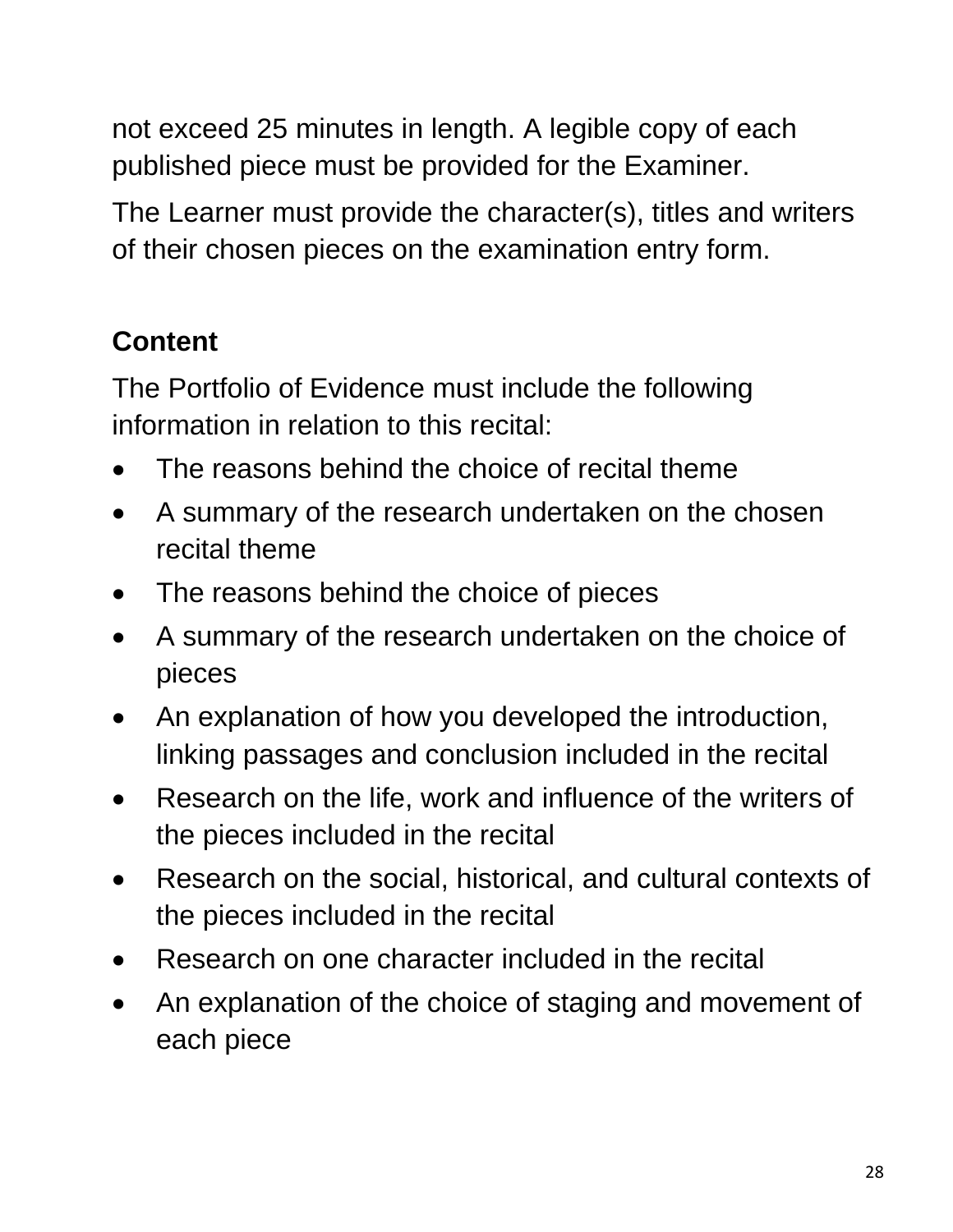not exceed 25 minutes in length. A legible copy of each published piece must be provided for the Examiner.

The Learner must provide the character(s), titles and writers of their chosen pieces on the examination entry form.

#### **Content**

The Portfolio of Evidence must include the following information in relation to this recital:

- The reasons behind the choice of recital theme
- A summary of the research undertaken on the chosen recital theme
- The reasons behind the choice of pieces
- A summary of the research undertaken on the choice of pieces
- An explanation of how you developed the introduction, linking passages and conclusion included in the recital
- Research on the life, work and influence of the writers of the pieces included in the recital
- Research on the social, historical, and cultural contexts of the pieces included in the recital
- Research on one character included in the recital
- An explanation of the choice of staging and movement of each piece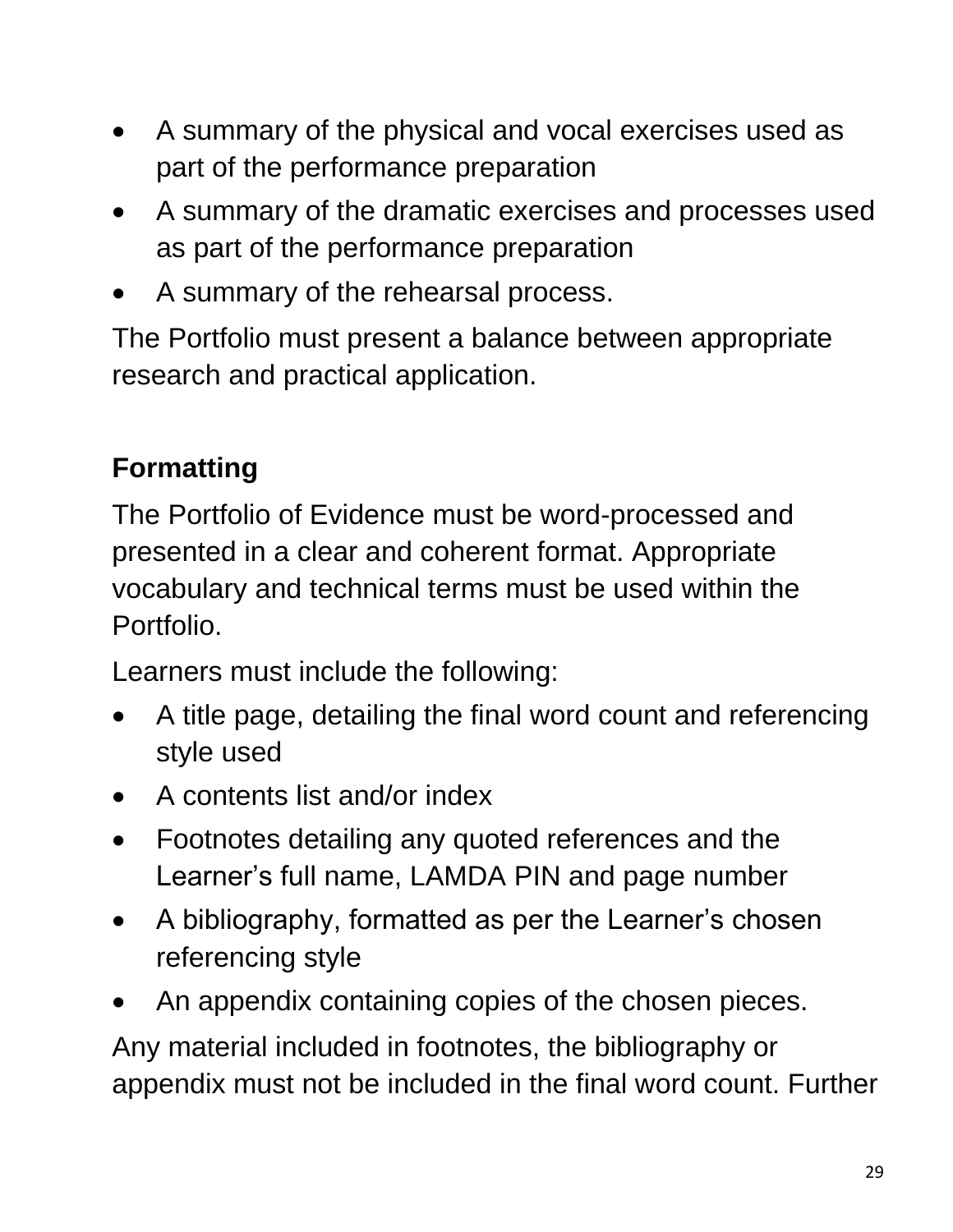- A summary of the physical and vocal exercises used as part of the performance preparation
- A summary of the dramatic exercises and processes used as part of the performance preparation
- A summary of the rehearsal process.

The Portfolio must present a balance between appropriate research and practical application.

#### **Formatting**

The Portfolio of Evidence must be word-processed and presented in a clear and coherent format. Appropriate vocabulary and technical terms must be used within the Portfolio.

Learners must include the following:

- A title page, detailing the final word count and referencing style used
- A contents list and/or index
- Footnotes detailing any quoted references and the Learner's full name, LAMDA PIN and page number
- A bibliography, formatted as per the Learner's chosen referencing style
- An appendix containing copies of the chosen pieces.

Any material included in footnotes, the bibliography or appendix must not be included in the final word count. Further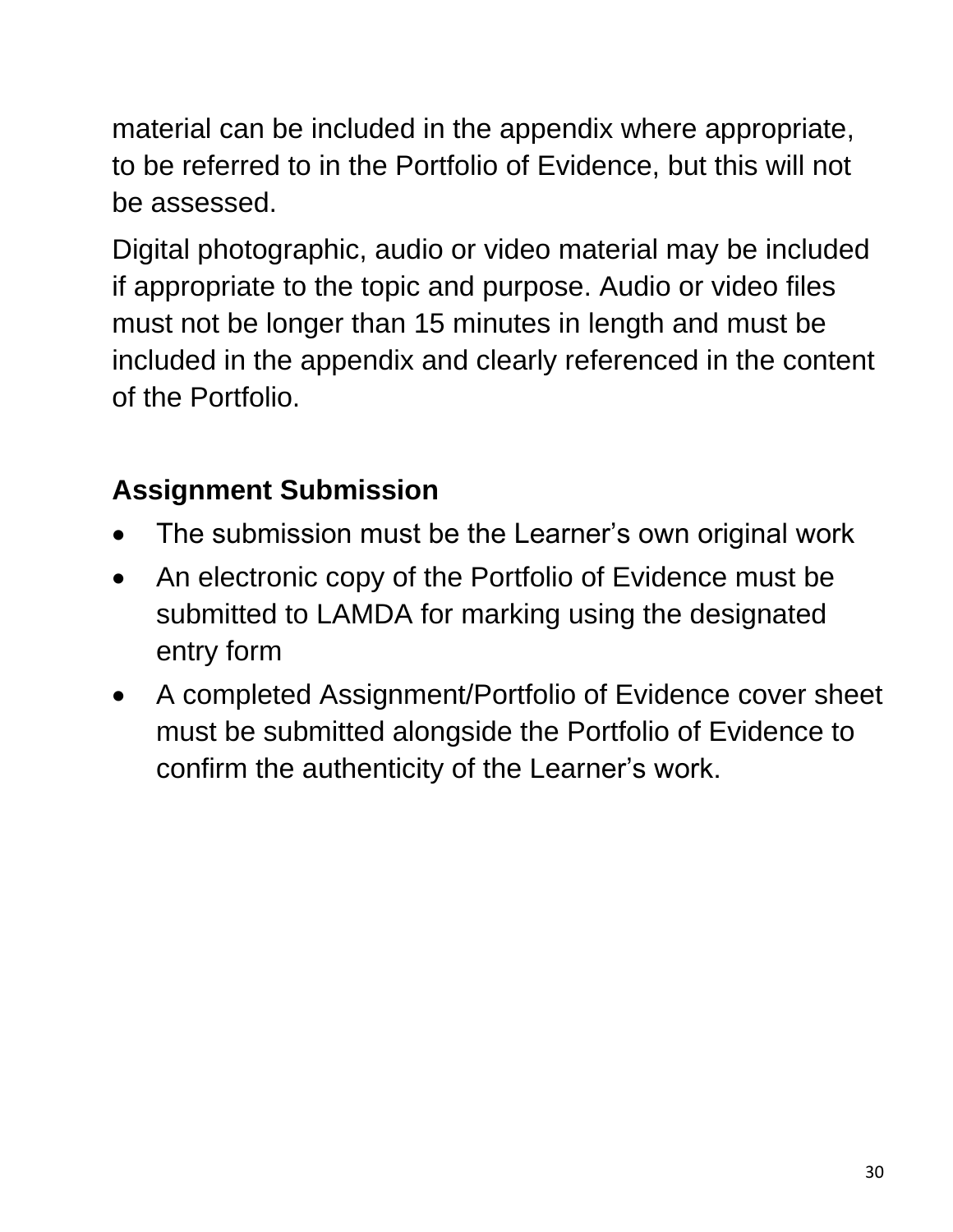material can be included in the appendix where appropriate, to be referred to in the Portfolio of Evidence, but this will not be assessed.

Digital photographic, audio or video material may be included if appropriate to the topic and purpose. Audio or video files must not be longer than 15 minutes in length and must be included in the appendix and clearly referenced in the content of the Portfolio.

#### **Assignment Submission**

- The submission must be the Learner's own original work
- An electronic copy of the Portfolio of Evidence must be submitted to LAMDA for marking using the designated entry form
- A completed Assignment/Portfolio of Evidence cover sheet must be submitted alongside the Portfolio of Evidence to confirm the authenticity of the Learner's work.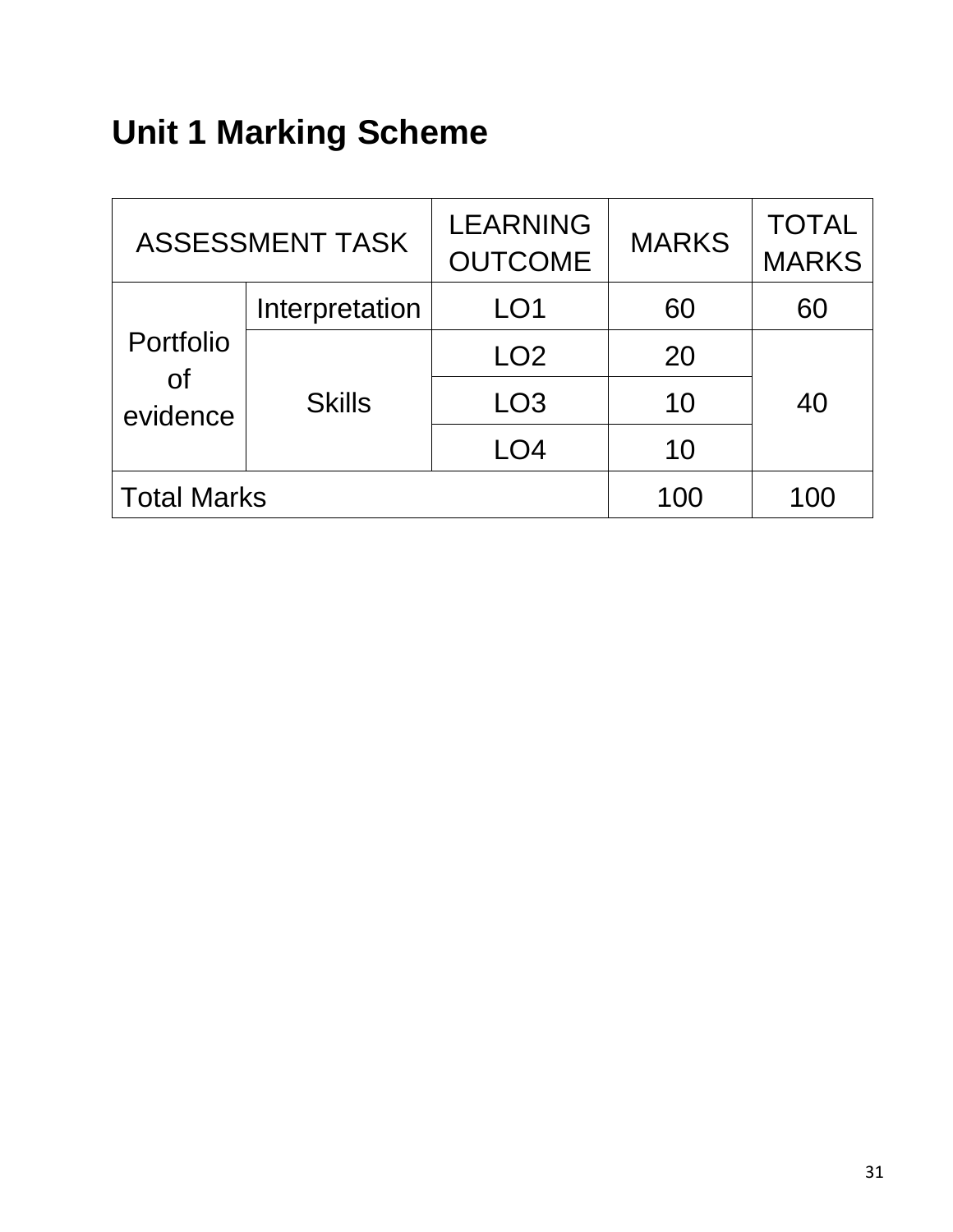# **Unit 1 Marking Scheme**

| <b>ASSESSMENT TASK</b>                     |                | <b>LEARNING</b><br><b>OUTCOME</b> | <b>MARKS</b> | <b>TOTAL</b><br><b>MARKS</b> |
|--------------------------------------------|----------------|-----------------------------------|--------------|------------------------------|
|                                            | Interpretation | LO <sub>1</sub>                   | 60           | 60                           |
| Portfolio                                  |                | LO <sub>2</sub>                   | 20           |                              |
| $\mathsf{of}$<br><b>Skills</b><br>evidence |                | LO <sub>3</sub>                   | 10           | 40                           |
|                                            |                | LO4                               | 10           |                              |
| <b>Total Marks</b>                         |                |                                   | 100          | 100                          |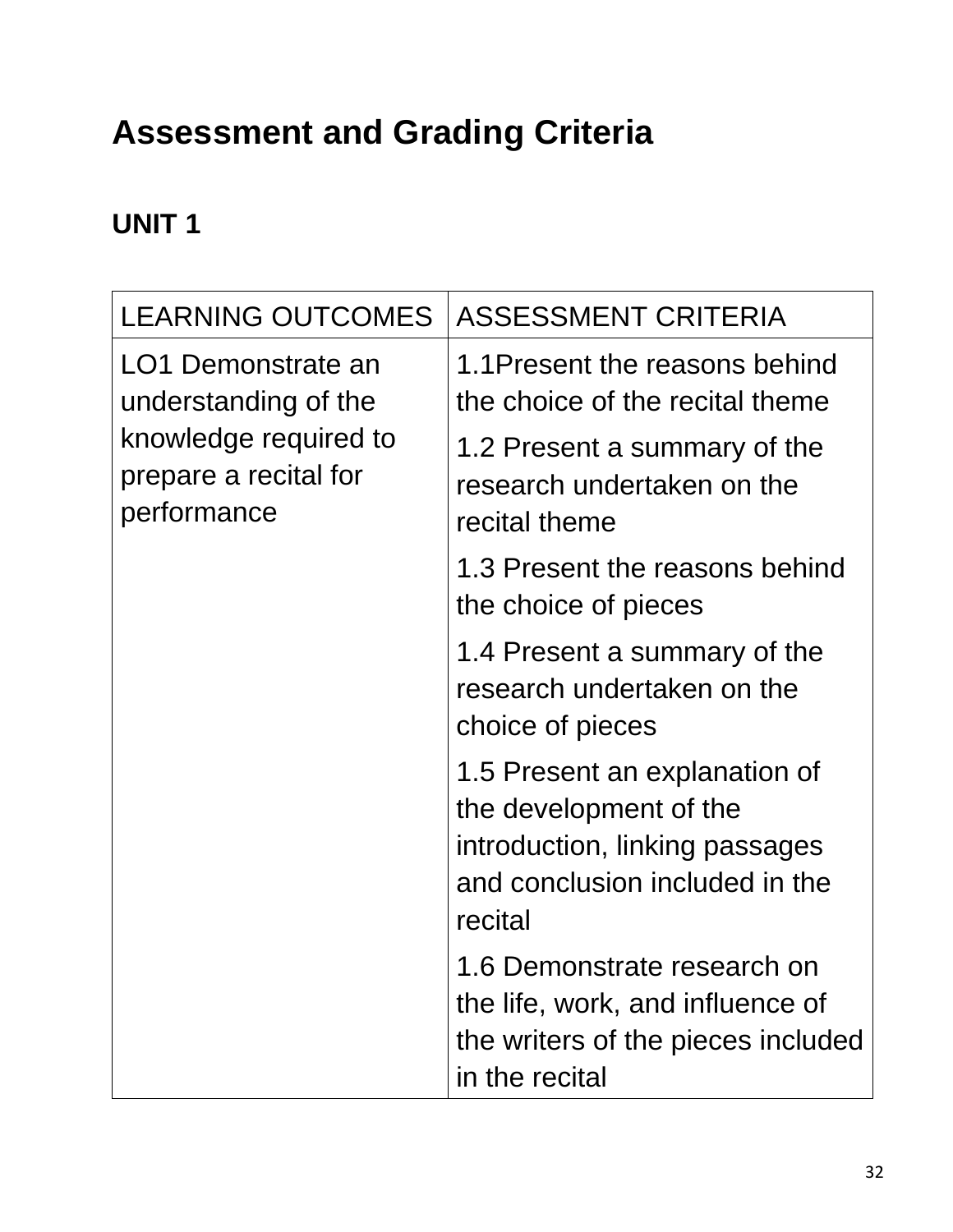# **Assessment and Grading Criteria**

#### **UNIT 1**

| <b>LEARNING OUTCOMES</b>                                                                                    | <b>ASSESSMENT CRITERIA</b>                                                                                                             |
|-------------------------------------------------------------------------------------------------------------|----------------------------------------------------------------------------------------------------------------------------------------|
| LO1 Demonstrate an<br>understanding of the<br>knowledge required to<br>prepare a recital for<br>performance | 1.1 Present the reasons behind<br>the choice of the recital theme                                                                      |
|                                                                                                             | 1.2 Present a summary of the<br>research undertaken on the<br>recital theme                                                            |
|                                                                                                             | 1.3 Present the reasons behind<br>the choice of pieces                                                                                 |
|                                                                                                             | 1.4 Present a summary of the<br>research undertaken on the<br>choice of pieces                                                         |
|                                                                                                             | 1.5 Present an explanation of<br>the development of the<br>introduction, linking passages<br>and conclusion included in the<br>recital |
|                                                                                                             | 1.6 Demonstrate research on<br>the life, work, and influence of<br>the writers of the pieces included<br>in the recital                |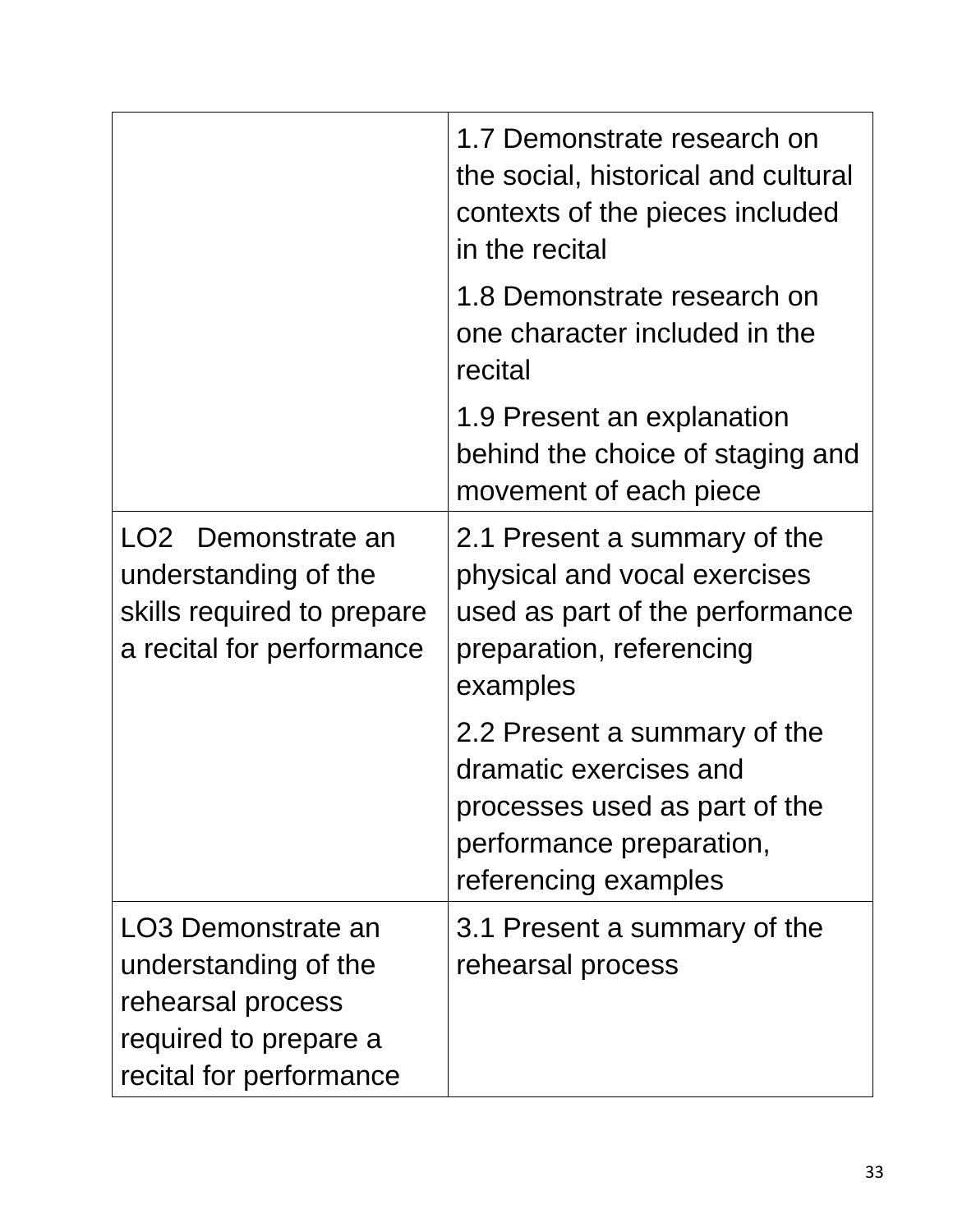|                                                                                                                     | 1.7 Demonstrate research on<br>the social, historical and cultural<br>contexts of the pieces included<br>in the recital                     |
|---------------------------------------------------------------------------------------------------------------------|---------------------------------------------------------------------------------------------------------------------------------------------|
|                                                                                                                     | 1.8 Demonstrate research on<br>one character included in the<br>recital                                                                     |
|                                                                                                                     | 1.9 Present an explanation<br>behind the choice of staging and<br>movement of each piece                                                    |
| LO2 Demonstrate an<br>understanding of the<br>skills required to prepare<br>a recital for performance               | 2.1 Present a summary of the<br>physical and vocal exercises<br>used as part of the performance<br>preparation, referencing<br>examples     |
|                                                                                                                     | 2.2 Present a summary of the<br>dramatic exercises and<br>processes used as part of the<br>performance preparation,<br>referencing examples |
| LO3 Demonstrate an<br>understanding of the<br>rehearsal process<br>required to prepare a<br>recital for performance | 3.1 Present a summary of the<br>rehearsal process                                                                                           |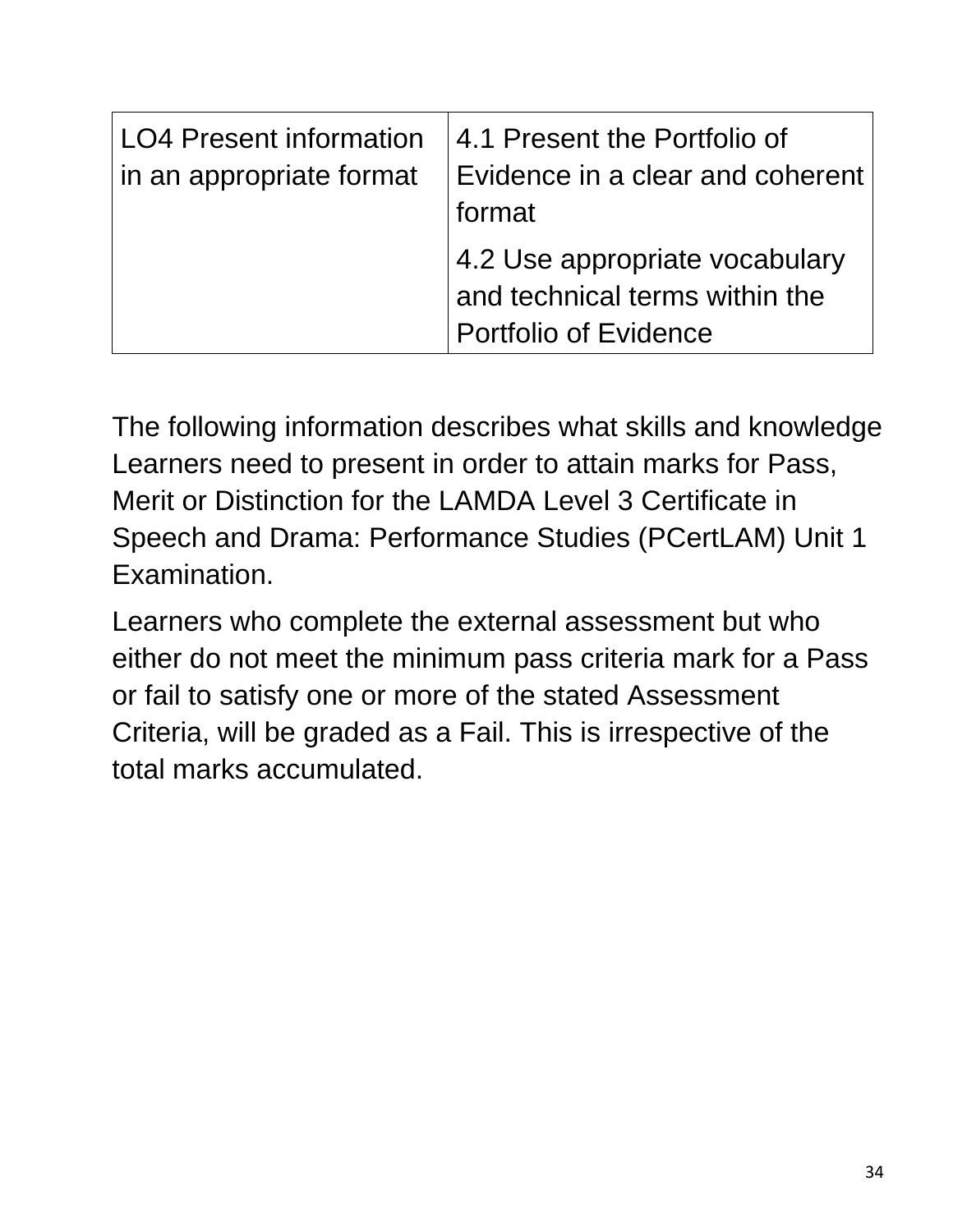| <b>LO4 Present information</b><br>in an appropriate format | 4.1 Present the Portfolio of<br>$\mid$ Evidence in a clear and coherent $\mid$<br>format         |
|------------------------------------------------------------|--------------------------------------------------------------------------------------------------|
|                                                            | 4.2 Use appropriate vocabulary<br>and technical terms within the<br><b>Portfolio of Evidence</b> |

The following information describes what skills and knowledge Learners need to present in order to attain marks for Pass, Merit or Distinction for the LAMDA Level 3 Certificate in Speech and Drama: Performance Studies (PCertLAM) Unit 1 Examination.

Learners who complete the external assessment but who either do not meet the minimum pass criteria mark for a Pass or fail to satisfy one or more of the stated Assessment Criteria, will be graded as a Fail. This is irrespective of the total marks accumulated.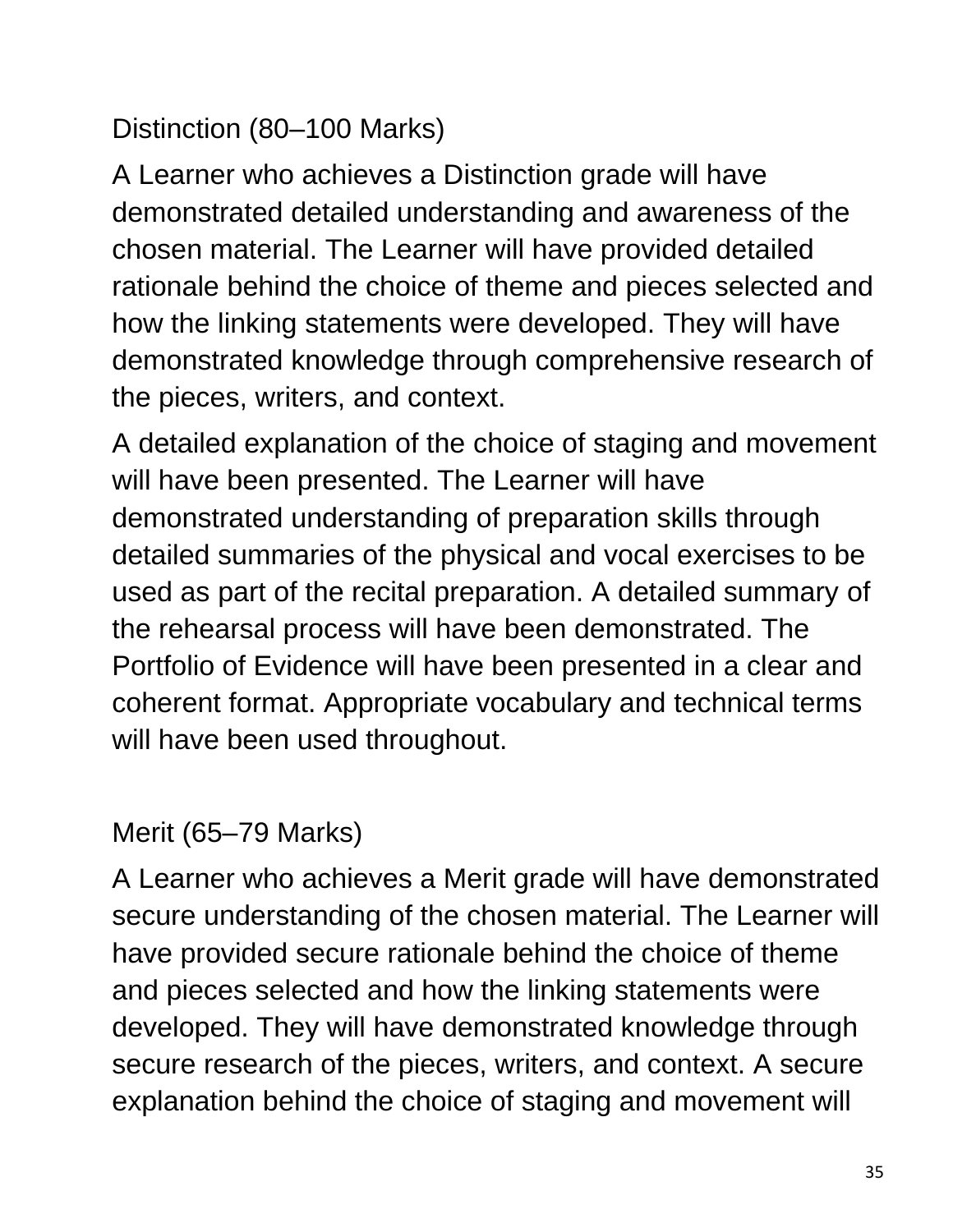Distinction (80–100 Marks)

A Learner who achieves a Distinction grade will have demonstrated detailed understanding and awareness of the chosen material. The Learner will have provided detailed rationale behind the choice of theme and pieces selected and how the linking statements were developed. They will have demonstrated knowledge through comprehensive research of the pieces, writers, and context.

A detailed explanation of the choice of staging and movement will have been presented. The Learner will have demonstrated understanding of preparation skills through detailed summaries of the physical and vocal exercises to be used as part of the recital preparation. A detailed summary of the rehearsal process will have been demonstrated. The Portfolio of Evidence will have been presented in a clear and coherent format. Appropriate vocabulary and technical terms will have been used throughout.

#### Merit (65–79 Marks)

A Learner who achieves a Merit grade will have demonstrated secure understanding of the chosen material. The Learner will have provided secure rationale behind the choice of theme and pieces selected and how the linking statements were developed. They will have demonstrated knowledge through secure research of the pieces, writers, and context. A secure explanation behind the choice of staging and movement will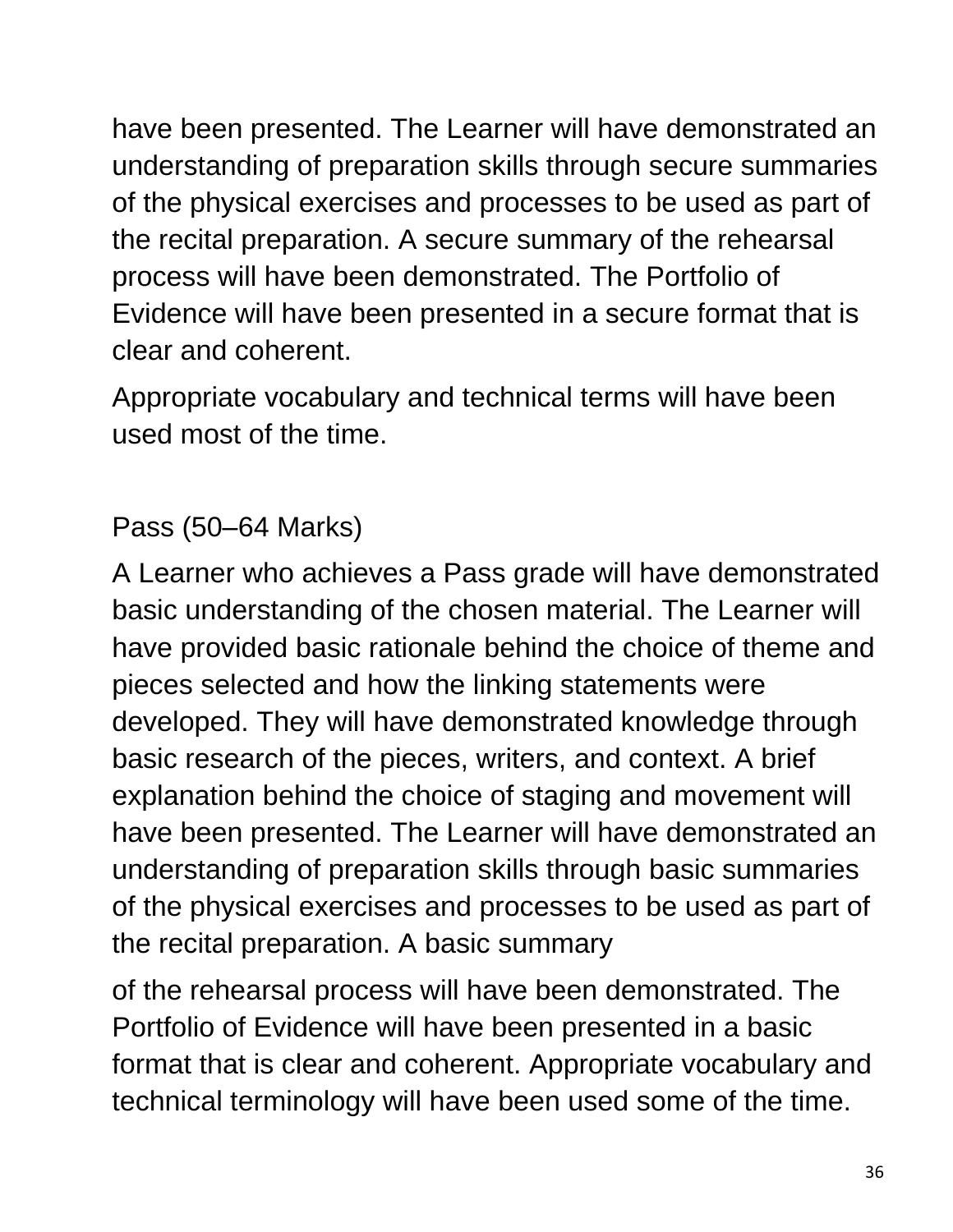have been presented. The Learner will have demonstrated an understanding of preparation skills through secure summaries of the physical exercises and processes to be used as part of the recital preparation. A secure summary of the rehearsal process will have been demonstrated. The Portfolio of Evidence will have been presented in a secure format that is clear and coherent.

Appropriate vocabulary and technical terms will have been used most of the time.

#### Pass (50–64 Marks)

A Learner who achieves a Pass grade will have demonstrated basic understanding of the chosen material. The Learner will have provided basic rationale behind the choice of theme and pieces selected and how the linking statements were developed. They will have demonstrated knowledge through basic research of the pieces, writers, and context. A brief explanation behind the choice of staging and movement will have been presented. The Learner will have demonstrated an understanding of preparation skills through basic summaries of the physical exercises and processes to be used as part of the recital preparation. A basic summary

of the rehearsal process will have been demonstrated. The Portfolio of Evidence will have been presented in a basic format that is clear and coherent. Appropriate vocabulary and technical terminology will have been used some of the time.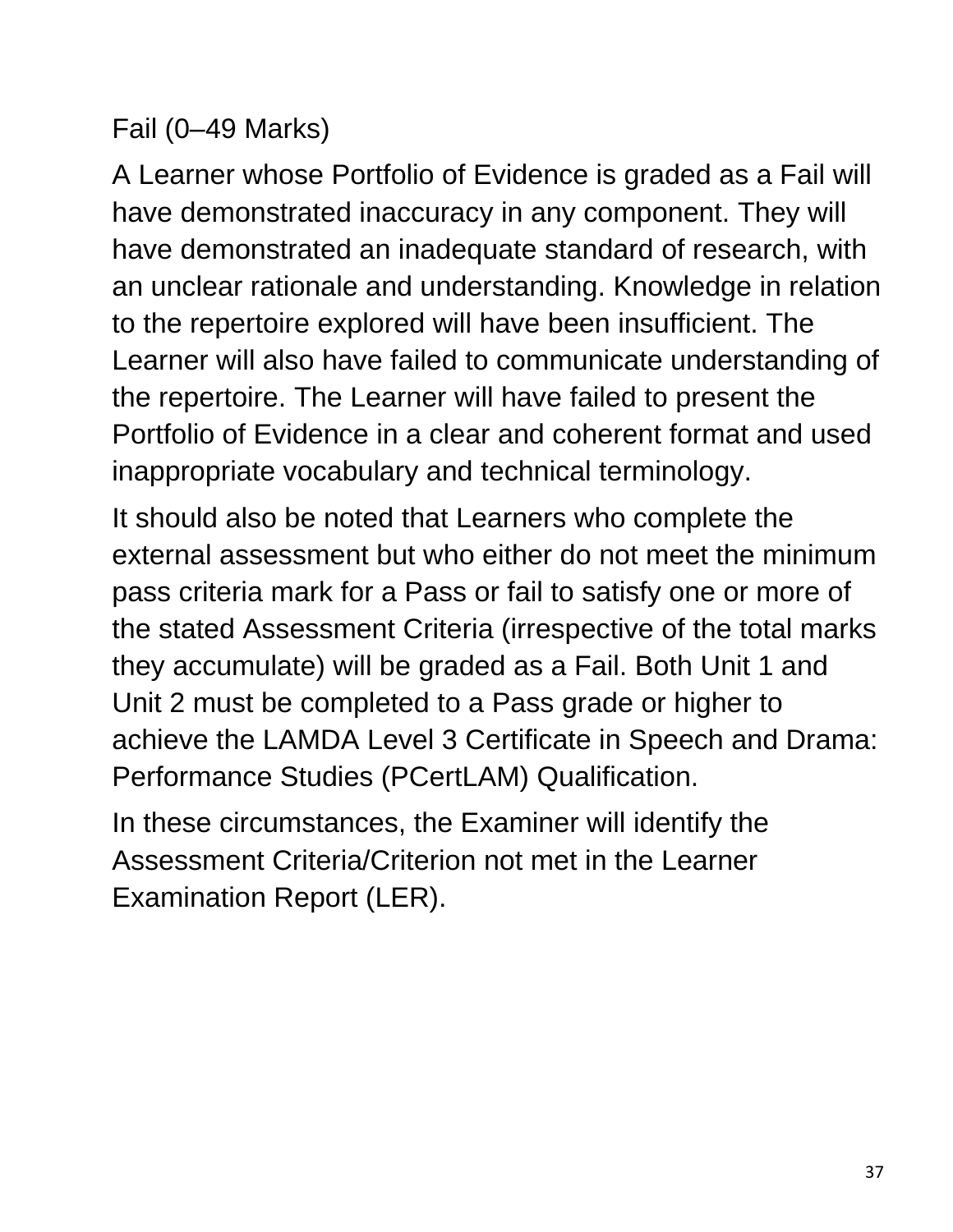#### Fail (0–49 Marks)

A Learner whose Portfolio of Evidence is graded as a Fail will have demonstrated inaccuracy in any component. They will have demonstrated an inadequate standard of research, with an unclear rationale and understanding. Knowledge in relation to the repertoire explored will have been insufficient. The Learner will also have failed to communicate understanding of the repertoire. The Learner will have failed to present the Portfolio of Evidence in a clear and coherent format and used inappropriate vocabulary and technical terminology.

It should also be noted that Learners who complete the external assessment but who either do not meet the minimum pass criteria mark for a Pass or fail to satisfy one or more of the stated Assessment Criteria (irrespective of the total marks they accumulate) will be graded as a Fail. Both Unit 1 and Unit 2 must be completed to a Pass grade or higher to achieve the LAMDA Level 3 Certificate in Speech and Drama: Performance Studies (PCertLAM) Qualification.

In these circumstances, the Examiner will identify the Assessment Criteria/Criterion not met in the Learner Examination Report (LER).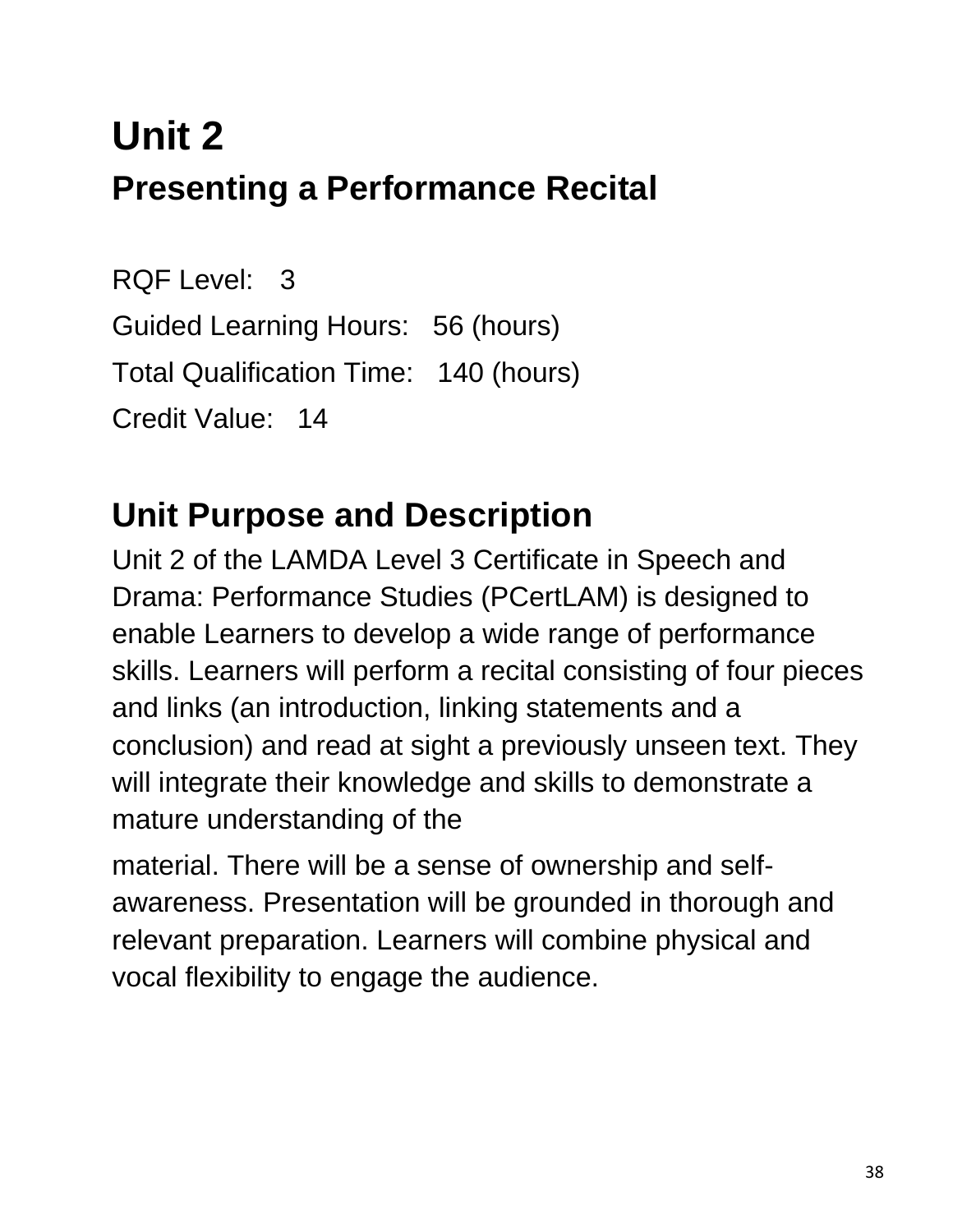# **Unit 2 Presenting a Performance Recital**

RQF Level: 3 Guided Learning Hours: 56 (hours) Total Qualification Time: 140 (hours) Credit Value: 14

## **Unit Purpose and Description**

Unit 2 of the LAMDA Level 3 Certificate in Speech and Drama: Performance Studies (PCertLAM) is designed to enable Learners to develop a wide range of performance skills. Learners will perform a recital consisting of four pieces and links (an introduction, linking statements and a conclusion) and read at sight a previously unseen text. They will integrate their knowledge and skills to demonstrate a mature understanding of the

material. There will be a sense of ownership and selfawareness. Presentation will be grounded in thorough and relevant preparation. Learners will combine physical and vocal flexibility to engage the audience.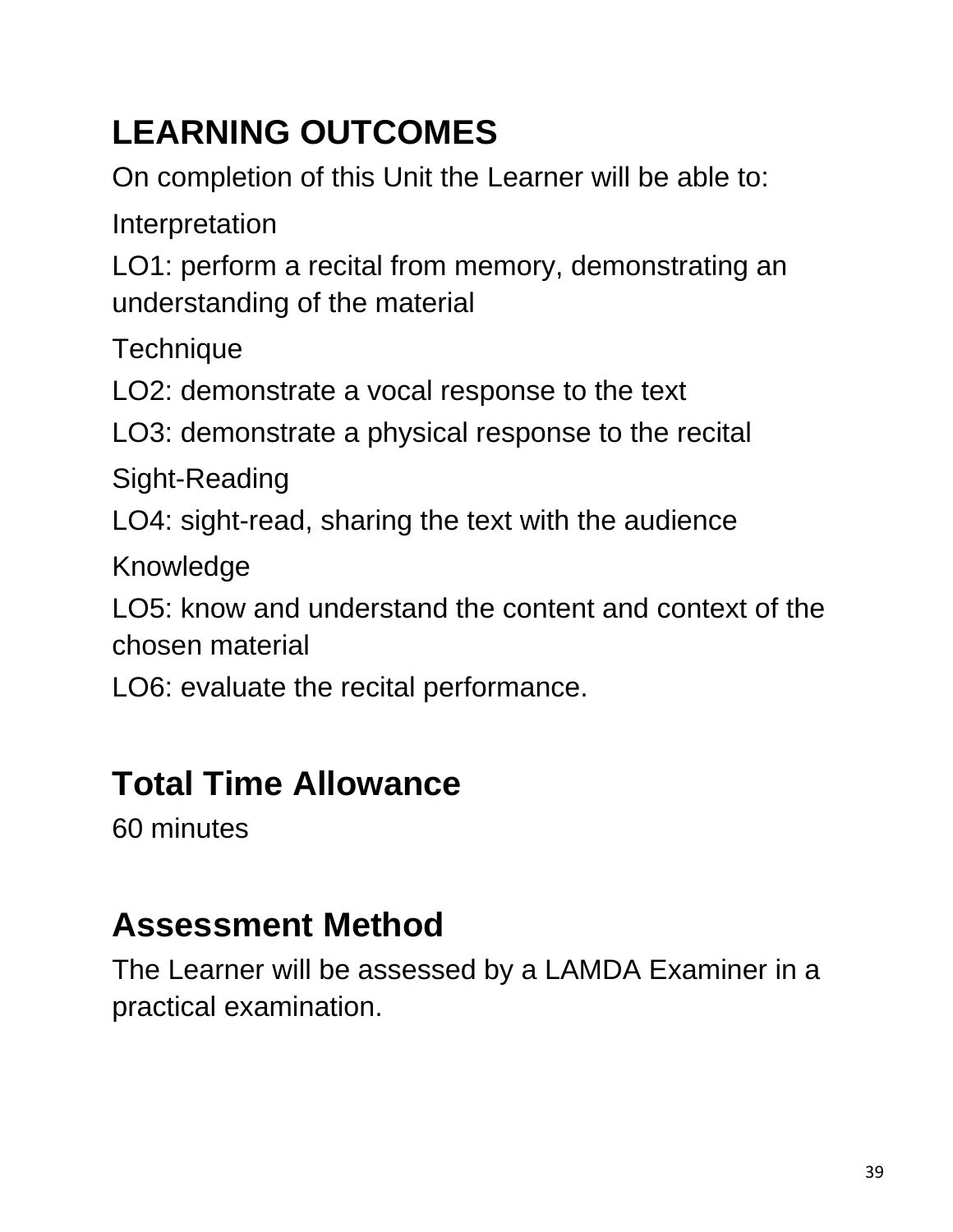# **LEARNING OUTCOMES**

On completion of this Unit the Learner will be able to:

Interpretation

LO1: perform a recital from memory, demonstrating an understanding of the material

**Technique** 

LO2: demonstrate a vocal response to the text

LO3: demonstrate a physical response to the recital

Sight-Reading

LO4: sight-read, sharing the text with the audience

Knowledge

LO5: know and understand the content and context of the chosen material

LO6: evaluate the recital performance.

#### **Total Time Allowance**

60 minutes

## **Assessment Method**

The Learner will be assessed by a LAMDA Examiner in a practical examination.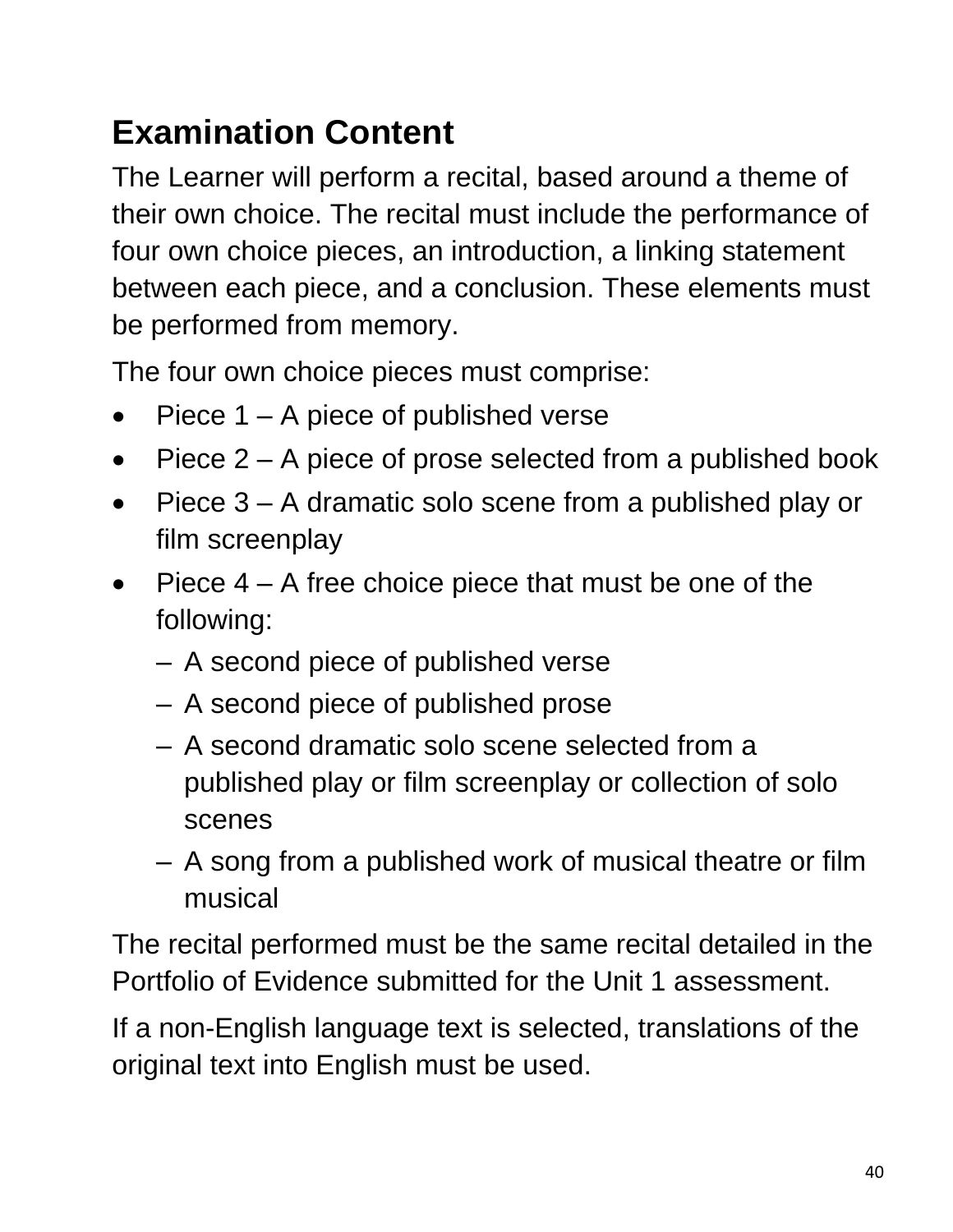# **Examination Content**

The Learner will perform a recital, based around a theme of their own choice. The recital must include the performance of four own choice pieces, an introduction, a linking statement between each piece, and a conclusion. These elements must be performed from memory.

The four own choice pieces must comprise:

- Piece  $1 A$  piece of published verse
- Piece  $2 A$  piece of prose selected from a published book
- Piece 3 A dramatic solo scene from a published play or film screenplay
- Piece  $4 A$  free choice piece that must be one of the following:
	- A second piece of published verse
	- A second piece of published prose
	- A second dramatic solo scene selected from a published play or film screenplay or collection of solo scenes
	- A song from a published work of musical theatre or film musical

The recital performed must be the same recital detailed in the Portfolio of Evidence submitted for the Unit 1 assessment.

If a non-English language text is selected, translations of the original text into English must be used.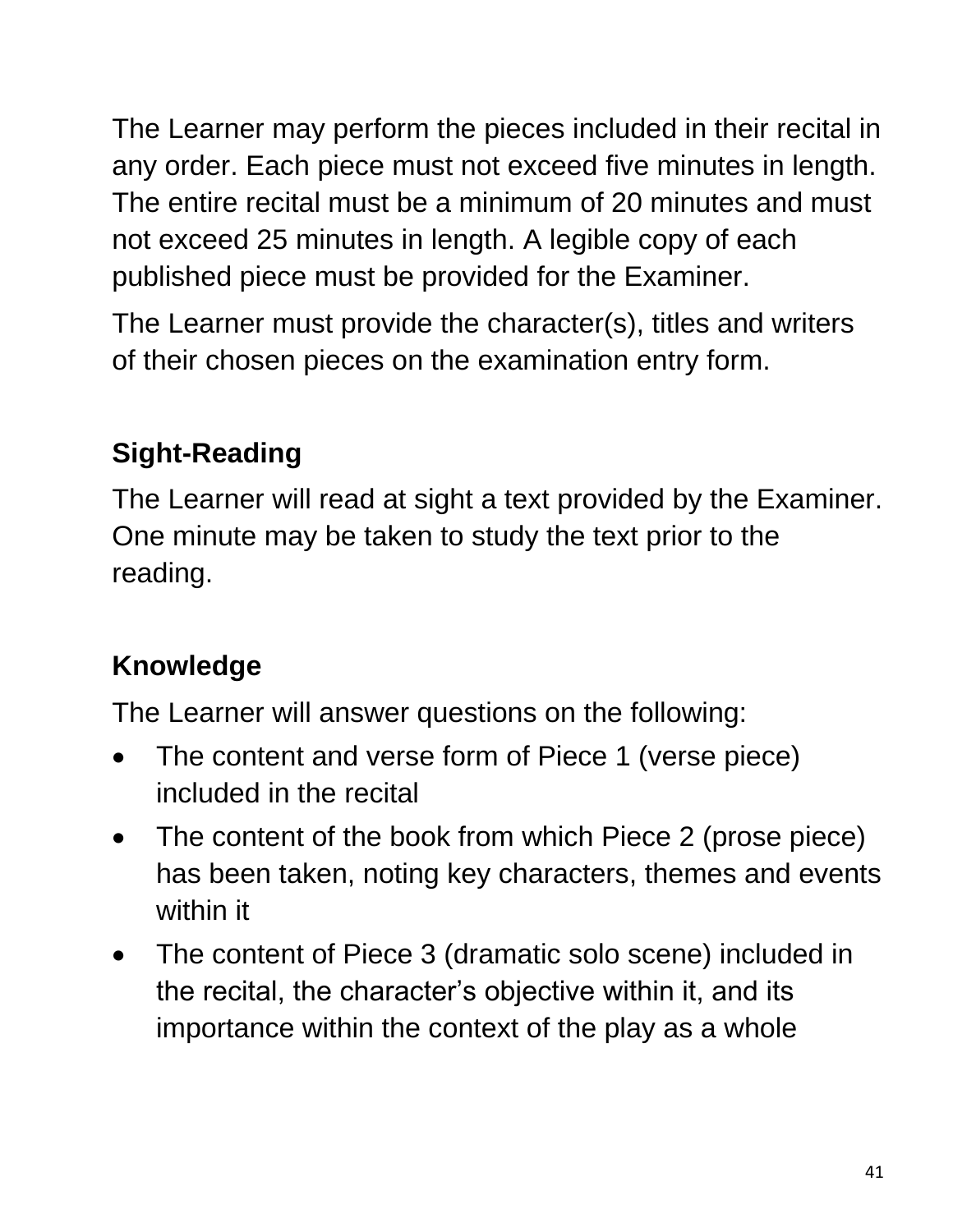The Learner may perform the pieces included in their recital in any order. Each piece must not exceed five minutes in length. The entire recital must be a minimum of 20 minutes and must not exceed 25 minutes in length. A legible copy of each published piece must be provided for the Examiner.

The Learner must provide the character(s), titles and writers of their chosen pieces on the examination entry form.

#### **Sight-Reading**

The Learner will read at sight a text provided by the Examiner. One minute may be taken to study the text prior to the reading.

#### **Knowledge**

The Learner will answer questions on the following:

- The content and verse form of Piece 1 (verse piece) included in the recital
- The content of the book from which Piece 2 (prose piece) has been taken, noting key characters, themes and events within it
- The content of Piece 3 (dramatic solo scene) included in the recital, the character's objective within it, and its importance within the context of the play as a whole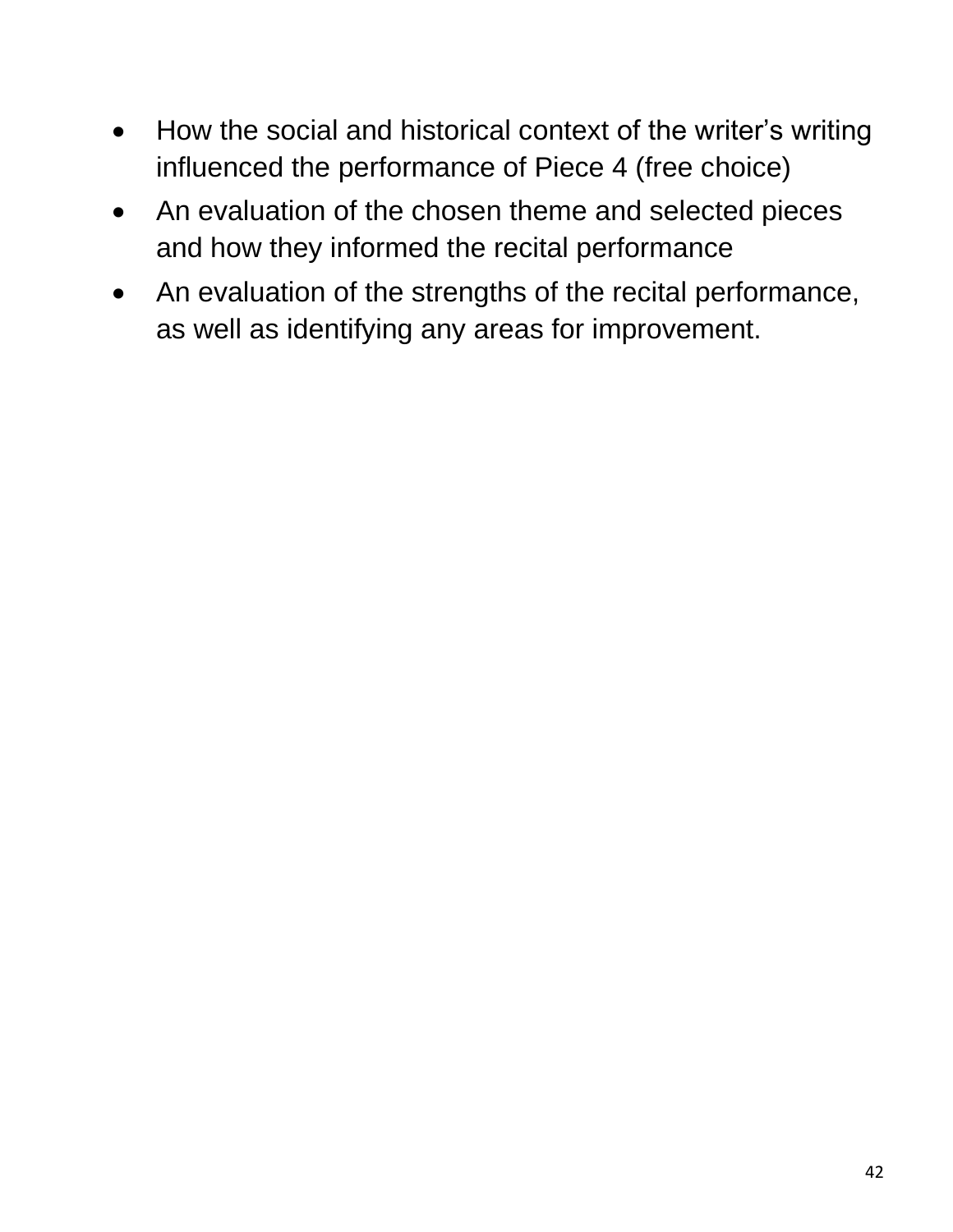- How the social and historical context of the writer's writing influenced the performance of Piece 4 (free choice)
- An evaluation of the chosen theme and selected pieces and how they informed the recital performance
- An evaluation of the strengths of the recital performance, as well as identifying any areas for improvement.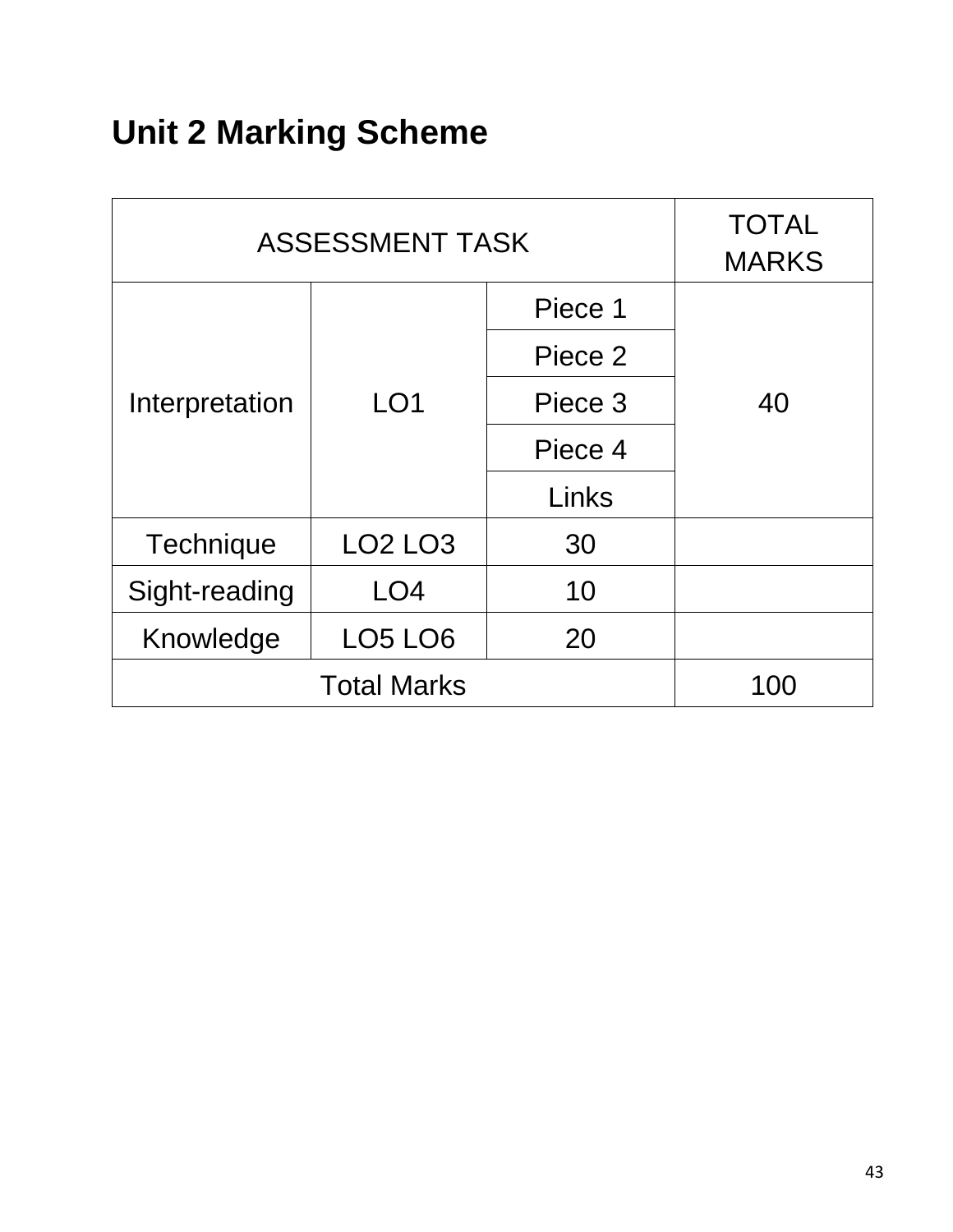# **Unit 2 Marking Scheme**

| <b>ASSESSMENT TASK</b> |                 |         | <b>TOTAL</b><br><b>MARKS</b> |
|------------------------|-----------------|---------|------------------------------|
|                        |                 | Piece 1 |                              |
|                        |                 | Piece 2 |                              |
| Interpretation         | LO <sub>1</sub> | Piece 3 | 40                           |
|                        | Piece 4         |         |                              |
|                        |                 | Links   |                              |
| Technique              | <b>LO2 LO3</b>  | 30      |                              |
| Sight-reading          | LO <sub>4</sub> | 10      |                              |
| Knowledge              | <b>LO5 LO6</b>  | 20      |                              |
| <b>Total Marks</b>     |                 |         | 100                          |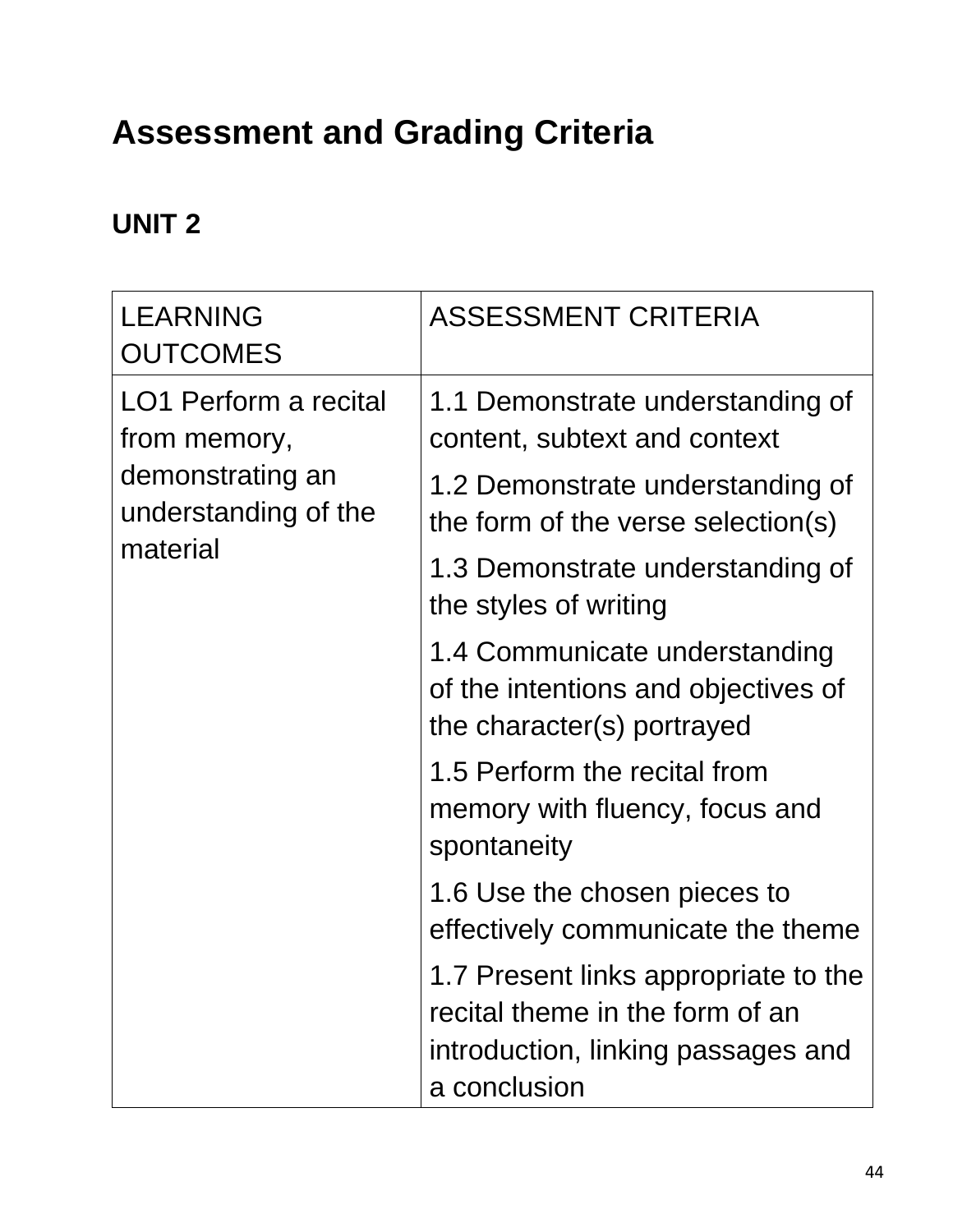# **Assessment and Grading Criteria**

#### **UNIT 2**

| <b>LEARNING</b><br><b>OUTCOMES</b>       | <b>ASSESSMENT CRITERIA</b>                                                                                                    |
|------------------------------------------|-------------------------------------------------------------------------------------------------------------------------------|
| LO1 Perform a recital<br>from memory,    | 1.1 Demonstrate understanding of<br>content, subtext and context                                                              |
| demonstrating an<br>understanding of the | 1.2 Demonstrate understanding of<br>the form of the verse selection(s)                                                        |
| material                                 | 1.3 Demonstrate understanding of<br>the styles of writing                                                                     |
|                                          | 1.4 Communicate understanding<br>of the intentions and objectives of<br>the character(s) portrayed                            |
|                                          | 1.5 Perform the recital from<br>memory with fluency, focus and<br>spontaneity                                                 |
|                                          | 1.6 Use the chosen pieces to<br>effectively communicate the theme                                                             |
|                                          | 1.7 Present links appropriate to the<br>recital theme in the form of an<br>introduction, linking passages and<br>a conclusion |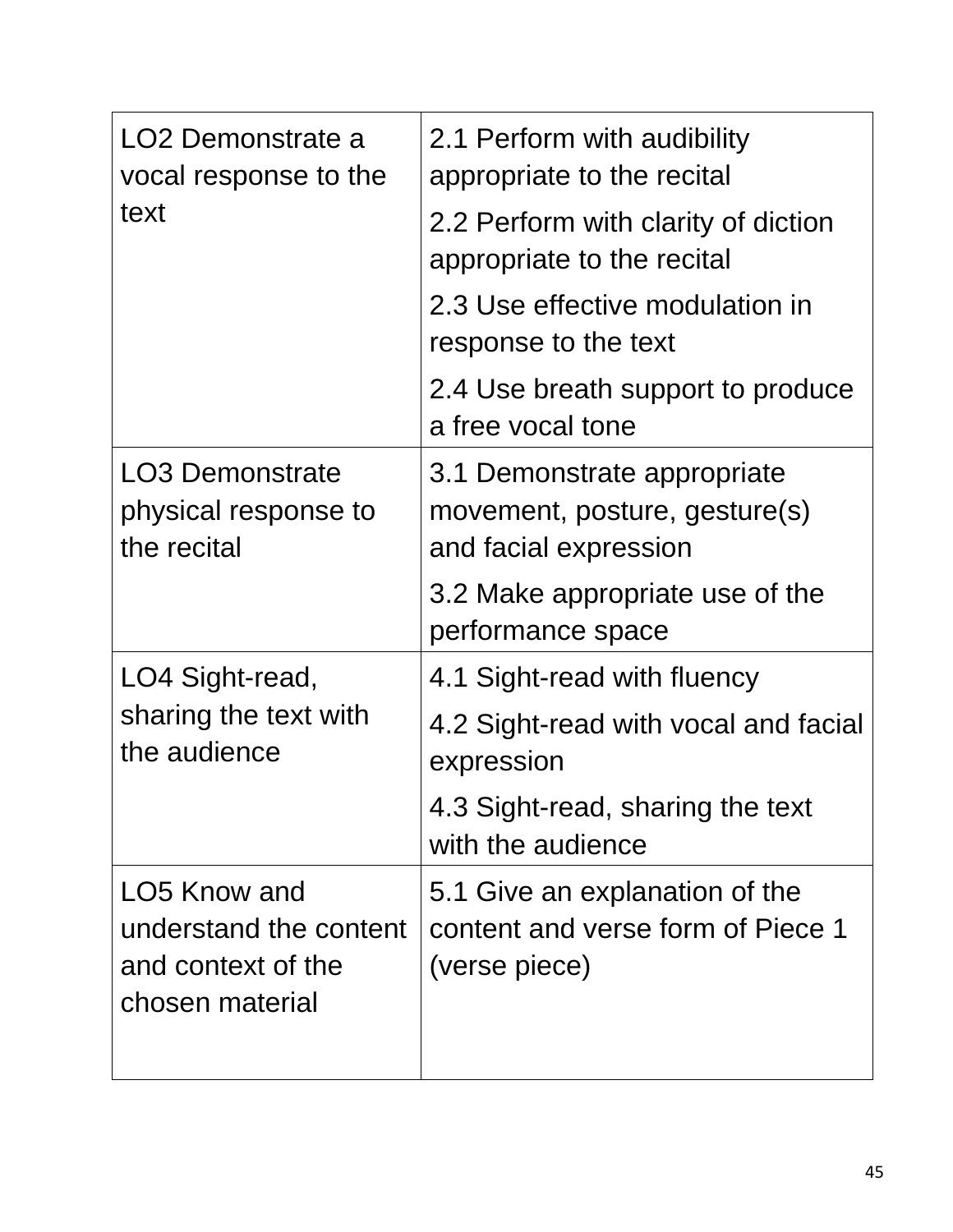| LO2 Demonstrate a<br>vocal response to the<br>text                              | 2.1 Perform with audibility<br>appropriate to the recital                             |
|---------------------------------------------------------------------------------|---------------------------------------------------------------------------------------|
|                                                                                 | 2.2 Perform with clarity of diction<br>appropriate to the recital                     |
|                                                                                 | 2.3 Use effective modulation in<br>response to the text                               |
|                                                                                 | 2.4 Use breath support to produce<br>a free vocal tone                                |
| <b>LO3 Demonstrate</b><br>physical response to<br>the recital                   | 3.1 Demonstrate appropriate<br>movement, posture, gesture(s)<br>and facial expression |
|                                                                                 | 3.2 Make appropriate use of the<br>performance space                                  |
| LO4 Sight-read,<br>sharing the text with<br>the audience                        | 4.1 Sight-read with fluency                                                           |
|                                                                                 | 4.2 Sight-read with vocal and facial<br>expression                                    |
|                                                                                 | 4.3 Sight-read, sharing the text<br>with the audience                                 |
| LO5 Know and<br>understand the content<br>and context of the<br>chosen material | 5.1 Give an explanation of the<br>content and verse form of Piece 1<br>(verse piece)  |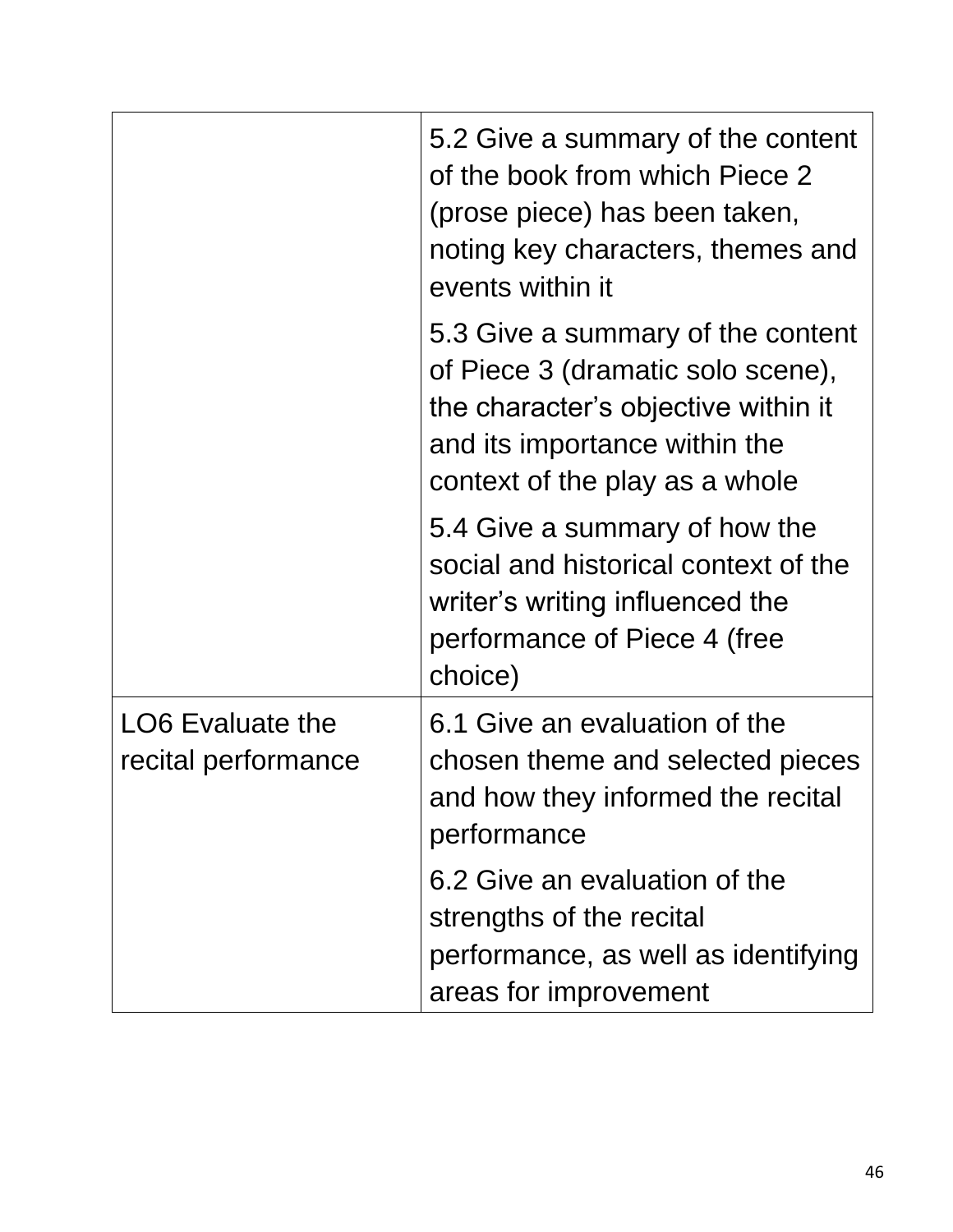|                                                | 5.2 Give a summary of the content<br>of the book from which Piece 2<br>(prose piece) has been taken,<br>noting key characters, themes and<br>events within it                    |
|------------------------------------------------|----------------------------------------------------------------------------------------------------------------------------------------------------------------------------------|
|                                                | 5.3 Give a summary of the content<br>of Piece 3 (dramatic solo scene),<br>the character's objective within it<br>and its importance within the<br>context of the play as a whole |
|                                                | 5.4 Give a summary of how the<br>social and historical context of the<br>writer's writing influenced the<br>performance of Piece 4 (free<br>choice)                              |
| <b>LO6 Evaluate the</b><br>recital performance | 6.1 Give an evaluation of the<br>chosen theme and selected pieces<br>and how they informed the recital<br>performance                                                            |
|                                                | 6.2 Give an evaluation of the<br>strengths of the recital<br>performance, as well as identifying<br>areas for improvement                                                        |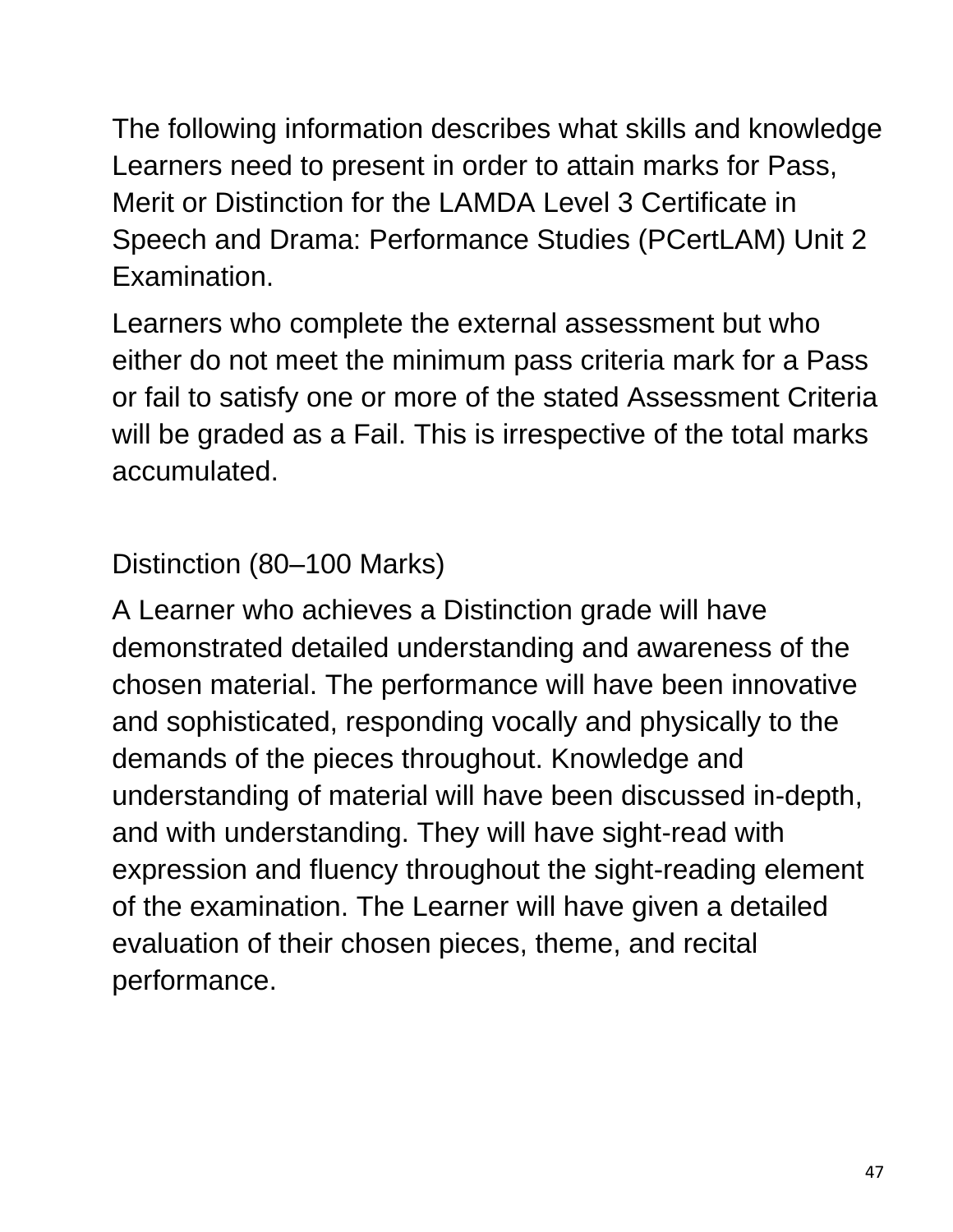The following information describes what skills and knowledge Learners need to present in order to attain marks for Pass, Merit or Distinction for the LAMDA Level 3 Certificate in Speech and Drama: Performance Studies (PCertLAM) Unit 2 Examination.

Learners who complete the external assessment but who either do not meet the minimum pass criteria mark for a Pass or fail to satisfy one or more of the stated Assessment Criteria will be graded as a Fail. This is irrespective of the total marks accumulated.

Distinction (80–100 Marks)

A Learner who achieves a Distinction grade will have demonstrated detailed understanding and awareness of the chosen material. The performance will have been innovative and sophisticated, responding vocally and physically to the demands of the pieces throughout. Knowledge and understanding of material will have been discussed in-depth, and with understanding. They will have sight-read with expression and fluency throughout the sight-reading element of the examination. The Learner will have given a detailed evaluation of their chosen pieces, theme, and recital performance.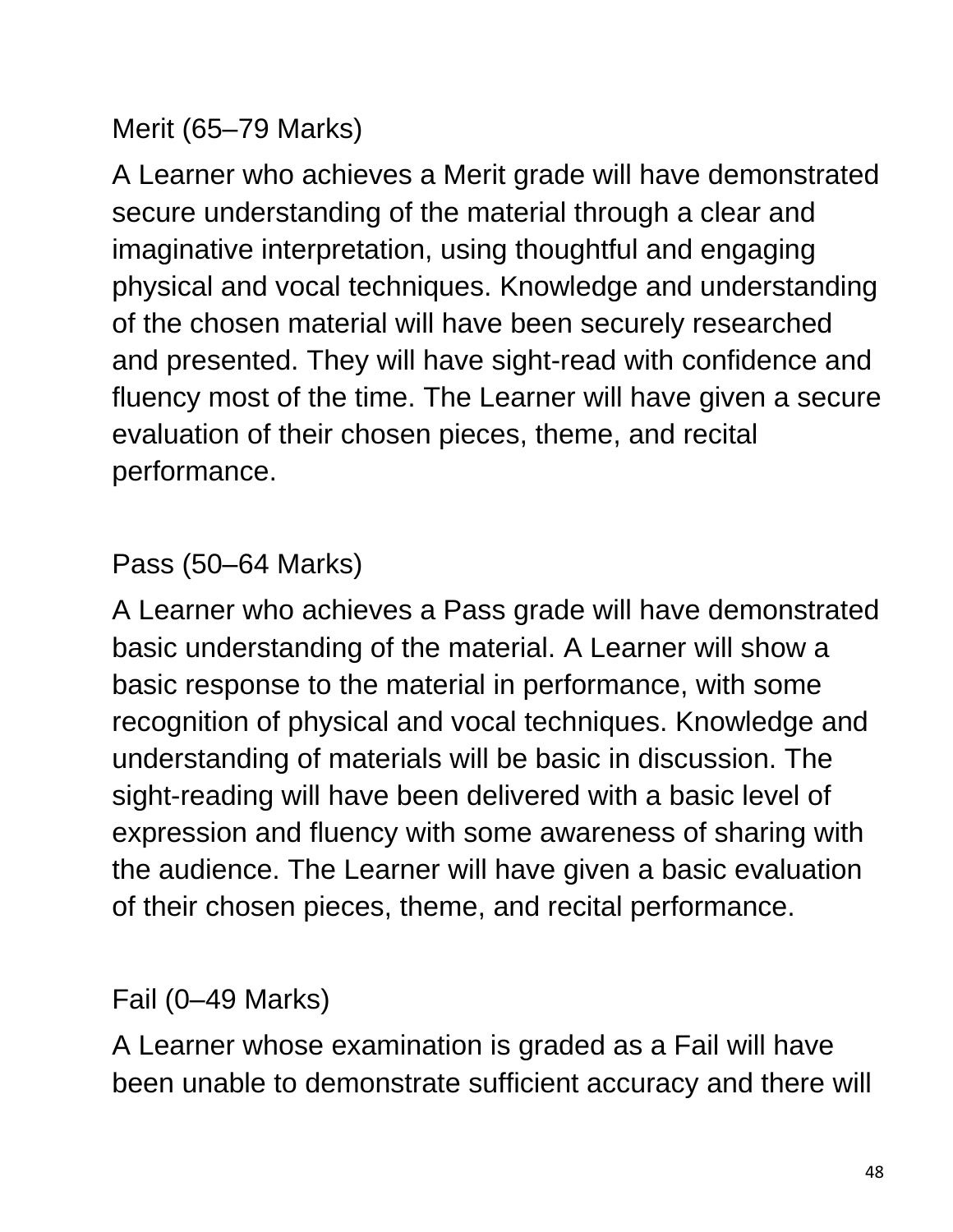#### Merit (65–79 Marks)

A Learner who achieves a Merit grade will have demonstrated secure understanding of the material through a clear and imaginative interpretation, using thoughtful and engaging physical and vocal techniques. Knowledge and understanding of the chosen material will have been securely researched and presented. They will have sight-read with confidence and fluency most of the time. The Learner will have given a secure evaluation of their chosen pieces, theme, and recital performance.

#### Pass (50–64 Marks)

A Learner who achieves a Pass grade will have demonstrated basic understanding of the material. A Learner will show a basic response to the material in performance, with some recognition of physical and vocal techniques. Knowledge and understanding of materials will be basic in discussion. The sight-reading will have been delivered with a basic level of expression and fluency with some awareness of sharing with the audience. The Learner will have given a basic evaluation of their chosen pieces, theme, and recital performance.

#### Fail (0–49 Marks)

A Learner whose examination is graded as a Fail will have been unable to demonstrate sufficient accuracy and there will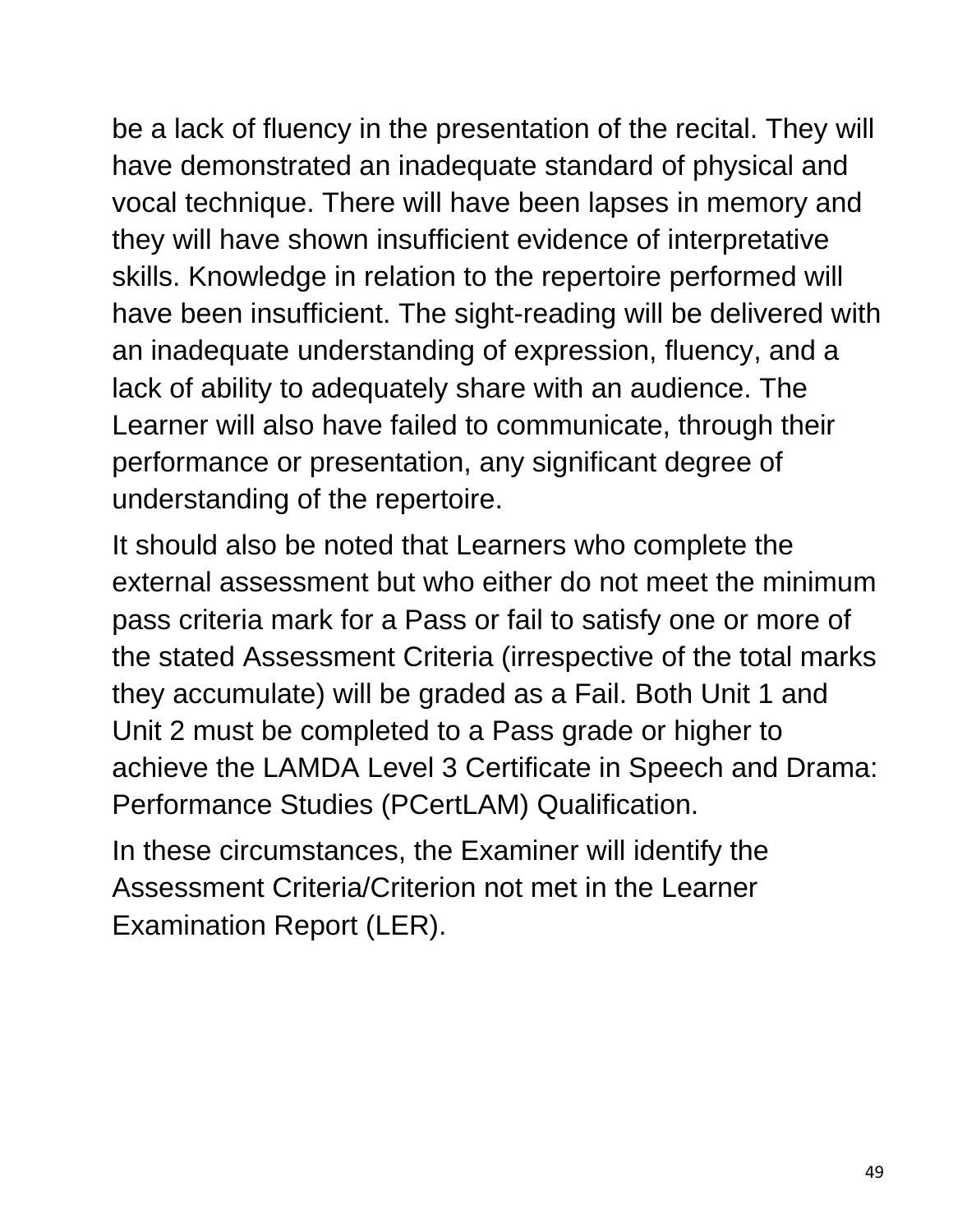be a lack of fluency in the presentation of the recital. They will have demonstrated an inadequate standard of physical and vocal technique. There will have been lapses in memory and they will have shown insufficient evidence of interpretative skills. Knowledge in relation to the repertoire performed will have been insufficient. The sight-reading will be delivered with an inadequate understanding of expression, fluency, and a lack of ability to adequately share with an audience. The Learner will also have failed to communicate, through their performance or presentation, any significant degree of understanding of the repertoire.

It should also be noted that Learners who complete the external assessment but who either do not meet the minimum pass criteria mark for a Pass or fail to satisfy one or more of the stated Assessment Criteria (irrespective of the total marks they accumulate) will be graded as a Fail. Both Unit 1 and Unit 2 must be completed to a Pass grade or higher to achieve the LAMDA Level 3 Certificate in Speech and Drama: Performance Studies (PCertLAM) Qualification.

In these circumstances, the Examiner will identify the Assessment Criteria/Criterion not met in the Learner Examination Report (LER).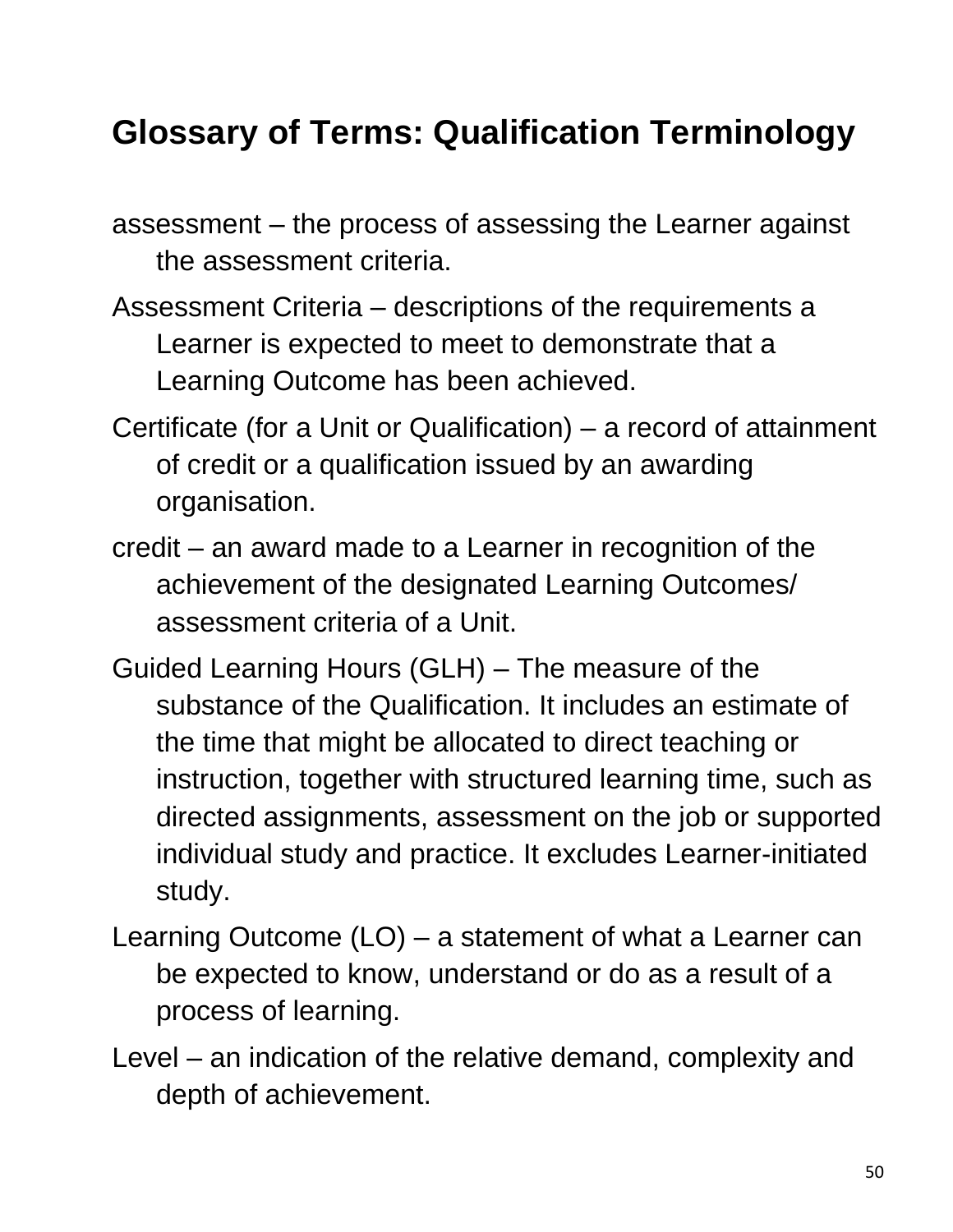### **Glossary of Terms: Qualification Terminology**

assessment – the process of assessing the Learner against the assessment criteria.

- Assessment Criteria descriptions of the requirements a Learner is expected to meet to demonstrate that a Learning Outcome has been achieved.
- Certificate (for a Unit or Qualification) a record of attainment of credit or a qualification issued by an awarding organisation.
- credit an award made to a Learner in recognition of the achievement of the designated Learning Outcomes/ assessment criteria of a Unit.
- Guided Learning Hours (GLH) The measure of the substance of the Qualification. It includes an estimate of the time that might be allocated to direct teaching or instruction, together with structured learning time, such as directed assignments, assessment on the job or supported individual study and practice. It excludes Learner-initiated study.
- Learning Outcome (LO) a statement of what a Learner can be expected to know, understand or do as a result of a process of learning.
- Level an indication of the relative demand, complexity and depth of achievement.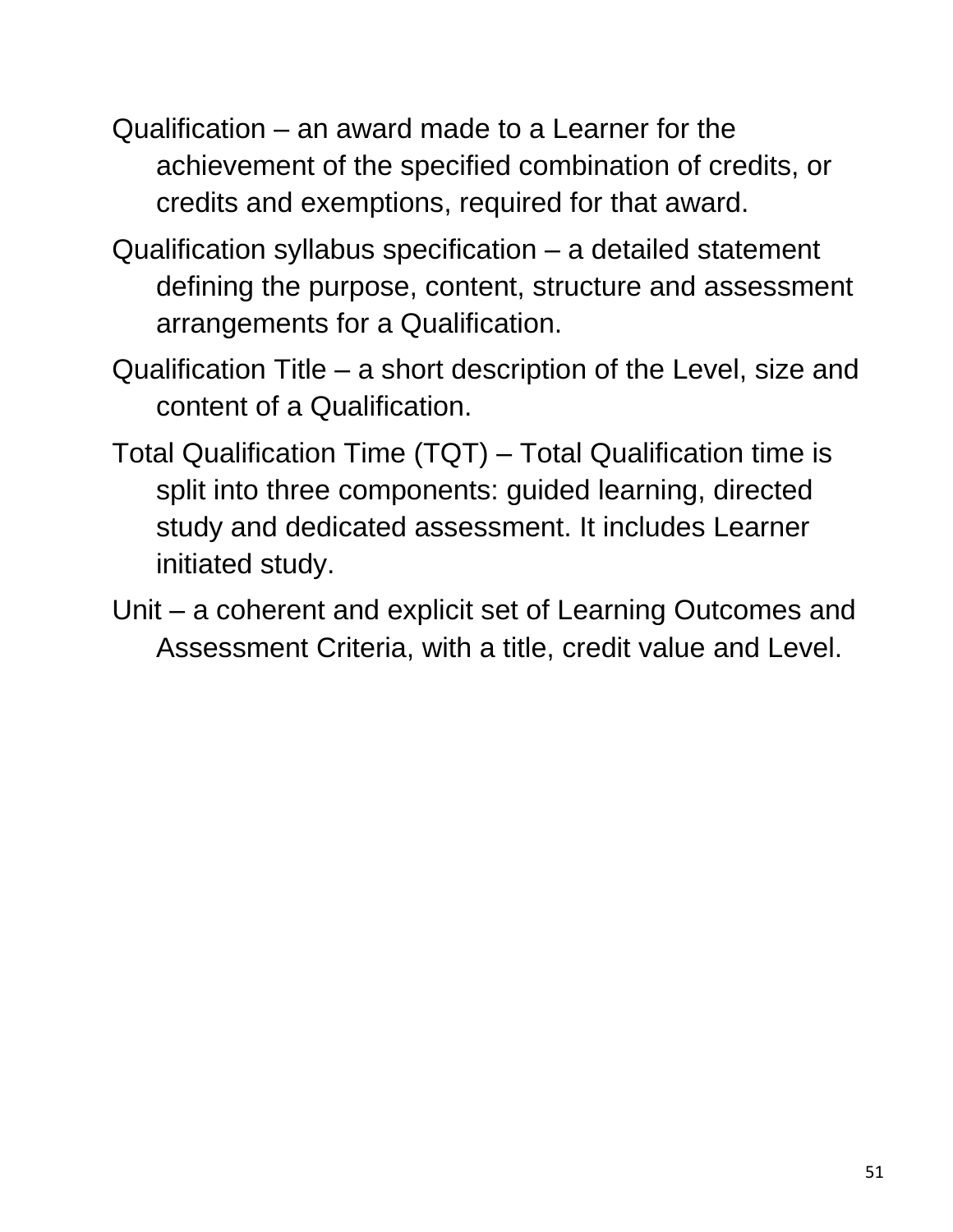- Qualification an award made to a Learner for the achievement of the specified combination of credits, or credits and exemptions, required for that award.
- Qualification syllabus specification a detailed statement defining the purpose, content, structure and assessment arrangements for a Qualification.
- Qualification Title a short description of the Level, size and content of a Qualification.
- Total Qualification Time (TQT) Total Qualification time is split into three components: guided learning, directed study and dedicated assessment. It includes Learner initiated study.
- Unit a coherent and explicit set of Learning Outcomes and Assessment Criteria, with a title, credit value and Level.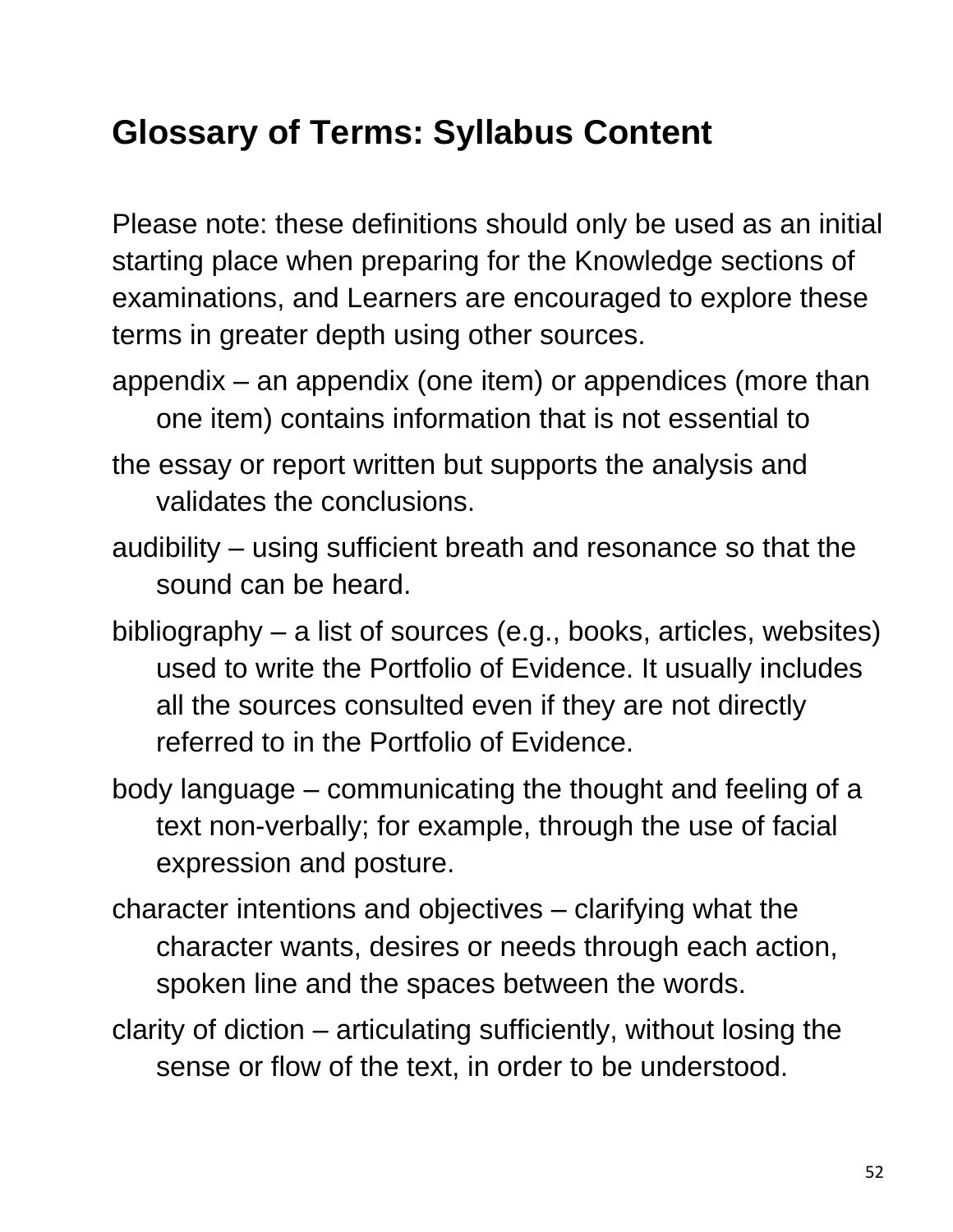## **Glossary of Terms: Syllabus Content**

Please note: these definitions should only be used as an initial starting place when preparing for the Knowledge sections of examinations, and Learners are encouraged to explore these terms in greater depth using other sources.

- appendix an appendix (one item) or appendices (more than one item) contains information that is not essential to
- the essay or report written but supports the analysis and validates the conclusions.
- audibility using sufficient breath and resonance so that the sound can be heard.
- bibliography a list of sources (e.g., books, articles, websites) used to write the Portfolio of Evidence. It usually includes all the sources consulted even if they are not directly referred to in the Portfolio of Evidence.
- body language communicating the thought and feeling of a text non-verbally; for example, through the use of facial expression and posture.
- character intentions and objectives clarifying what the character wants, desires or needs through each action, spoken line and the spaces between the words.
- clarity of diction articulating sufficiently, without losing the sense or flow of the text, in order to be understood.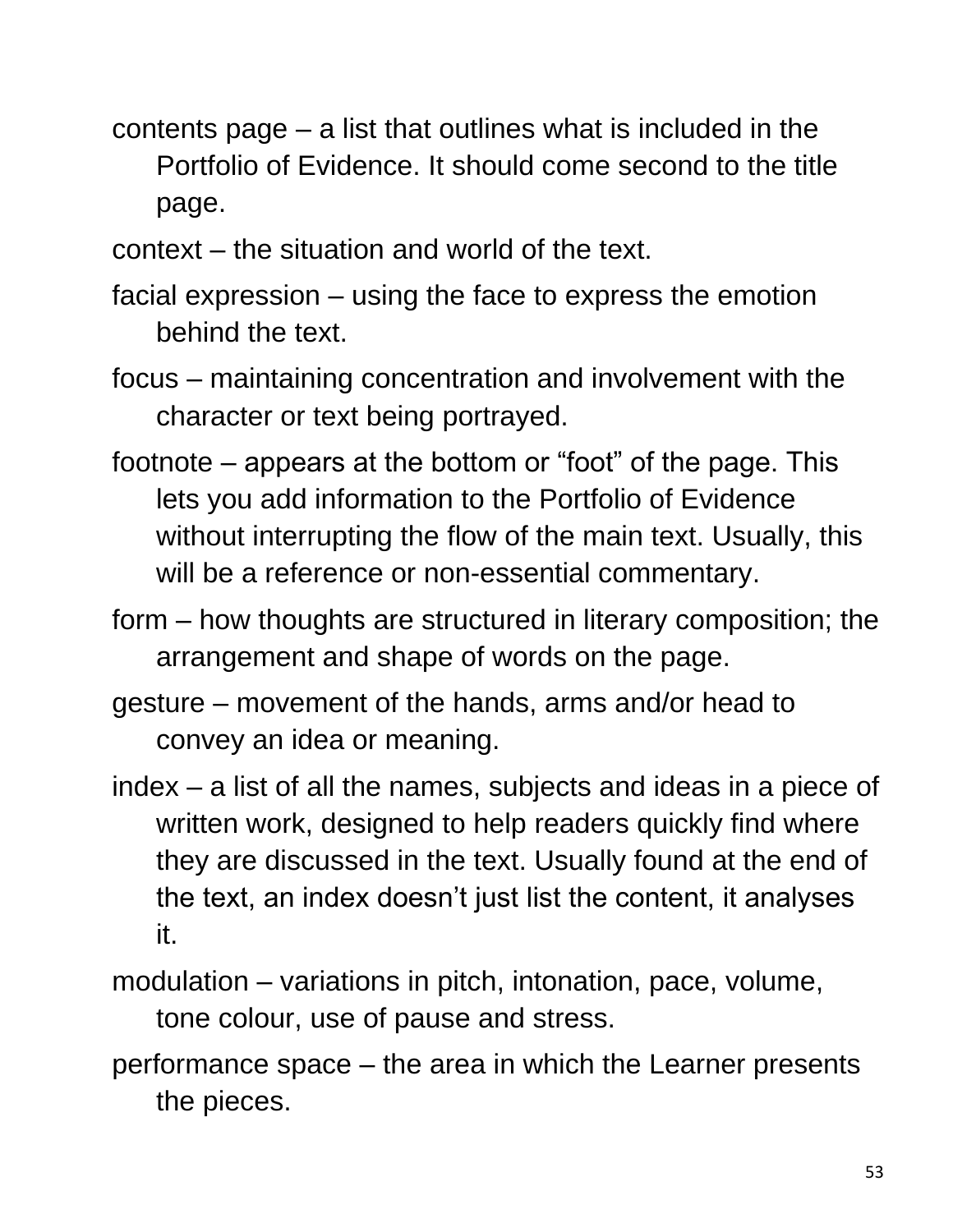- contents page a list that outlines what is included in the Portfolio of Evidence. It should come second to the title page.
- context the situation and world of the text.
- facial expression using the face to express the emotion behind the text.
- focus maintaining concentration and involvement with the character or text being portrayed.
- footnote appears at the bottom or "foot" of the page. This lets you add information to the Portfolio of Evidence without interrupting the flow of the main text. Usually, this will be a reference or non-essential commentary.
- form how thoughts are structured in literary composition; the arrangement and shape of words on the page.
- gesture movement of the hands, arms and/or head to convey an idea or meaning.
- index a list of all the names, subjects and ideas in a piece of written work, designed to help readers quickly find where they are discussed in the text. Usually found at the end of the text, an index doesn't just list the content, it analyses it.
- modulation variations in pitch, intonation, pace, volume, tone colour, use of pause and stress.
- performance space the area in which the Learner presents the pieces.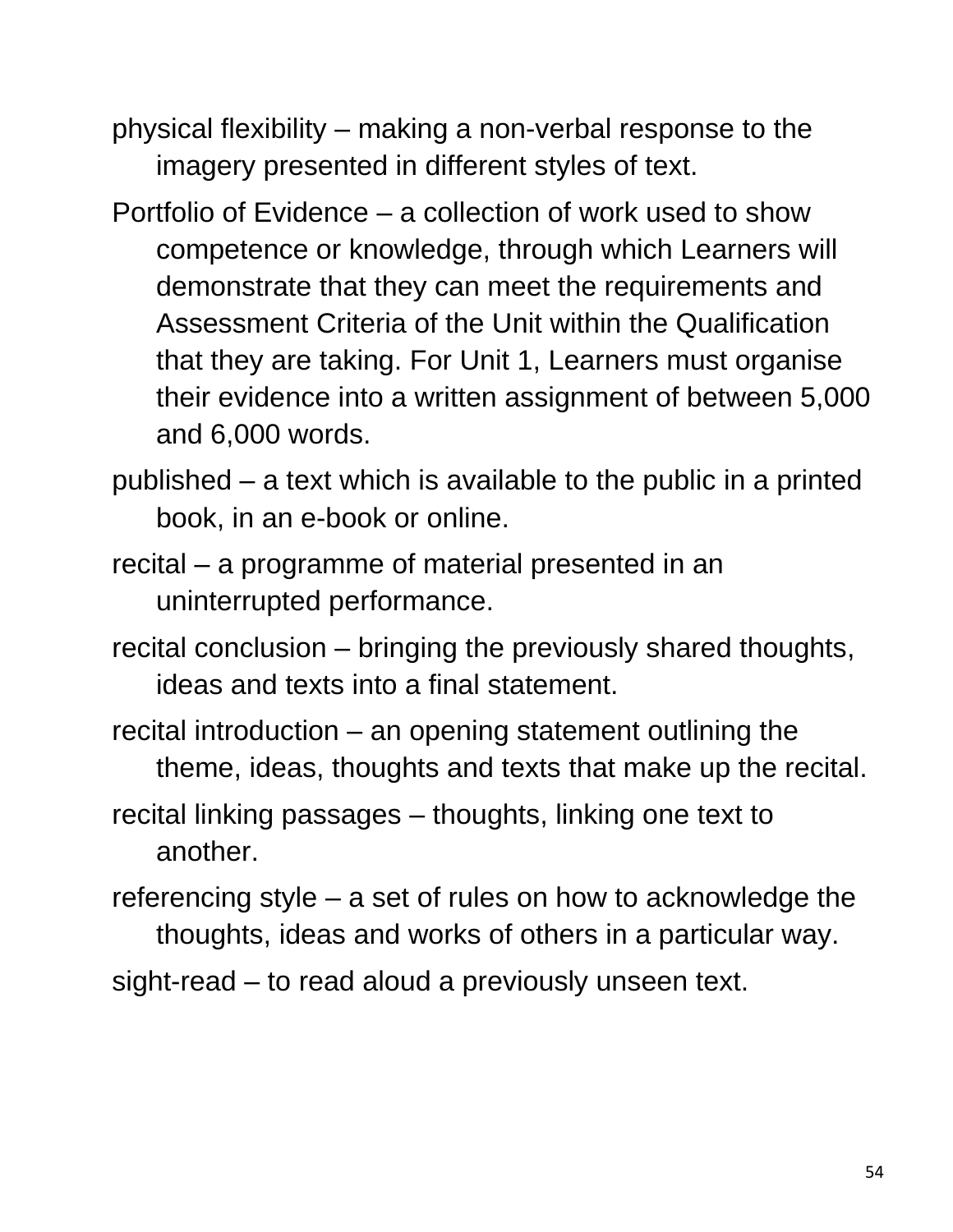- physical flexibility making a non-verbal response to the imagery presented in different styles of text.
- Portfolio of Evidence a collection of work used to show competence or knowledge, through which Learners will demonstrate that they can meet the requirements and Assessment Criteria of the Unit within the Qualification that they are taking. For Unit 1, Learners must organise their evidence into a written assignment of between 5,000 and 6,000 words.
- published a text which is available to the public in a printed book, in an e-book or online.
- recital a programme of material presented in an uninterrupted performance.
- recital conclusion bringing the previously shared thoughts, ideas and texts into a final statement.
- recital introduction an opening statement outlining the theme, ideas, thoughts and texts that make up the recital.
- recital linking passages thoughts, linking one text to another.
- referencing style a set of rules on how to acknowledge the thoughts, ideas and works of others in a particular way.
- sight-read to read aloud a previously unseen text.